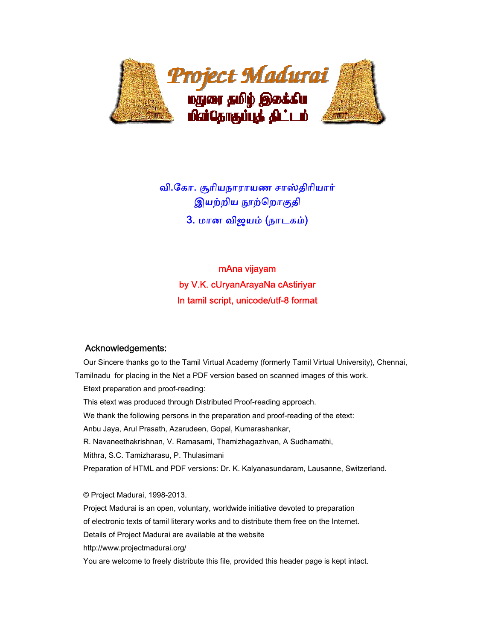

வி.கோ. சூரியநாராயண சாஸ்திரியார் இயற்றிய நூற்றொகுதி 3. மான விஜயம் (நாடகம்)

# mAna vijayam by V.K. cUryanArayaNa cAstiriyar In tamil script, unicode/utf-8 format

### Acknowledgements:

 Our Sincere thanks go to the Tamil Virtual Academy (formerly Tamil Virtual University), Chennai, Tamilnadu for placing in the Net a PDF version based on scanned images of this work. Etext preparation and proof-reading: This etext was produced through Distributed Proof-reading approach. We thank the following persons in the preparation and proof-reading of the etext: Anbu Jaya, Arul Prasath, Azarudeen, Gopal, Kumarashankar, R. Navaneethakrishnan, V. Ramasami, Thamizhagazhvan, A Sudhamathi, Mithra, S.C. Tamizharasu, P. Thulasimani Preparation of HTML and PDF versions: Dr. K. Kalyanasundaram, Lausanne, Switzerland.

 © Project Madurai, 1998-2013. Project Madurai is an open, voluntary, worldwide initiative devoted to preparation of electronic texts of tamil literary works and to distribute them free on the Internet. Details of Project Madurai are available at the website http://www.projectmadurai.org/ You are welcome to freely distribute this file, provided this header page is kept intact.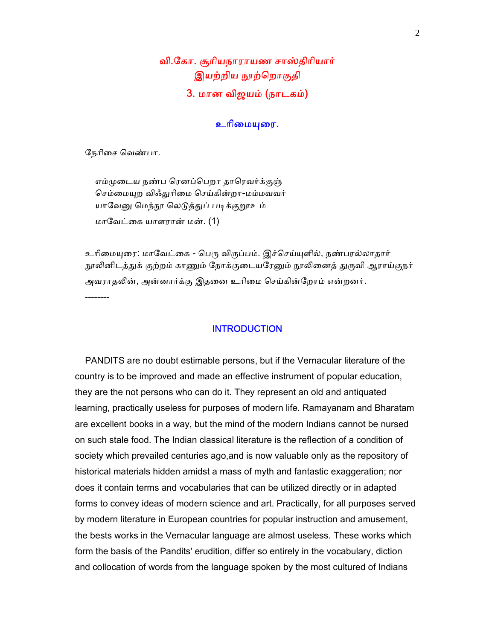## வி.ேகா. சூாியநாராயண சாஸ்திாியார் இயற்றிய நூற்றொகுதி 3. மான விஜயம் (நாடகம்)

### உரிமையுரை.

ேநாிைச ெவண்பா.

எம்முடைய நண்ப ரெனப்பெறா தாரெவர்க்குஞ் செம்மையுற விஃதுரிமை செய்கின்றா-மம்மவவர் யாவேனு மெந்நூ லெடுத்துப் படிக்குறூஉம் மாேவட்ைக யாளரான் மன். (1)

உரிமையுரை: மாவேட்கை - பெரு விருப்பம். இச்செய்யுளில், நண்பரல்லாதார் நூலினிடத்துக் குற்றம் காணும் நோக்குடையரேனும் நூலினைத் துருவி ஆராய்குநர் அவராதலின், அன்னார்க்கு இதனை உரிமை செய்கின்றோம் என்றனர். --------

## **INTRODUCTION**

 PANDITS are no doubt estimable persons, but if the Vernacular literature of the country is to be improved and made an effective instrument of popular education, they are the not persons who can do it. They represent an old and antiquated learning, practically useless for purposes of modern life. Ramayanam and Bharatam are excellent books in a way, but the mind of the modern Indians cannot be nursed on such stale food. The Indian classical literature is the reflection of a condition of society which prevailed centuries ago,and is now valuable only as the repository of historical materials hidden amidst a mass of myth and fantastic exaggeration; nor does it contain terms and vocabularies that can be utilized directly or in adapted forms to convey ideas of modern science and art. Practically, for all purposes served by modern literature in European countries for popular instruction and amusement, the bests works in the Vernacular language are almost useless. These works which form the basis of the Pandits' erudition, differ so entirely in the vocabulary, diction and collocation of words from the language spoken by the most cultured of Indians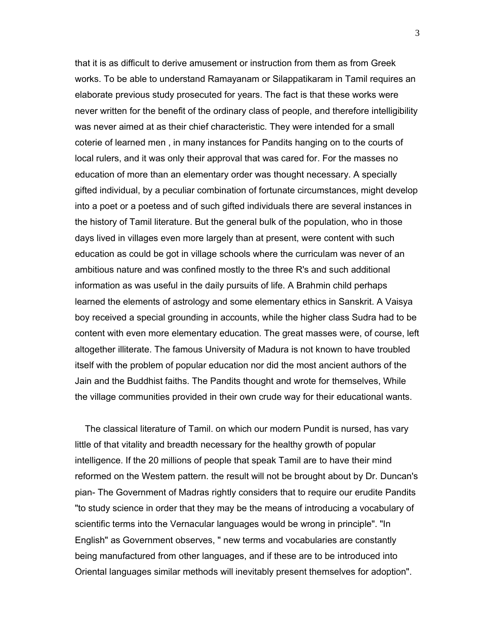that it is as difficult to derive amusement or instruction from them as from Greek works. To be able to understand Ramayanam or Silappatikaram in Tamil requires an elaborate previous study prosecuted for years. The fact is that these works were never written for the benefit of the ordinary class of people, and therefore intelligibility was never aimed at as their chief characteristic. They were intended for a small coterie of learned men , in many instances for Pandits hanging on to the courts of local rulers, and it was only their approval that was cared for. For the masses no education of more than an elementary order was thought necessary. A specially gifted individual, by a peculiar combination of fortunate circumstances, might develop into a poet or a poetess and of such gifted individuals there are several instances in the history of Tamil literature. But the general bulk of the population, who in those days lived in villages even more largely than at present, were content with such education as could be got in village schools where the curriculam was never of an ambitious nature and was confined mostly to the three R's and such additional information as was useful in the daily pursuits of life. A Brahmin child perhaps learned the elements of astrology and some elementary ethics in Sanskrit. A Vaisya boy received a special grounding in accounts, while the higher class Sudra had to be content with even more elementary education. The great masses were, of course, left altogether illiterate. The famous University of Madura is not known to have troubled itself with the problem of popular education nor did the most ancient authors of the Jain and the Buddhist faiths. The Pandits thought and wrote for themselves, While the village communities provided in their own crude way for their educational wants.

 The classical literature of Tamil. on which our modern Pundit is nursed, has vary little of that vitality and breadth necessary for the healthy growth of popular intelligence. If the 20 millions of people that speak Tamil are to have their mind reformed on the Westem pattern. the result will not be brought about by Dr. Duncan's pian- The Government of Madras rightly considers that to require our erudite Pandits "to study science in order that they may be the means of introducing a vocabulary of scientific terms into the Vernacular languages would be wrong in principle". "In English" as Government observes, " new terms and vocabularies are constantly being manufactured from other languages, and if these are to be introduced into Oriental languages similar methods will inevitably present themselves for adoption".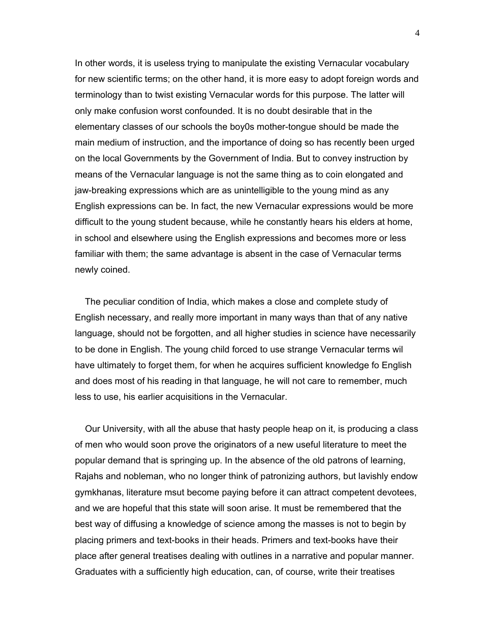In other words, it is useless trying to manipulate the existing Vernacular vocabulary for new scientific terms; on the other hand, it is more easy to adopt foreign words and terminology than to twist existing Vernacular words for this purpose. The latter will only make confusion worst confounded. It is no doubt desirable that in the elementary classes of our schools the boy0s mother-tongue should be made the main medium of instruction, and the importance of doing so has recently been urged on the local Governments by the Government of India. But to convey instruction by means of the Vernacular language is not the same thing as to coin elongated and jaw-breaking expressions which are as unintelligible to the young mind as any English expressions can be. In fact, the new Vernacular expressions would be more difficult to the young student because, while he constantly hears his elders at home, in school and elsewhere using the English expressions and becomes more or less familiar with them; the same advantage is absent in the case of Vernacular terms newly coined.

 The peculiar condition of India, which makes a close and complete study of English necessary, and really more important in many ways than that of any native language, should not be forgotten, and all higher studies in science have necessarily to be done in English. The young child forced to use strange Vernacular terms wil have ultimately to forget them, for when he acquires sufficient knowledge fo English and does most of his reading in that language, he will not care to remember, much less to use, his earlier acquisitions in the Vernacular.

 Our University, with all the abuse that hasty people heap on it, is producing a class of men who would soon prove the originators of a new useful literature to meet the popular demand that is springing up. In the absence of the old patrons of learning, Rajahs and nobleman, who no longer think of patronizing authors, but lavishly endow gymkhanas, literature msut become paying before it can attract competent devotees, and we are hopeful that this state will soon arise. It must be remembered that the best way of diffusing a knowledge of science among the masses is not to begin by placing primers and text-books in their heads. Primers and text-books have their place after general treatises dealing with outlines in a narrative and popular manner. Graduates with a sufficiently high education, can, of course, write their treatises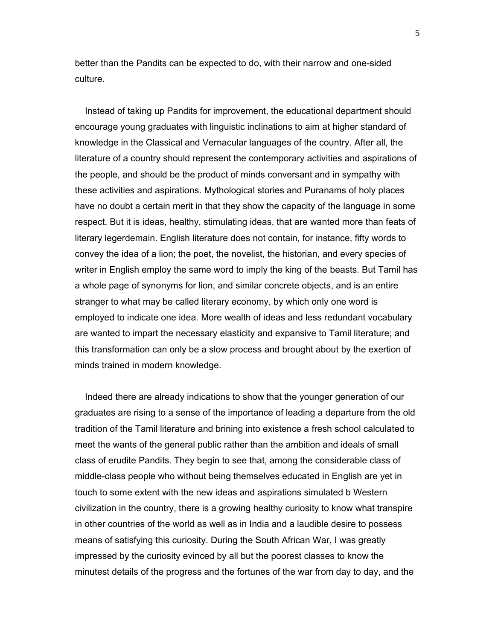better than the Pandits can be expected to do, with their narrow and one-sided culture.

 Instead of taking up Pandits for improvement, the educational department should encourage young graduates with linguistic inclinations to aim at higher standard of knowledge in the Classical and Vernacular languages of the country. After all, the literature of a country should represent the contemporary activities and aspirations of the people, and should be the product of minds conversant and in sympathy with these activities and aspirations. Mythological stories and Puranams of holy places have no doubt a certain merit in that they show the capacity of the language in some respect. But it is ideas, healthy, stimulating ideas, that are wanted more than feats of literary legerdemain. English literature does not contain, for instance, fifty words to convey the idea of a lion; the poet, the novelist, the historian, and every species of writer in English employ the same word to imply the king of the beasts. But Tamil has a whole page of synonyms for lion, and similar concrete objects, and is an entire stranger to what may be called literary economy, by which only one word is employed to indicate one idea. More wealth of ideas and less redundant vocabulary are wanted to impart the necessary elasticity and expansive to Tamil literature; and this transformation can only be a slow process and brought about by the exertion of minds trained in modern knowledge.

 Indeed there are already indications to show that the younger generation of our graduates are rising to a sense of the importance of leading a departure from the old tradition of the Tamil literature and brining into existence a fresh school calculated to meet the wants of the general public rather than the ambition and ideals of small class of erudite Pandits. They begin to see that, among the considerable class of middle-class people who without being themselves educated in English are yet in touch to some extent with the new ideas and aspirations simulated b Western civilization in the country, there is a growing healthy curiosity to know what transpire in other countries of the world as well as in India and a laudible desire to possess means of satisfying this curiosity. During the South African War, I was greatly impressed by the curiosity evinced by all but the poorest classes to know the minutest details of the progress and the fortunes of the war from day to day, and the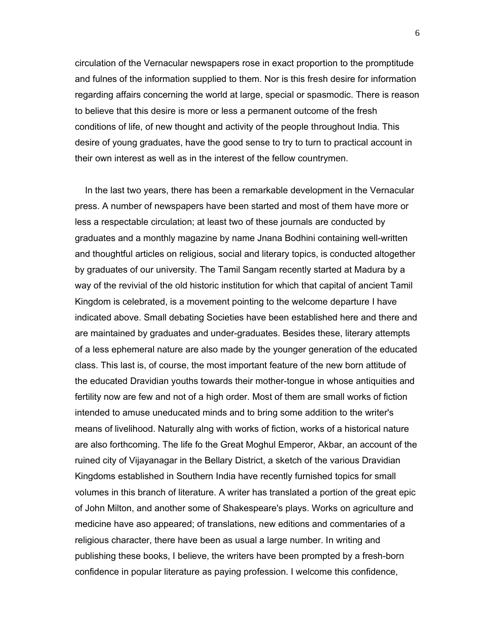circulation of the Vernacular newspapers rose in exact proportion to the promptitude and fulnes of the information supplied to them. Nor is this fresh desire for information regarding affairs concerning the world at large, special or spasmodic. There is reason to believe that this desire is more or less a permanent outcome of the fresh conditions of life, of new thought and activity of the people throughout India. This desire of young graduates, have the good sense to try to turn to practical account in their own interest as well as in the interest of the fellow countrymen.

 In the last two years, there has been a remarkable development in the Vernacular press. A number of newspapers have been started and most of them have more or less a respectable circulation; at least two of these journals are conducted by graduates and a monthly magazine by name Jnana Bodhini containing well-written and thoughtful articles on religious, social and literary topics, is conducted altogether by graduates of our university. The Tamil Sangam recently started at Madura by a way of the revivial of the old historic institution for which that capital of ancient Tamil Kingdom is celebrated, is a movement pointing to the welcome departure I have indicated above. Small debating Societies have been established here and there and are maintained by graduates and under-graduates. Besides these, literary attempts of a less ephemeral nature are also made by the younger generation of the educated class. This last is, of course, the most important feature of the new born attitude of the educated Dravidian youths towards their mother-tongue in whose antiquities and fertility now are few and not of a high order. Most of them are small works of fiction intended to amuse uneducated minds and to bring some addition to the writer's means of livelihood. Naturally alng with works of fiction, works of a historical nature are also forthcoming. The life fo the Great Moghul Emperor, Akbar, an account of the ruined city of Vijayanagar in the Bellary District, a sketch of the various Dravidian Kingdoms established in Southern India have recently furnished topics for small volumes in this branch of literature. A writer has translated a portion of the great epic of John Milton, and another some of Shakespeare's plays. Works on agriculture and medicine have aso appeared; of translations, new editions and commentaries of a religious character, there have been as usual a large number. In writing and publishing these books, I believe, the writers have been prompted by a fresh-born confidence in popular literature as paying profession. I welcome this confidence,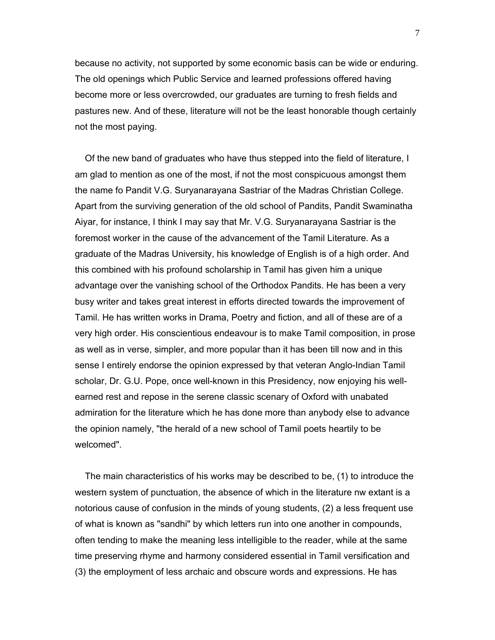because no activity, not supported by some economic basis can be wide or enduring. The old openings which Public Service and learned professions offered having become more or less overcrowded, our graduates are turning to fresh fields and pastures new. And of these, literature will not be the least honorable though certainly not the most paying.

 Of the new band of graduates who have thus stepped into the field of literature, I am glad to mention as one of the most, if not the most conspicuous amongst them the name fo Pandit V.G. Suryanarayana Sastriar of the Madras Christian College. Apart from the surviving generation of the old school of Pandits, Pandit Swaminatha Aiyar, for instance, I think I may say that Mr. V.G. Suryanarayana Sastriar is the foremost worker in the cause of the advancement of the Tamil Literature. As a graduate of the Madras University, his knowledge of English is of a high order. And this combined with his profound scholarship in Tamil has given him a unique advantage over the vanishing school of the Orthodox Pandits. He has been a very busy writer and takes great interest in efforts directed towards the improvement of Tamil. He has written works in Drama, Poetry and fiction, and all of these are of a very high order. His conscientious endeavour is to make Tamil composition, in prose as well as in verse, simpler, and more popular than it has been till now and in this sense I entirely endorse the opinion expressed by that veteran Anglo-Indian Tamil scholar, Dr. G.U. Pope, once well-known in this Presidency, now enjoying his wellearned rest and repose in the serene classic scenary of Oxford with unabated admiration for the literature which he has done more than anybody else to advance the opinion namely, "the herald of a new school of Tamil poets heartily to be welcomed".

 The main characteristics of his works may be described to be, (1) to introduce the western system of punctuation, the absence of which in the literature nw extant is a notorious cause of confusion in the minds of young students, (2) a less frequent use of what is known as "sandhi" by which letters run into one another in compounds, often tending to make the meaning less intelligible to the reader, while at the same time preserving rhyme and harmony considered essential in Tamil versification and (3) the employment of less archaic and obscure words and expressions. He has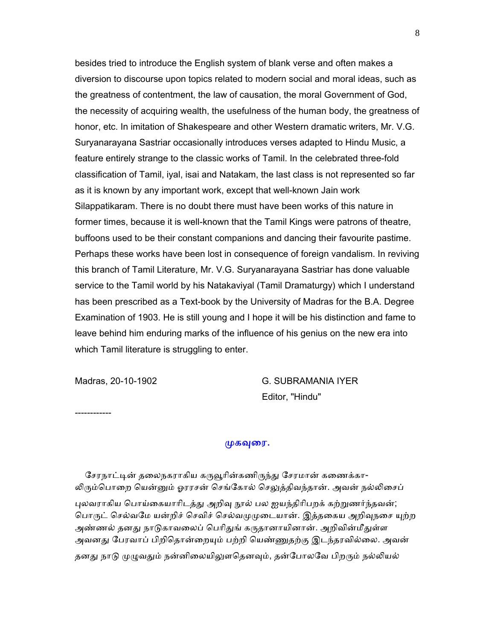besides tried to introduce the English system of blank verse and often makes a diversion to discourse upon topics related to modern social and moral ideas, such as the greatness of contentment, the law of causation, the moral Government of God, the necessity of acquiring wealth, the usefulness of the human body, the greatness of honor, etc. In imitation of Shakespeare and other Western dramatic writers, Mr. V.G. Suryanarayana Sastriar occasionally introduces verses adapted to Hindu Music, a feature entirely strange to the classic works of Tamil. In the celebrated three-fold classification of Tamil, iyal, isai and Natakam, the last class is not represented so far as it is known by any important work, except that well-known Jain work Silappatikaram. There is no doubt there must have been works of this nature in former times, because it is well-known that the Tamil Kings were patrons of theatre, buffoons used to be their constant companions and dancing their favourite pastime. Perhaps these works have been lost in consequence of foreign vandalism. In reviving this branch of Tamil Literature, Mr. V.G. Suryanarayana Sastriar has done valuable service to the Tamil world by his Natakaviyal (Tamil Dramaturgy) which I understand has been prescribed as a Text-book by the University of Madras for the B.A. Degree Examination of 1903. He is still young and I hope it will be his distinction and fame to leave behind him enduring marks of the influence of his genius on the new era into which Tamil literature is struggling to enter.

Madras, 20-10-1902 G. SUBRAMANIA IYER Editor, "Hindu"

------------

#### முகவுரை.

சேரநாட்டின் தலைநகராகிய கருவூரின்கணிருந்து சேரமான் கணைக்கா-லிரும்பொறை யென்னும் ஓரரசன் செங்கோல் செலுத்திவந்தான். அவன் நல்லிசைப் புலவராகிய பொய்கையாரிடத்து அறிவு நூல் பல ஐயந்திரிபறக் கற்றுணர்ந்தவன்; பொருட் செல்வமே யன்றிச் செவிச் செல்வமுமுடையான். இத்தகைய அறிவுநசை யுற்ற அண்ணல் தனது நாடுகாவலைப் பெரிதுங் கருதானாயினான். அறிவின்மீதுள்ள அவனது பேரவாப் பிறிதொன்றையும் பற்றி யெண்ணுதற்கு இடந்தரவில்லை. அவன் தனது நாடு முழுவதும் நன்னிலையிலுளதெனவும், தன்போலவே பிறரும் நல்லியல்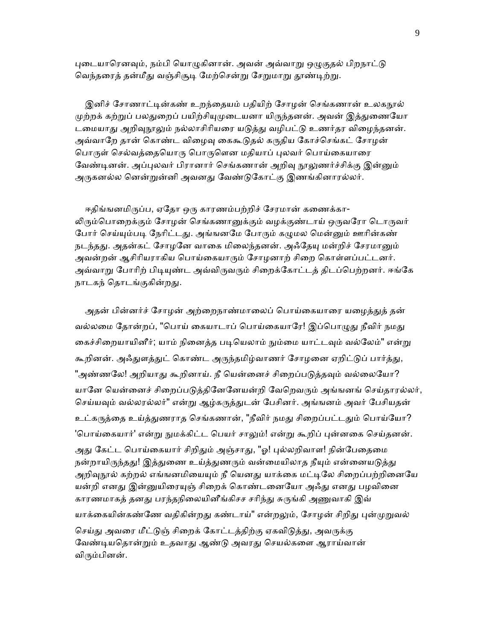புடையாரெனவும், நம்பி யொழுகினான். அவன் அவ்வாறு ஒழுகுதல் பிறநாட்டு வெந்தரைத் தன்மீது வஞ்சிசூடி மேற்சென்று சேறுமாறு தூண்டிற்று.

இனிச் சோணாட்டின்கண் உறந்தையம் பதியிற் சோழன் செங்கணான் உலகநூல் முற்றக் கற்றுப் பலதுறைப் பயிற்சியுமுடையனா யிருந்தனன். அவன் இத்துணையோ டமையாது அறிவுநூலும் நல்லாசிரியரை யடுத்து வழிபட்டு உணர்தர விழைந்தனன். அவ்வாறே தான் கொண்ட விழைவு கைகூடுதல் கருதிய கோச்செங்கட் சோழன் பொருள் செல்வத்தையொரு பொருளென மதியாப் புலவர் பொய்கையாரை வேண்டினன். அப்புலவர் பிரானார் செங்கணான் அறிவு நூலுணர்ச்சிக்கு இன்னும் அருகனல்ல னென்றுன்னி அவனது வேண்டுகோட்கு இணங்கினாரல்லர்.

ஈதிங்ஙனமிருப்ப, ஏதோ ஒரு காரணம்பற்றிச் சேரமான் கணைக்கா-லிரும்பொறைக்கும் சோழன் செங்கணானுக்கும் வழக்குண்டாய் ஒருவரோ டொருவர் போர் செய்யும்படி நேரிட்டது. அங்ஙனமே போரும் கழுமல மென்னும் ஊரின்கண் நடந்தது. அதன்கட் சோழனே வாகை மிலைந்தனன். அஃதேயு மன்றிச் சேரமானும் அவன்றன் ஆசிரியராகிய பொய்கையாரும் சோழனாற் சிறை கொள்ளப்பட்டனர். அவ்வாறு போரிற் பிடியுண்ட அவ்விருவரும் சிறைக்கோட்டத் திடப்பெற்றனர். ஈங்கே நாடகந் தொடங்குகின்றது.

அதன் பின்னர்ச் சோழன் அற்றைநாண்மாலைப் பொய்கையாரை யழைத்துத் தன் வல்லமை தோன்றப், "பொய் கையாடாப் பொய்கையாரே! இப்பொழுது நீவிர் நமது கைச்சிறையாயினீர்; யாம் நினைத்த படியெலாம் நும்மை யாட்டவும் வல்லேம்" என்று கூறினன். அஃதுளத்துட் கொண்ட அருந்தமிழ்வாணர் சோழனை ஏறிட்டுப் பார்த்து, "அண்ணலே! அறியாது கூறினாய். நீ யென்னைச் சிறைப்படுத்தவும் வல்லையோ? யானே யென்னைச் சிறைப்படுத்தினேனேயன்றி வேறெவரும் அங்ஙனங் செய்தாரல்லர், செய்யவும் வல்லரல்லர்" என்று ஆழ்கருத்துடன் பேசினர். அங்ஙனம் அவர் பேசியதன் உட்கருத்தை உய்த்துணராத செங்கணான், "நீவிர் நமது சிறைப்பட்டதும் பொய்யோ? 'பொய்கையார்' என்று நுமக்கிட்ட பெயர் சாலும்! என்று கூறிப் புன்னகை செய்தனன். அது கேட்ட பொய்கையார் சிறிதும் அஞ்சாது, "ஓ! புல்லறிவாள! நின்பேதைமை நன்றாயிருந்தது! இத்துணை உய்த்துணரும் வன்மையிலாத நீயும் என்னையடுத்து அறிவுநூல் கற்றல் எங்ஙனமியையும் நீ யெனது யாக்கை மட்டிலே சிறைப்பற்றினையே யன்றி எனது இன்னுயிரையுஞ் சிறைக் கொண்டனையோ அஃது எனது பழவினை காரணமாகத் தனது பரந்தநிலையினீங்கிசச சரிந்து சுருங்கி அணுவாகி இவ் யாக்கையின்கண்ணே வதிகின்றது கண்டாய்" என்றலும், சோழன் சிறிது புன்முறுவல் செய்து அவரை மீட்டுஞ் சிறைக் கோட்டத்திற்கு ஏகவிடுத்து, அவருக்கு வேண்டியதொன்றும் உதவாது ஆண்டு அவரது செயல்களை ஆராய்வான் விரும்பினன்.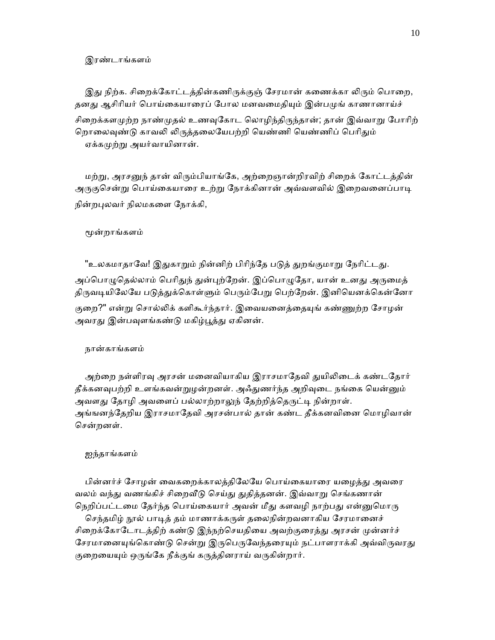#### இரண்டாங்களம்

இது நிற்க. சிறைக்கோட்டத்தின்கணிருக்குஞ் சேரமான் கணைக்கா லிரும் பொறை, தனது ஆசிரியர் பொய்கையாரைப் போல மனவமைதியும் இன்பமுங் காணானாய்ச் சிறைக்களமுற்ற நாண்முதல் உணவுகோட லொழிந்திருந்தான்; தான் இவ்வாறு போரிற் றொலைவுண்டு காவலி லிருத்தலையேபற்றி யெண்ணி யெண்ணிப் பெரிதும் ஏக்கமுற்று அயர்வாயினான்.

மற்று, அரசனுந் தான் விரும்பியாங்கே, அற்றைஞான்றிரவிற் சிறைக் கோட்டத்தின் அருகுசென்று பொய்கையாரை உற்று நோக்கினான் அவ்வளவில் இறைவனைப்பாடி நின்றபுலவர் நிலமகளை நோக்கி,

#### ᾚன்றாங்களம்

"உலகமாதாவே! இதுகாறும் நின்னிற் பிரிந்தே படுத் துறங்குமாறு நேரிட்டது. அப்பொழுதெல்லாம் பெரிதுந் துன்புற்றேன். இப்பொழுதோ, யான் உனது அருமைத் திருவடியிலேயே படுத்துக்கொள்ளும் பெரும்பேறு பெற்றேன். இனியெனக்கென்னோ குறை?" என்று சொல்லிக் களிகூர்ந்தார். இவையனைத்தையுங் கண்ணுற்ற சோழன் அவரது இன்பவுளங்கண்டு மகிழ்பூத்து ஏகினன்.

#### நான்காங்களம்

அற்றை நள்ளிரவு அரசன் மனைவியாகிய இராசமாதேவி துயிலிடைக் கண்டதோர் தீக்கனவுபற்றி உளங்கவன்றுழன்றனள். அஃதுணர்ந்த அறிவுடை நங்கை யென்னும் அவளது தோழி அவளைப் பல்லாற்றாலுந் தேற்றித்தெருட்டி நின்றாள். அங்ஙனந்தேறிய இராசமாதேவி அரசன்பால் தான் கண்ட தீக்கனவினை மொழிவான் ெசன்றனள்.

#### ஐந்தாங்களம்

பின்னர்ச் சோழன் வைகறைக்காலத்திலேயே பொய்கையாரை யழைத்து அவரை வலம் வந்து வணங்கிச் சிறைவீடு செய்து துதித்தனன். இவ்வாறு செங்கணான் நெறிப்பட்டமை தேர்ந்த பொய்கையார் அவன் மீது களவழி நாற்பது என்னுமொரு

செந்தமிழ் நூல் பாடித் தம் மாணாக்கருள் தலைநின்றவனாகிய சேரமானைச் சிறைக்கோடோடத்திற் கண்டு இந்நற்செயதியை அவற்குரைத்து அரசன் முன்னர்ச் சேரமானையுங்கொண்டு சென்று இருபெருவேந்தரையும் நட்பாளராக்கி அவ்விருவரது குறையையும் ஒருங்கே நீக்குங் கருத்தினராய் வருகின்றார்.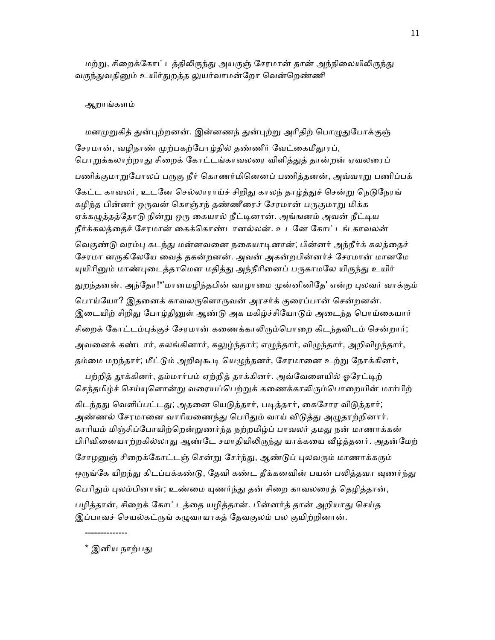மற்று, சிறைக்கோட்டத்திலிருந்து அயருஞ் சேரமான் தான் அந்நிலையிலிருந்து வருந்துவதினும் உயிர்துறத்த லுயர்வாமன்றோ வென்றெண்ணி

#### ஆறாங்களம்

மனமுறுகித் துன்புற்றனன். இன்னணந் துன்புற்று அரிதிற் பொழுதுபோக்குஞ் சேரமான், வழிநாண் முற்பகற்போழ்தில் தண்ணீர் வேட்கைமீதூரப், பொறுக்கலாற்றாது சிறைக் கோட்டங்காவலரை விளித்துத் தான்றன் ஏவலரைப் பணிக்குமாறுபோலப் பருகு நீர் கொணர்மினெனப் பணித்தனன், அவ்வாறு பணிப்பக் கேட்ட காவலர், உடனே செல்லாராய்ச் சிறிது காலந் தாழ்த்துச் சென்று நெடுநேரங் கழிந்த பின்னர் ஒருவன் கொஞ்சந் தண்ணீரைச் சேரமான் பருகுமாறு மிக்க ஏக்கழுத்தத்தோடு நின்று ஒரு கையால் நீட்டினான். அங்ஙனம் அவன் நீட்டிய நீர்க்கலத்ைதச் ேசரமான் ைகக்ெகாண்டானல்லன். உடேன ேகாட்டங் காவலன் வெகுண்டு வரம்பு கடந்து மன்னவனை நகையாடினான்; பின்னர் அந்நீர்க் கலத்தைச் சேரமா னருகிலேயே வைத் தகன்றனன். அவன் அகன்றபின்னர்ச் சேரமான் மானமே யுயிரினும் மாண்புடைத்தாமென மதித்து அந்நீரினைப் பருகாமலே யிருந்து உயிர் துறந்தனன். அந்தோ!\*'மானமழிந்தபின் வாழாமை முன்னினிதே' என்ற புலவர் வாக்கும் பொய்யோ? இதனைக் காவலருளொருவன் அரசர்க் குரைப்பான் சென்றனன். இடையிற் சிறிது போழ்தினுள் ஆண்டு அக மகிழ்ச்சியோடும் அடைந்த பொய்கையார் சிறைக் கோட்டம்புக்குச் சேரமான் கணைக்காலிரும்பொறை கிடந்தவிடம் சென்றார்; அவனைக் கண்டார், கலங்கினார், கலுழ்ந்தார்; எழுந்தார், விழுந்தார், அறிவிழந்தார், தம்மை மறந்தார்; மீட்டும் அறிவுகூடி யெழுந்தனர், சேரமானை உற்று நோக்கினர்,

பற்றித் தூக்கினர், தம்மார்பம் ஏற்றித் தாக்கினர். அவ்வேளையில் ஓரேட்டிற் செந்தமிழ்ச் செய்யுளொன்று வரையப்பெற்றுக் கணைக்காலிரும்பொறையின் மார்பிற் கிடந்தது வெளிப்பட்டது; அதனை யெடுத்தார், படித்தார், கைசோர விடுத்தார்; அண்ணல் சேரமானை வாரியணைந்து பெரிதும் வாய் விடுத்து அழுதரற்றினார். காரியம் மிஞ்சிப்போயிற்றென்றுணர்ந்த நற்றமிழ்ப் பாவலர் தமது நன் மாணாக்கன் பிரிவினையாற்றகில்லாது ஆண்டே சமாதியிலிருந்து யாக்கயை வீழ்த்தனர். அதன்மேற் சோழனுஞ் சிறைக்கோட்டஞ் சென்று சேர்ந்து, ஆண்டுப் புலவரும் மாணாக்கரும் ஒருங்கே யிறந்து கிடப்பக்கண்டு, தேவி கண்ட தீக்கனவின் பயன் பலித்தவா வுணர்ந்து பெரிதும் புலம்பினான்; உண்மை யுணர்ந்து தன் சிறை காவலரைத் தெழித்தான், பழித்தான், சிறைக் கோட்டத்தை யழித்தான். பின்னர்த் தான் அறியாது செய்த இப்பாவச் செயல்கட்ருங் கழுவாயாகத் தேவகுலம் பல குயிற்றினான்.

\* இனிய நாற்பது

--------------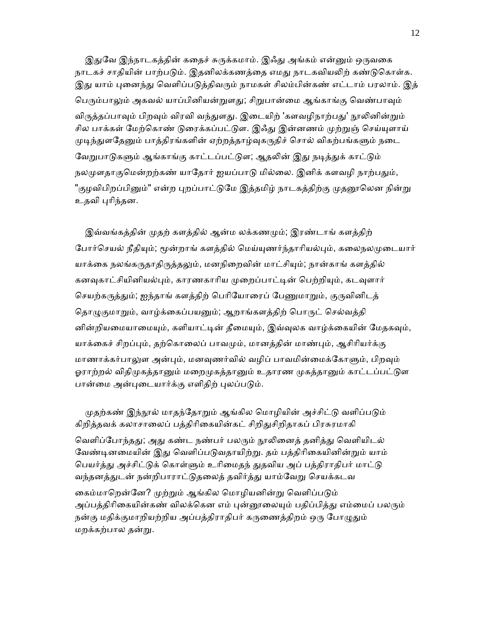இதுவே இந்நாடகத்தின் கதைச் சுருக்கமாம். இஃது அங்கம் என்னும் ஒருவகை நாடகச் சாதியின் பாற்படும். இதனிலக்கணத்தை எமது நாடகவியலிற் கண்டுகொள்க. இது யாம் புனைந்து வெளிப்படுத்திவரும் நாமகள் சிலம்பின்கண் எட்டாம் பரலாம். இத் பெரும்பாலும் அகவல் யாப்பினியன்றுளது; சிறுபான்மை ஆங்காங்கு வெண்பாவும் விருத்தப்பாவும் பிறவும் விரவி வந்துளது. இடையிற் 'களவழிநாற்பது' நூலினின்றும் சில பாக்கள் மேற்கொண் டுரைக்கப்பட்டுள. இஃது இன்னணம் முற்றுஞ் செய்யுளாய் முடிந்துளதேனும் பாத்திரங்களின் ஏற்றத்தாழ்வுகருதிச் சொல் விகற்பங்களும் நடை வேறுபாடுகளும் ஆங்காங்கு காட்டப்பட்டுள; ஆதலின் இது நடித்துக் காட்டும் நலமுளதாகுமென்றற்கண் யாதோர் ஐயப்பாடு மில்லை. இனிக் களவழி நாற்பதும், "குழவிபிறப்பினும்" என்ற புறப்பாட்டுமே இத்தமிழ் நாடகத்திற்கு முதனூலென நின்று உதவி ᾗாிந்தன.

இவ்வங்கத்தின் முதற் களத்தில் ஆன்ம லக்கணமும்; இரண்டாங் களத்திற் போர்செயல் நீதியும்; மூன்றாங் களத்தில் மெய்யுணர்ந்தாரியல்பும், கலைநலமுடையார் யாக்கை நலங்கருதாதிருத்தலும், மனநிறைவின் மாட்சியும்; நான்காங் களத்தில் கனவுகாட்சியினியல்பும், காரணகாரிய முறைப்பாட்டின் பெற்றியும், கடவுளார் செயற்கருத்தும்; ஐந்தாங் களத்திற் பெரியோரைப் பேணுமாறும், குருவினிடத் தொழுகுமாறும், வாழ்க்கைப்பயனும்; ஆறாங்களத்திற் பொருட் செல்வத்தி னின்றியமையாமையும், களியாட்டின் தீமையும், இவ்வுலக வாழ்க்கையின் மேதகவும், யாக்கைச் சிறப்பும், தற்கொலைப் பாவமும், மானத்தின் மாண்பும், ஆசிரியர்க்கு மாணாக்கர்பாலுள அன்பும், மனவுணர்வில் வழிப் பாவமின்மைக்கோளும், பிறவும் ஓராற்றல் விதிமுகத்தானும் மறைமுகத்தானும் உதாரண முகத்தானும் காட்டப்பட்டுள பான்மை அன்புடையார்க்கு எளிதிற் புலப்படும்.

முதற்கண் இந்நூல் மாதந்தோறும் ஆங்கில மொழியின் அச்சிட்டு வளிப்படும் கிறித்தவக் கலாசாலைப் பத்திரிகையின்கட் சிறிதுசிறிதாகப் பிரசுரமாகி

வெளிப்போந்தது; அது கண்ட நண்பர் பலரும் நூலினைத் தனித்து வெளியிடல் வேண்டினமையின் இது வெளிப்படுவதாயிற்று. தம் பத்திரிகையினின்றும் யாம் பெயர்த்து அச்சிட்டுக் கொள்ளும் உரிமைதந் துதவிய அப் பத்திராதிபர் மாட்டு வந்தனத்துடன் நன்றிபாராட்டுதலைத் தவிர்த்து யாம்வேறு செயக்கடவ

கைம்மாறென்னே? முற்றும் ஆங்கில மொழியனின்று வெளிப்படும் அப்பத்திரிகையின்கண் விலக்கென எம் புன்னூலையும் பதிப்பித்து எம்மைப் பலரும் நன்கு மதிக்குமாறியற்றிய அப்பத்திராதிபர் கருணைத்திறம் ஒரு போழுதும் மறக்கற்பால தன்ᾠ.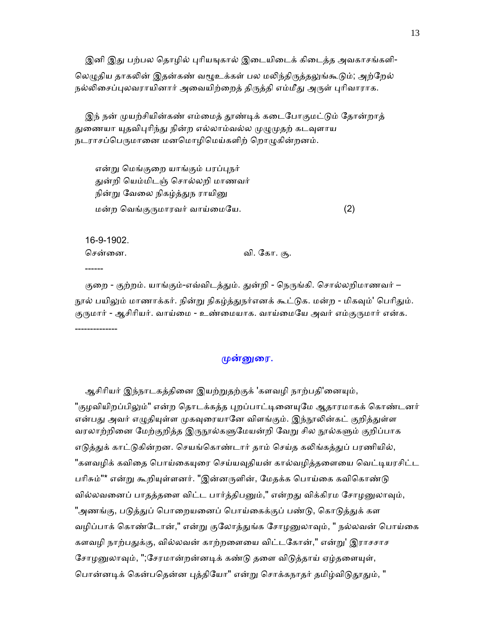இனி இது பற்பல தொழில் புரியஙுகால் இடையிடைக் கிடைத்த அவகாசங்களி-லெழுதிய தாகலின் இதன்கண் வழூஉக்கள் பல மலிந்திருத்தலுங்கூடும்; அற்றேல் நல்லிசைப்புலவராயினார் அவையிற்றைத் திருத்தி எம்மீது அருள் புரிவாராக.

இந் நன் முயற்சியின்கண் எம்மைத் தூண்டிக் கடைபோகுமட்டும் தோன்றாத் துணையா யுதவிபுரிந்து நின்ற எல்லாம்வல்ல முழுமுதற் கடவுளாய நடராசப்பெருமானை மனமொழிமெய்களிற் றொழுகின்றனம்.

என்று மெங்குறை யாங்கும் பரப்புநர் ᾐன்றி ெயம்மிடஞ் ெசால்லறி மாணவர் நின்று வேலை நிகழ்த்துந ராயினு மன்ற வெங்குருமாரவர் வாய்மையே. (2)

 16-9-1902. ெசன்ைன. வி. ேகா. சூ.

------

குறை - குற்றம். யாங்கும்-எவ்விடத்தும். துன்றி - நெருங்கி. சொல்லறிமாணவர் – நூல் பயிலும் மாணாக்கர். நின்று நிகழ்த்துநர்எனக் கூட்டுக. மன்ற - மிகவும்' பெரிதும். குருமார் - ஆசிரியர். வாய்மை - உண்மையாக. வாய்மையே அவர் எம்குருமார் என்க. --------------

## முன்னுரை.

ஆசிரியர் இந்நாடகத்தினை இயற்றுதற்குக் 'களவழி நாற்பதி'னையும், "குழவியிறப்பிலும்" என்ற தொடக்கத்த புறப்பாட்டினையுமே ஆதாரமாகக் கொண்டனர் என்பது அவர் எழுதியுள்ள முகவுரையானே விளங்கும். இந்நூலின்கட் குறித்துள்ள வரலாற்றினை மேற்குறித்த இருநூல்களுமேயன்றி வேறு சில நூல்களும் குறிப்பாக எடுத்துக் காட்டுகின்றன. செயங்கொண்டார் தாம் செய்த கலிங்கத்துப் பரணியில், "களவழிக் கவிதை பொய்கையுரை செய்யவுதியன் கால்வழித்தளையை வெட்டியரசிட்ட பரிசும்"\* என்று கூறியுள்ளனர். "இன்னருளின், மேதக்க பொய்கை கவிகொண்டு வில்லவனைப் பாதத்தளை விட்ட பார்த்திபனும்," என்றது விக்கிரம சோழனுலாவும், "அணங்கு, படுத்துப் பொறையனைப் பொய்கைக்குப் பண்டு, கொடுத்துக் கள வழிப்பாக் கொண்டோன்," என்று குலோத்துங்க சோழனுலாவும், " நல்லவன் பொய்கை களவழி நாற்பதுக்கு, வில்லவன் காற்றளையை விட்டகோன்," என்று' இராசசாச சோழனுலாவும், ";சேரமான்றன்னடிக் கண்டு தளை விடுத்தாய் ஏழ்தளையுள், பொன்னடிக் கென்பதென்ன புத்தியோ" என்று சொக்கநாதர் தமிழ்விடுதூதும், "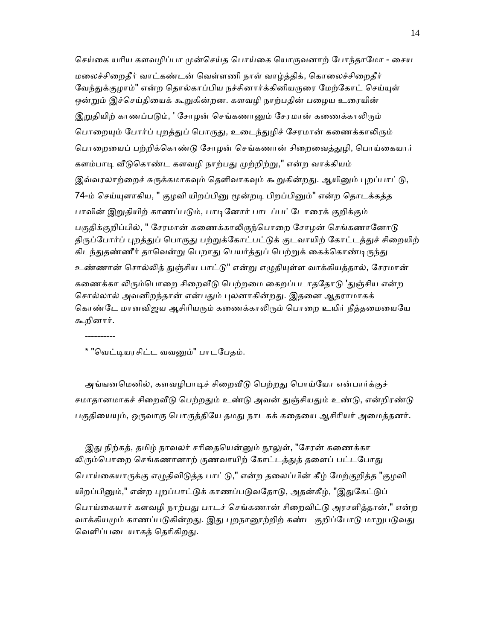செய்கை யரிய களவழிப்பா முன்செய்த பொய்கை யொருவனாற் போந்தாமோ - சைய மலைச்சிறைதீர் வாட்கண்டன் வெள்ளணி நாள் வாழ்த்திக், கொலைச்சிறைதீர் வேந்துக்குழாம்" என்ற தொல்காப்பிய நச்சினார்க்கினியருரை மேற்கோட் செய்யுள் ஒன்றும் இச்செய்தியைக் கூறுகின்றன. களவழி நாற்பதின் பழைய உரையின் இறுதியிற் காணப்படும், ' சோழன் செங்கணானும் சேரமான் கணைக்காலிரும் பொறையும் போர்ப் புறத்துப் பொருது, உடைந்துழிச் சேரமான் கணைக்காலிரும் பொறையைப் பற்றிக்கொண்டு சோழன் செங்கணான் சிறைவைத்துழி, பொய்கையார் களம்பாடி வீடுகொண்ட களவழி நாற்பது முற்றிற்று," என்ற வாக்கியம் இவ்வரலாற்றைச் சுருக்கமாகவும் தெளிவாகவும் கூறுகின்றது. ஆயினும் புறப்பாட்டு, 74-ம் செய்யுளாகிய, " குழவி யிறப்பினு மூன்றடி பிறப்பினும்" என்ற தொடக்கத்த பாவின் இறுதியிற் காணப்படும், பாடினோர் பாடப்பட்டோரைக் குறிக்கும் பகுதிக்குறிப்பில், " சேரமான் கணைக்காலிருந்பொறை சோழன் செங்கணானோடு திருப்போர்ப் புறத்துப் பொருது பற்றுக்கோட்பட்டுக் குடவாயிற் கோட்டத்துச் சிறையிற் கிடந்துதண்ணீர் தாவென்று பெறாது பெயர்த்துப் பெற்றுக் கைக்கொண்டிருந்து உண்ணான் சொல்லித் துஞ்சிய பாட்டு" என்று எழுதியுள்ள வாக்கியத்தால், சேரமான் கணைக்கா லிரும்பொறை சிறைவீடு பெற்றமை கைறப்படாததோடு 'துஞ்சிய என்ற சொல்லால் அவனிறந்தான் என்பதும் புலனாகின்றது. இதனை ஆதராமாகக் கொண்டே மானவிஜய ஆசிரியரும் கணைக்காலிரும் பொறை உயிர் நீத்தமையையே கூறினார்.

----------

\* "வெட்டியரசிட்ட வவனும்" பாடபேதம்.

அங்ஙனமெனில், களவழிபாடிச் சிறைவீடு பெற்றது பொய்யோ என்பார்க்குச் சமாதானமாகச் சிறைவீடு பெற்றதும் உண்டு அவன் துஞ்சியதும் உண்டு, என்றிரண்டு பகுதியையும், ஒருவாரு பொருத்தியே தமது நாடகக் கதையை ஆசிரியர் அமைத்தனர்.

இது நிற்கத், தமிழ் நாவலர் சரிதையென்னும் நூலுள், "சேரன் கணைக்கா லிரும்பொறை செங்கணானாற் குணவாயிற் கோட்டத்துத் தளைப் பட்டபோது பொய்கையாருக்கு எழுதிவிடுத்த பாட்டு," என்ற தலைப்பின் கீழ் மேற்குறித்த "குழவி யிறப்பினும்," என்ற புறப்பாட்டுக் காணப்படுவதோடு, அதன்கீழ், "இதுகேட்டுப் பொய்கையார் களவழி நாற்பது பாடச் செங்கணான் சிறைவிட்டு அரசளித்தான்," என்ற வாக்கியமும் காணப்படுகின்றது. இது புறநானூற்றிற் கண்ட குறிப்போடு மாறுபடுவது வெளிப்படையாகத் தெரிகிறது.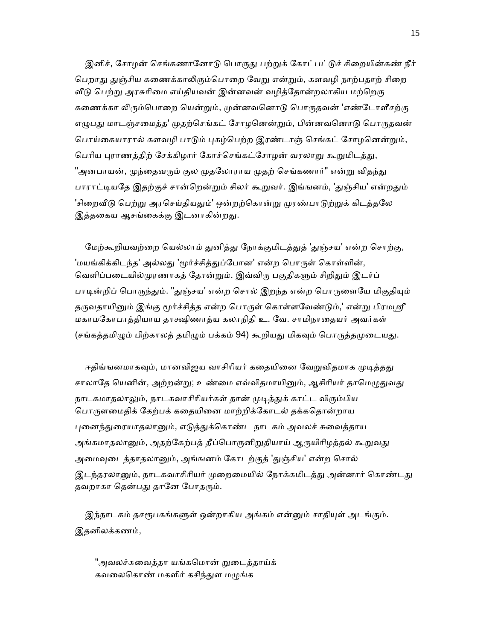இனிச், சோழன் செங்கணானோடு பொருது பற்றுக் கோட்பட்டுச் சிறையின்கண் நீர் பெறாது துஞ்சிய கணைக்காலிரும்பொறை வேறு என்றும், களவழி நாற்பதாற் சிறை வீடு பெற்று அரசுரிமை எய்தியவன் இன்னவன் வழித்தோன்றலாகிய மற்றெரு கணைக்கா லிரும்பொறை யென்றும், முன்னவனொடு பொருதவன் 'எண்டோளீசற்கு எழுபது மாடஞ்சமைத்த' முதற்செங்கட் சோழனென்றும், பின்னவனொடு பொருதவன் பொய்கையாரால் களவழி பாடும் புகழ்பெற்ற இரண்டாஞ் செங்கட் சோழனென்றும், பெரிய புராணத்திற் சேக்கிழார் கோச்செங்கட்சோழன் வரலாறு கூறுமிடத்து, "அனபாயன், முந்தைவரும் குல முதலோராய முதற் செங்கணார்" என்று விதந்து பாராட்டியதே இதற்குச் சான்றென்றும் சிலர் கூறுவர். இங்ஙனம், 'துஞ்சிய' என்றதும் 'சிறைவீடு பெற்று அரசெய்தியதும்' ஒன்றற்கொன்று முரண்பாடுற்றுக் கிடத்தலே இத்தகைய ஆசங்கைக்கு இடனாகின்றது.

மேற்கூறியவற்றை யெல்லாம் துனித்து நோக்குமிடத்துத் 'துஞ்சய' என்ற சொற்கு, 'மயங்கிக்கிடந்த' அல்லது 'மூர்ச்சித்துப்போன' என்ற பொருள் கொள்ளின், வெளிப்படையில்முரணாகத் தோன்றும். இவ்விரு பகுதிகளும் சிறிதும் இடர்ப் பாடின்றிப் பொருந்தும். "துஞ்சய' என்ற சொல் இறந்த என்ற பொருளையே மிகுதியும் தருவதாயினும் இங்கு மூர்ச்சித்த என்ற பொருள் கொள்ளவேண்டும்,' என்று பிரமஸ்ரீ மகாமேகாபாத்தியாய தாக்ஷிணாத்ய கலாநிதி உ. ேவ. சாமிநாைதயர் அவர்கள் (சங்கத்தமிழும் பிற்காலத் தமிழும் பக்கம் 94) கூறியது மிகவும் பொருத்தமுடையது.

ஈதிங்ஙனமாகவும், மானவிஜய வாசிரியர் கதையினை வேறுவிதமாக முடித்தது சாலாதே யெனின், அற்றன்று; உண்மை எவ்விதமாயினும், ஆசிரியர் தாமெழுதுவது நாடகமாதலாலும், நாடகவாசிரியர்கள் தான் முடித்துக் காட்ட விரும்பிய பொருளமைதிக் கேற்பக் கதையினை மாற்றிக்கோடல் தக்கதொன்றாய புனைந்துரையாதலானும், எடுத்துக்கொண்ட நாடகம் அவலச் சுவைத்தாய அங்கமாதலானும், அதற்கேற்பத் தீப்பொருனிறுதியாய் ஆருயிரிழத்தல் கூறுவது அமைவுடைத்தாதலானும், அங்ஙனம் கோடற்குத் 'துஞ்சிய' என்ற சொல் இடந்தரலானும், நாடகவாசிரியர் முறைமையில் நோக்கமிடத்து அன்னார் கொண்டது தவறாகா தென்பது தானே போதரும்.

இந்நாடகம் தசரூபகங்களுள் ஒன்றாகிய அங்கம் என்னும் சாதியுள் அடங்கும். இதனிலக்கணம்,

"அவலச்சுவைத்தா யங்கமொன் றுடைத்தாய்க் கவலைகொண் மகளிர் கசிந்துள மழுங்க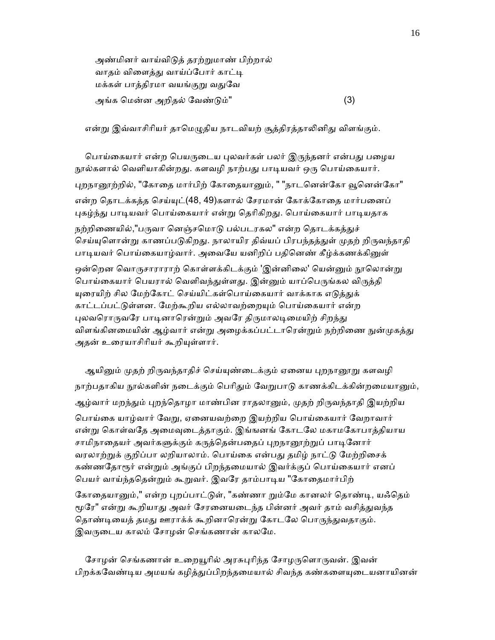அண்மினர் வாய்விᾌத் தரற்ᾠமாண் பிற்றால் வாதம் விளைத்து வாய்ப்போர் காட்டி மக்கள் பாத்திரமா வயங்குறு வதுவே அங்க ெமன்ன அறிதல் ேவண்ᾌம்" (3)

என்று இவ்வாசிரியர் தாமெழுதிய நாடவியற் சூத்திரத்தாலினிது விளங்கும்.

பொய்கையார் என்ற பெயருடைய புலவர்கள் பலர் இருந்தனர் என்பது பழைய நூல்களால் வெளியாகின்றது. களவழி நாற்பது பாடியவர் ஒரு பொய்கையார். புறநானூற்றில், "கோதை மார்பிற் கோதையானும், " "நாடனென்கோ வூனென்கோ" என்ற தொடக்கத்த செய்யுட்(48, 49)களால் சேரமான் கோக்கோதை மார்பனைப் புகழ்ந்து பாடியவர் பொய்கையார் என்று தெரிகிறது. பொய்கையார் பாடியதாக நற்றிணையில்,"பருவா னெஞ்சமொடு பல்படரகல" என்ற தொடக்கத்துச் செய்யுளொன்று காணப்படுகிறது. நாலாயிர திவ்யப் பிரபந்தத்துள் முதற் றிருவந்தாதி பாடியவர் பொய்கையாழ்வார். அவையே யனிறிப் பதினெண் கீழ்க்கணக்கினுள் ஒன்றென வொருசாராராற் கொள்ளக்கிடக்கும் 'இன்னிலை' யென்னும் நூலொன்று பொய்கையார் பெயரால் வெளிவந்துள்ளது. இன்னும் யாப்பெருங்கல விருத்தி யுரையிற் சில மேற்கோட் செய்யிட்கள்பொய்கையார் வாக்காக எடுத்துக் காட்டப்பட்டுள்ளன. மேற்கூறிய எல்லாவற்றையும் பொய்கையார் என்ற புலவரொருவரே பாடினாரென்றும் அவரே திருமாலடிமையிற் சிறந்து விளங்கினமையின் ஆழ்வார் என்று அழைக்கப்பட்டாரென்றும் நற்றிணை நுன்முகத்து அதன் உரையாசிரியர் கூறியுள்ளார்.

ஆயினும் முதற் றிருவந்தாதிச் செய்யுண்டைக்கும் ஏனைய புறநானூறு களவழி நாற்பதாகிய நூல்களின் நடைக்கும் பெரிதும் வேறுபாடு காணக்கிடக்கின்றமையானும், ஆழ்வார் மறந்தும் புறந்தொழா மாண்பின ராதலானும், முதற் றிருவந்தாதி இயற்றிய பொய்கை யாழ்வார் வேறு, ஏனையவற்றை இயற்றிய பொய்கையார் வேறாவார் என்று கொள்வதே அமைவுடைத்தாகும். இங்ஙனங் கோடலே மகாமகோபாத்தியாய சாமிநாதையர் அவர்களுக்கும் கருத்தென்பதைப் புறநானூற்றுப் பாடினோர் வரலாற்றுக் குறிப்பா லறியாலாம். பொய்கை என்பது தமிழ் நாட்டு மேற்றிசைக் கண்ணதோரூர் என்றும் அங்குப் பிறந்தமையால் இவர்க்குப் பொய்கையார் எனப் பெயர் வாய்ந்ததென்றும் கூறுவர். இவரே தாம்பாடிய "கோதைமார்பிற் கோதையானும்," என்ற புறப்பாட்டுள், "கண்ணா றும்மே கானலர் தொண்டி, யஃதெம் மூரே" என்று கூறியாது அவர் சேரனையடைந்த பின்னர் அவர் தாம் வசித்துவந்த தொண்டியைத் தமது ஊராக்க் கூறினாரென்று கோடலே பொருந்துவதாகும். இவருடைய காலம் சோழன் செங்கணான் காலமே.

சோழன் செங்கணான் உறையூரில் அரசுபுரிந்த சோழருளொருவன். இவன் பிறக்கவேண்டிய அமயங் கழித்துப்பிறந்தமையால் சிவந்த கண்களையுடையனாயினன்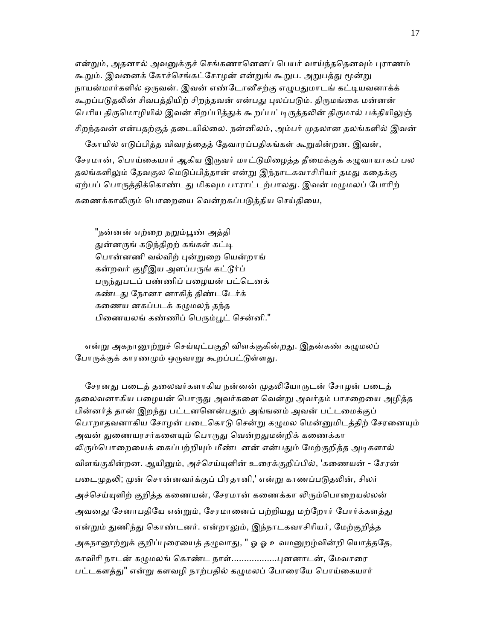என்றும், அதனால் அவனுக்குச் செங்கணானெனப் பெயர் வாய்ந்ததெனவும் புராணம் கூறும். இவனைக் கோச்செங்கட்சோழன் என்றுங் கூறுப. அறுபத்து மூன்று நாயன்மார்களில் ஒருவன். இவன் எண்டோனீசற்கு எழுபதுமாடங் கட்டியவனாக்க் கூறப்படுதலின் சிவபத்தியிற் சிறந்தவன் என்பது புலப்படும். திருமங்கை மன்னன் பெரிய திருமொழியில் இவன் சிறப்பித்துக் கூறப்பட்டிருத்தலின் திருமால் பக்தியிலுஞ் சிறந்தவன் என்பதற்குத் தடையில்லை. நன்னிலம், அம்பர் முதலான தலங்களில் இவன்

கோயில் எடுப்பித்த விவரத்தைத் தேவாரப்பதிகங்கள் கூறுகின்றன. இவன், சேரமான், பொய்கையார் ஆகிய இருவர் மாட்டுமிழைத்த தீமைக்குக் கழுவாயாகப் பல தலங்களிலும் தேவகுல மெடுப்பித்தான் என்று இந்நாடகவாசிரியர் தமது கதைக்கு ஏற்பப் பொருத்திக்கொண்டது மிகவும பாராட்டற்பாலது. இவன் மழுமலப் போரிற் கணைக்காலிரும் பொறையை வென்றகப்படுத்திய செய்தியை,

"நன்னன் எற்றை நறும்பூண் அத்தி துன்னருங் கடுந்திறற் கங்கள் கட்டி பொன்னணி வல்விற் புன்றுறை யென்றாங் கன்றவர் குழீஇய அளப்பருங் கட்டூர்ப் பருந்துபடப் பண்ணிப் பழையன் பட்டெனக் கண்டᾐ ேநானா னாகித் திண்டேடர்க் கணைய னகப்படக் கழுமலந் தந்த பிணையலங் கண்ணிப் பெரும்பூட் சென்னி."

என்று அகநானூற்றுச் செய்யுட்பகுதி விளக்குகின்றது. இதன்கண் கழுமலப் போருக்குக் காரணமும் ஒருவாறு கூறப்பட்டுள்ளது.

சேரனது படைத் தலைவர்களாகிய நன்னன் முதலியோருடன் சோழன் படைத் தலைவனாகிய பழையன் பொருது அவர்களை வென்று அவர்தம் பாசறையை அழித்த பின்னர்த் தான் இறந்து பட்டனனென்பதும் அங்ஙனம் அவன் பட்டமைக்குப் பொறாதவனாகிய சோழன் படைகொடு சென்று கழுமல மென்னுமிடத்திற் சேரனையும் அவன் துணையரசர்களையும் பொருது வென்றதுமன்றிக் கணைக்கா லிரும்பொறையைக் கைப்பற்றியும் மீண்டனன் என்பதும் மேற்குறித்த அடிகளால் விளங்குகின்றன. ஆயினும், அச்செய்யுளின் உரைக்குறிப்பில், 'கணையன் - சேரன் படைமுதலி; முன் சொன்னவர்க்குப் பிரதானி,' என்று காணப்படுதலின், சிலர் அச்செய்யுளிற் குறித்த கணையன், சேரமான் கணைக்கா லிரும்பொறையல்லன் அவனது சேனாபதியே என்றும், சேரமானைப் பற்றியது மற்றோர் போர்க்களத்து என்றும் துணிந்து கொண்டனர். என்றாலும், இந்நாடகவாசிரியர், மேற்குறித்த அகநானூற்றுக் குறிப்புரையைத் தழுவாது, " ஓ ஓ உவமனுறழ்வின்றி யொத்ததே, காவிரி நாடன் கமுமலங் கொண்ட நாள்.................புனனாடன், மேவாரை பட்டகளத்து" என்று களவழி நாற்பதில் கழுமலப் போரையே பொய்கையார்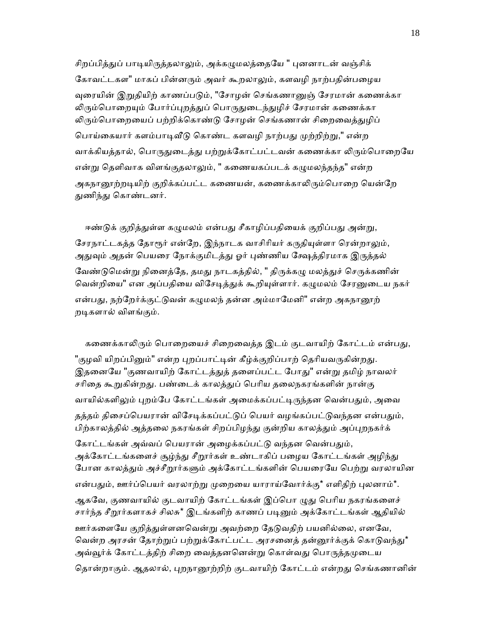சிறப்பித்துப் பாடியிருத்தலாலும், அக்கமுமலத்தையே " புனனாடன் வஞ்சிக் கோவட்டகள" மாகப் பின்னரும் அவர் கூறலாலும், களவழி நாற்பதின்பழைய வுரையின் இறுகியிற் காணப்படும், "சோழன் செங்கணானுஞ் சேரமான் கணைக்கா லிரும்பொறையும் போர்ப்புறத்துப் பொருதுடைந்துழிச் சேரமான் கணைக்கா லிரும்பொறையைப் பற்றிக்கொண்டு சோழன் செங்கணான் சிறைவைத்துழிப் பொய்கையார் களம்பாடிவீடு கொண்ட களவழி நாற்பது முற்றிற்று," என்ற வாக்கியத்தால், பொருதுடைத்து பற்றுக்கோட்பட்டவன் கணைக்கா லிரும்பொறையே என்று தெளிவாக விளங்குதலாலும், " கணையகப்படக் கழுமலந்தந்த" என்ற அகநானூற்றடியிற் குறிக்கப்பட்ட கணையன், கணைக்காலிரும்பொறை யென்றே துணிந்து கொண்டனர்.

ஈண்டுக் குறித்துள்ள கழுமலம் என்பது சீகாழிப்பதியைக் குறிப்பது அன்று, சேரநாட்டகத்த தோரூர் என்றே, இந்நாடக வாசிரியர் கருதியுள்ளா ரென்றாலும், அதுவும் அதன் பெயரை நோக்குமிடத்து ஓர் புண்ணிய க்ஷேத்திரமாக இருத்தல் வேண்டுமென்று நினைத்தே, தமது நாடகத்தில், " திருக்கழு மலத்துச் செருக்கணின் வென்றியை" என அப்பதியை விசேடித்துக் கூறியுள்ளார். கழுமலம் சேரனுடைய நகர் என்பது, நற்றேர்க்குட்டுவன் கழுமலந் தன்ன அம்மாமேனி" என்ற அகநானூற் றᾊகளால் விளங்கும்.

கணைக்காலிரும் பொறையைச் சிறைவைத்த இடம் குடவாயிற் கோட்டம் என்பது, "குழவி யிறப்பினும்" என்ற புறப்பாட்டின் கீழ்க்குறிப்பாற் தெரியவருகின்றது. இதனையே "குணவாயிற் கோட்டத்துத் தளைப்பட்ட போது" என்று தமிழ் நாவலர் சரிதை கூறுகின்றது. பண்டைக் காலத்துப் பெரிய தலைநகரங்களின் நான்கு வாயில்களிலும் புறம்பே கோட்டங்கள் அமைக்கப்பட்டிருந்தன வென்பதும், அவை தத்தம் திசைப்பெயரான் விசேடிக்கப்பட்டுப் பெயர் வழங்கப்பட்டுவந்தன என்பதும், பிற்காலத்தில் அத்தலை நகரங்கள் சிறப்பிழந்து குன்றிய காலத்தும் அப்புறநகர்க் கோட்டங்கள் அவ்வப் பெயரான் அழைக்கப்பட்டு வந்தன வென்பதும், அக்கோட்டங்களைச் சூழ்ந்து சீறூர்கள் உண்டாகிப் பழைய கோட்டங்கள் அழிந்து போன காலத்தும் அச்சீறூர்களும் அக்கோட்டங்களின் பெயரையே பெற்று வரலாயின என்பதும், ஊர்ப்பெயர் வரலாற்று முறையை யாராய்வோர்க்கு\* எளிதிற் புலனாம்\*. ஆகவே, குணவாயில் குடவாயிற் கோட்டங்கள் இப்பொ ழுது பெரிய நகரங்களைச் சார்ந்த சீறூர்களாகச் சிலசு\* இடங்களிற் காணப் படினும் அக்கோட்டங்கள் ஆதியில் ஊர்களையே குறித்துள்ளனவென்று அவற்றை தேடுவதிற் பயனில்லை, எனவே, வென்ற அரசன் தோற்றுப் பற்றுக்கோட்பட்ட அரசனைத் தன்னூர்க்குக் கொடுவந்து\* அவ்வூர்க் கோட்டத்திற் சிறை வைத்தனனென்று கொள்வது பொருத்தமுடைய தொன்றாகும். ஆதலால், புறநானூற்றிற் குடவாயிற் கோட்டம் என்றது செங்கணானின்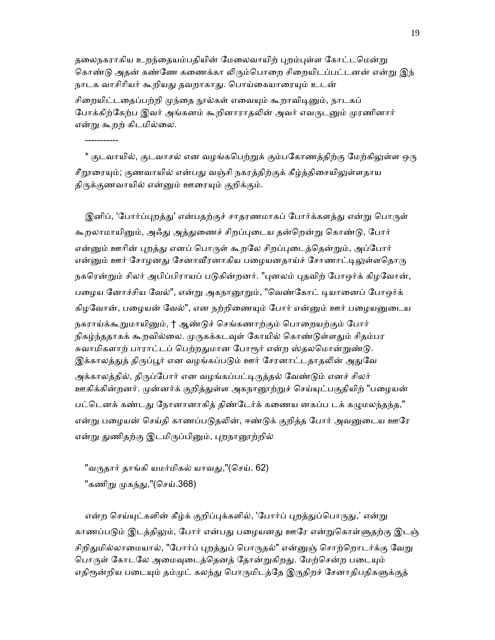தலைநகராகிய உறந்தையம்பதியின் மேலைவாயிற் புறம்புள்ள கோட்டமென்று கொண்டு அதன் கண்ணே கணைக்கா லிரும்பொறை சிறையிடப்பட்டனன் என்று இந் நாடக வாசிரியர் கூறியது தவறாகாது. பொய்கையாரையும் உடன் சிறையிட்டதைப்பற்றி முந்தை நூல்கள் எவையும் கூறாவிடினும், நாடகப் போக்கிற்கேற்ப இவர் அங்கனம் கூறினாராதலின் அவர் எவருடனும் முரணினார் என்ᾠ கூறற் கிடமில்ைல.

\* குடவாயில், குடவாசல் என வழங்கபெற்றுக் கும்பகோணத்திற்கு மேற்கிலுள்ள ஒரு சீறூரையும்; குணவாயில் என்பது வஞ்சி நகரத்திற்குக் கீழ்த்திசையிலுள்ளதாய திருக்குணவாயில் என்னும் ஊரையும் குறிக்கும்.

இனிப், 'போர்ப்புறத்து' என்பதற்குச் சாதரணமாகப் போர்க்களத்து என்று பொருள் கூறலாமாயினும், அஃது அத்துணைச் சிறப்புடைய தன்றென்று கொண்டு, போர் என்னும் ஊரின் புறத்து எனப் பொருள் கூறலே சிறப்புடைத்தென்றும், அப்போர் என்னும் ஊர் சோழனது சேனாவீரனாகிய பழையனதாய்ச் சோணாட்டிலுள்ளதொரு நகரென்றும் சிலர் அபிப்பிராயப் படுகின்றனர். "புனலம் புதவிற் போஒர்க் கிழவோன், பழைய னோச்சிய வேல்", என்று அகநானூறும், "வெண்கோட் டியானைப் போஒர்க் கிழவோன், பழையன் வேல்", என நற்றிணையும் போர் என்னும் ஊர் பழையனுடைய நகராய்க்கூறுமாயினும், † ஆண்டுச் செங்கணாற்கும் பொறையற்கும் போர் நிகழ்ந்ததாகக் கூறவில்லை. முருகக்கடவுள் கோயில் கொண்டுள்ளதும் சிதம்பர சுவாமிகளாற் பாராட்டப் பெற்றதுமான போரூர் என்ற ஸ்தலமொன்றுண்டு. இக்காலத்துத் திருப்பூர் என வழங்கப்படும் ஊர் சேரனாட்டதாதலின் அதுவே அக்காலத்தில், திருப்போர் என வழங்கப்பட்டிருத்தல் வேண்டும் எனச் சிலர் ஊகிக்கின்றனர். முன்னர்க் குறித்துள்ள அகநானூற்றுச் செய்யுட்பகுதியிற் "பழையன் பட்டெனக் கண்டது நோனானாகித் திண்டேர்க் கணைய னகப்ப டக் கழுமலந்தந்த," என்று பழையன் செய்தி காணப்படுதலின், ஈண்டுக் குறித்த போர் அவனுடைய ஊரே என்று துணிதற்கு இடமிருப்பினும், புறநானூற்றில்

"வருதார் தாங்கி யமர்மிகல் யாவது,"(செய். 62) "கணிறு முகந்து,"(செய்.368)

-----------

என்ற செய்யுட்களின் கீழ்க் குறிப்புக்களில், 'போர்ப் புறத்துப்பொருது,' என்று காணப்படும் இடத்திலும், போர் என்பது பழையனது ஊரே என்றுகொள்ளுதற்கு இடஞ் சிறிதுமில்லாமையால், "போர்ப் புறத்துப் பொருதல்" என்னுஞ் சொற்றொடர்க்கு வேறு பொருள் கோடலே அமைவுடைத்தெனத் தோன்றுகிறது. மேற்சென்ற படையும் எதிரூன்றிய படையும் தம்முட் கலந்து பொருமிடத்தே இருதிறச் சேனாதிபதிகளுக்குத்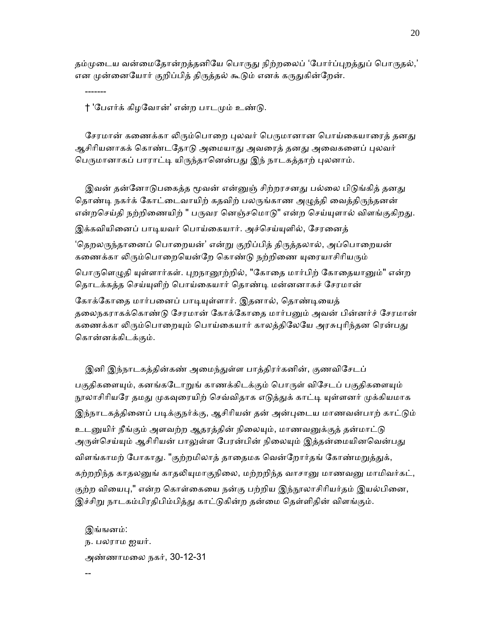தம்முடைய வன்மைதோன்றத்தனியே பொருது நிற்றலைப் 'போர்ப்புறத்துப் பொருதல்,' என முன்னையோர் குறிப்பித் திருத்தல் கூடும் எனக் கருதுகின்றேன்.

† 'பேஎர்க் கிழவோன்' என்ற பாடமும் உண்டு.

-------

சேரமான் கணைக்கா லிரும்பொறை புலவர் பெருமானான பொய்கையாரைத் தனது ஆசிரியனாகக் கொண்டதோடு அமையாது அவரைத் தனது அவைகளைப் புலவர் பெருமானாகப் பாராட்டி யிருந்தானென்பது இந் நாடகத்தாற் புலனாம்.

இவன் தன்னோடுபகைத்த மூவன் என்னுஞ் சிற்றரசனது பல்லை பிடுங்கித் தனது தொண்டி நகர்க் கோட்டைவாயிற் கதவிற் பலருங்காண அழுத்தி வைத்திருந்தனன் என்றசெய்தி நற்றிணையிற் " பருவர னெஞ்சமொடு" என்ற செய்யுளால் விளங்குகிறது. இக்கவியினைப் பாடியவர் பொய்கையார். அச்செய்யுளில், சேரனைத் 'தெறலருந்தானைப் பொறையன்' என்று குறிப்பித் திருத்தலால், அப்பொறையன்

கணைக்கா லிரும்பொறையென்றே கொண்டு நற்றிணை யுரையாசிரியரும்

பொருளெழுதி யுள்ளார்கள். புறநானூற்றில், "கோதை மார்பிற் கோதையானும்" என்ற தொடக்கத்த செய்யுளிற் பொய்கையார் தொண்டி மன்னனாகச் சேரமான்

கோக்கோதை மார்பனைப் பாடியுள்ளார். இதனால், தொண்டியைத் தலைநகராகக்கொண்டு சேரமான் கோக்கோதை மார்பனும் அவன் பின்னர்ச் சேரமான் கணைக்கா லிரும்பொறையும் பொய்கையார் காலத்திலேயே அரசுபுரிந்தன ரென்பது ெகான்னக்கிடக்கும்.

இனி இந்நாடகத்தின்கண் அமைந்துள்ள பாத்திரர்கனின், குணவிசேடப் பகுதிகளையும், கனங்கடோறுங் காணக்கிடக்கும் பொருள் விசேடப் பகுதிகளையும் நூலாசிரியரே தமது முகவுரையிற் செவ்விதாக எடுத்துக் காட்டி யுள்ளனர் முக்கியமாக இந்நாடகத்தினைப் படிக்குநர்க்கு, ஆசிரியன் தன் அன்புடைய மாணவன்பாற் காட்டும் உடனுயிர் நீங்கும் அளவற்ற ஆதரத்தின் நிலையும், மாணவனுக்குத் தன்மாட்டு அருள்செய்யும் ஆசிரியன் பாலுள்ள பேரன்பின் நிலையும் இத்தன்மையினவென்பது விளங்காமற் போகாது. "குற்றமிலாத் தாதைமக வென்றோர்தங் கோண்மறுத்துக், கற்றறிந்த காதலனுங் காதலியுமாகுநிலை, மற்றறிந்த வாசானு மாணவனு மாமிவர்கட், குற்ற வியைபு," என்ற கொள்கையை நன்கு பற்றிய இந்நூலாசிரியர்தம் இயல்பினை, இச்சிறு நாடகம்பிரதிபிம்பித்து காட்டுகின்ற தன்மை தெள்ளிதின் விளங்கும்.

 இங்ஙனம்: ந. பலராம ஐயர். அண்ணாமைல நகர், 30-12-31 --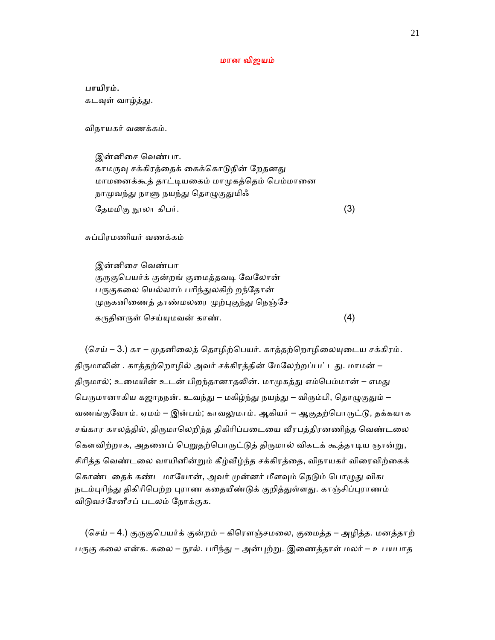#### மான விஜயம்

பாயிரம்.

கடவுள் வாழ்த்து.

விநாயகர் வணக்கம்.

 இன்னிைச ெவண்பா. காமருவு சக்கிரத்தைக் கைக்கொடுநின் றேதனது மாமனைக்கூத் தாட்டியகைம் மாமுகத்தெம் பெம்மானை நாமுவந்து நாளு நயந்து தொழுகுதுமிஃ ேதமமிகு நூலா கிபர்.  $(3)$ 

சுப்பிரமணியர் வணக்கம்

 இன்னிைச ெவண்பா குருகுபெயர்க் குன்றங் குமைத்தவடி வேலோன் பருகுகலை யெல்லாம் பரிந்துலகிற் றந்தோன் முருகனிணைத் தாண்மலரை முற்புகுந்து நெஞ்சே கᾞதினᾞள் ெசய்ᾜமவன் காண். (4)

(செய் – 3.) கா – முதனிலைத் தொழிற்பெயர். காத்தற்றொழிலையுடைய சக்கிரம். திருமாலின் . காத்தற்றொழில் அவர் சக்கிரத்தின் மேலேற்றப்பட்டது. மாமன் – திருமால்; உமையின் உடன் பிறந்தானாதலின். மாமுகத்து எம்பெம்மான் – எமது பெருமானாகிய கஜாநநன். உவந்து – மகிழ்ந்து நயந்து – விரும்பி, தொழுகுதும் – வணங்குவோம். ஏமம் – இன்பம்; காவலுமாம். ஆகியர் – ஆகுதற்பொருட்டு, தக்கயாக சங்கார காலத்தில், திருமாலெறிந்த திகிரிப்படையை வீரபத்திரனணிந்த வெண்டலை கௌவிற்றாக, அதனைப் பெறுதற்பொருட்டுத் திருமால் விகடக் கூத்தாடிய ஞான்று, சிரித்த வெண்டலை வாயினின்றும் கீழ்வீழ்ந்த சக்கிரத்தை, விநாயகர் விரைவிற்கைக் கொண்டதைக் கண்ட மாயோன், அவர் முன்னர் மீளவும் நெடும் பொழுது விகட நடம்புரிந்து திகிரிபெற்ற புராண கதையீண்டுக் குறித்துள்ளது. காஞ்சிப்புராணம் விடுவச்சேனீசப் படலம் நோக்குக.

(செய் – 4.) குருகுபெயர்க் குன்றம் – கிரௌஞ்சமலை, குமைத்த – அழித்த. மனத்தாற் பருகு கலை என்க. கலை – நூல். பரிந்து – அன்புற்று. இணைத்தாள் மலர் – உபயபாத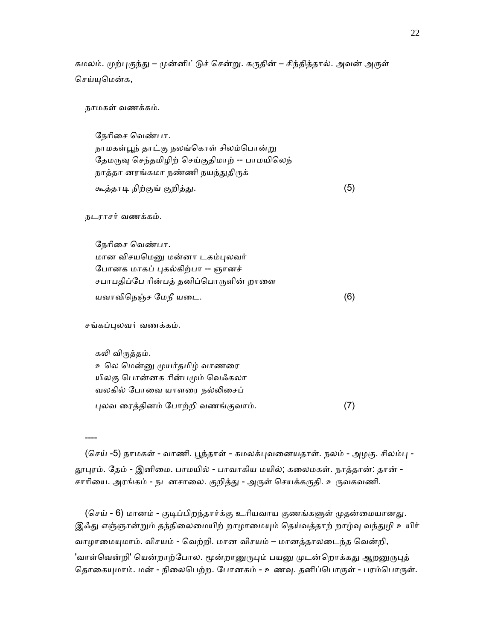கமலம். முற்புகுந்து – முன்னிட்டுச் சென்று. கருதின் – சிந்தித்தால். அவன் அருள் ெசய்ᾜெமன்க,

நாமகள் வணக்கம்.

 ேநாிைச ெவண்பா. நாமகள்பூந் தாட்கு நலங்கொள் சிலம்பொன்று தேமருவு செந்தமிழிற் செய்குதிமாற் -- பாமயிலெந் நாத்தா னரங்கமா நண்ணி நயந்துதிருக் கூத்தாᾊ நிற்குங் குறித்ᾐ. (5)

நடராசர் வணக்கம்.

 ேநாிைச ெவண்பா. மான விசயமெனு மன்னா டகம்புலவர் ேபானக மாகப் ᾗகல்கிற்பா -- ஞானச் சபாபதிப்பே ரின்பத் தனிப்பொருளின் றாளை யவாவிெநஞ்ச ேமநீ யைட. (6)

சங்கப்புலவர் வணக்கம்.

கலி விருத்தம்.

உலெ மென்னு முயர்தமிழ் வாணரை யிலகு பொன்னக ரின்பமும் வெஃகலா வலகில் ேபாைவ யாளைர நல்ᾢைசப் ᾗலவ ைரத்தினம் ேபாற்றி வணங்குவாம். (7)

----

(செய் -5) நாமகள் - வாணி. பூந்தாள் - கமலக்புவனையதாள். நலம் - அழகு. சிலம்பு -தூபுரம். தேம் - இனிமை. பாமயில் - பாவாகிய மயில்; கலைமகள். நாத்தான்: தான் -சாரியை. அரங்கம் - நடனசாலை. குறித்து - அருள் செயக்கருதி. உருவகவணி.

(செய் - 6) மானம் - குடிப்பிறந்தார்க்கு உரியவாய குணங்களுள் முதன்மையானது. இஃது எஞ்ஞான்றும் தந்நிலைமையிற் றாழாமையும் தெய்வத்தாற் றாழ்வு வந்துழி உயிர் வாழாமையுமாம். விசயம் - வெற்றி. மான விசயம் – மானத்தாலடைந்த வென்றி, 'வாள்வென்றி' யென்றாற்போல. மூன்றானுருபும் பயனு முடன்றொக்கது ஆறனுருபுத் தொகையுமாம். மன் - நிலைபெற்ற. போனகம் - உணவு. தனிப்பொருள் - பரம்பொருள்.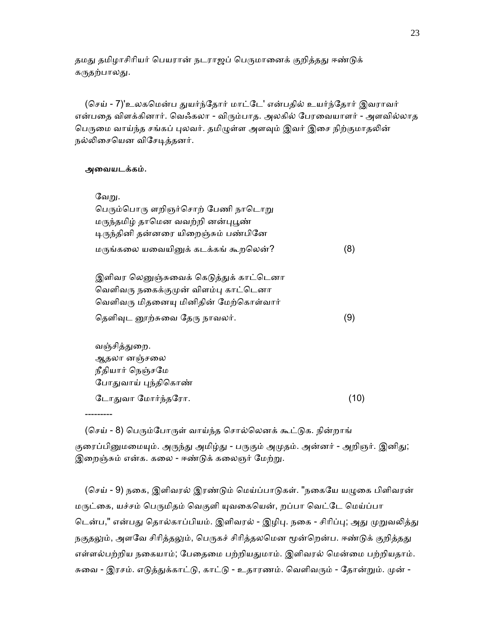தமது தமிழாசிரியர் பெயரான் நடராஜப் பெருமானைக் குறித்தது ஈண்டுக் கருதற்பாலது.

(செய் - 7)'உலகமென்ப துயர்ந்தோர் மாட்டே' என்பதில் உயர்ந்தோர் இவராவர் என்பதை விளக்கினார். வெஃகலா - விரும்பாத. அலகில் பேரவையாளர் - அளவில்லாத பெருமை வாய்ந்த சங்கப் புலவர். தமிழுள்ள அளவும் இவர் இசை நிற்குமாதலின் நல்லிசையென விசேடித்தனர்.

#### அைவயடக்கம்.

---------

| வேறு.                                                                                        |     |
|----------------------------------------------------------------------------------------------|-----|
| பெரும்பொரு ளறிஞர்சொற் பேணி நாடொறு                                                            |     |
| மருந்தமிழ் தாமென வவற்றி னன்புபூண்                                                            |     |
| டிருந்தினி தன்னரை யிறைஞ்சும் பண்பினே                                                         |     |
| மருங்கலை யவையினுக் கடக்கங் கூறலென்?                                                          | (8) |
| $\bigcirc$ clair $\bigcirc$ clair resort $\bigcirc$ - $\bigcirc$ truth resort $\bigcirc$ can |     |

இளிவர லெனுஞ்சுவைக் கெடுத்துக் காட்டெனா வெளிவரு நகைக்குமுன் விளம்பு காட்டெனா வெளிவரு மிதனையு மினிதின் மேற்கொள்வார் தெளிவுட னூற்சுவை தேரு நாவலர்.  $(9)$ 

வஞ்சித்துறை. ஆதலா னஞ்சைல நீதியார் ெநஞ்சேம போதுவாய் புந்திகொண்  $GL$ ாதுவா மோர்ந்தரோ.  $(10)$ 

(செய் - 8) பெரும்போருள் வாய்ந்த சொல்லெனக் கூட்டுக. நின்றாங் குரைப்பினுமமையும். அருந்து அமிழ்து - பருகும் அமுதம். அன்னர் - அறிஞர். இனிது; இறைஞ்சும் என்க. கலை - ஈண்டுக் கலைஞர் மேற்று.

(செய் - 9) நகை, இளிவரல் இரண்டும் மெய்ப்பாடுகள். "நகையே யழுகை பிளிவரன் மருட்கை, யச்சம் பெருமிதம் வெகுளி யுவகையென், றப்பா வெட்டே மெய்ப்பா டென்ப," என்பது தொல்காப்பியம். இளிவரல் - இழிபு. நகை - சிரிப்பு; அது முறுவலித்து நகுதலும், அளவே சிரித்தலும், பெருகச் சிரித்தலமென மூன்றென்ப. ஈண்டுக் குறித்தது எள்ளல்பற்றிய நகையாம்; பேதைமை பற்றியதுமாம். இளிவரல் மென்மை பற்றியதாம். சுவை - இரசம். எடுத்துக்காட்டு, காட்டு - உதாரணம். வெளிவரும் - தோன்றும். முன் -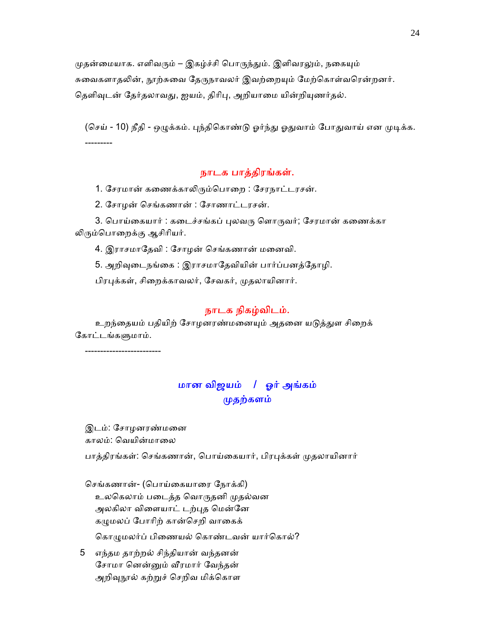முதன்மையாக. எளிவரும் – இகழ்ச்சி பொருந்தும். இளிவரலும், நகையும் சுவைகளாதலின், நூற்சுவை தேருநாவலர் இவற்றையும் மேற்கொள்வரென்றனர். தெளிவுடன் தேர்தலாவது, ஐயம், திரிபு, அறியாமை யின்றியுணர்தல்.

(செய் - 10) நீதி - ஒழுக்கம். பந்திகொண்டு ஓர்ந்து ஓதுவாம் போதுவாய் என முடிக்க. ---------

## நாடக பாத்திரங்கள்.

1. சேரமான் கணைக்காலிரும்பொறை : சேரநாட்டரசன்.

2. ேசாழன் ெசங்கணான் : ேசாணாட்டரசன்.

3. பொய்கையார் : கடைச்சங்கப் புலவரு ளொருவர்; சேரமான் கணைக்கா ᾢᾞம்ெபாைறக்கு ஆசிாியர்.

4. இராசமாேதவி : ேசாழன் ெசங்கணான் மைனவி.

5. அறிவுடைநங்கை : இராசமாதேவியின் பார்ப்பனத்தோழி.

பிரபுக்கள், சிறைக்காவலர், சேவகர், முதலாயினார்.

## நாடக நிகழ்விடம்.

உறந்தையம் பதியிற் சோழனரண்மனையும் அதனை யடுத்துள சிறைக் கோட்டங்களுமாம்.

-------------------------

## மான விஜயம் / ஓர் அங்கம் முதற்களம்

 இடம்: ேசாழனரண்மைன காலம்: வெயின்மாலை

பாத்திரங்கள்: செங்கணான், பொய்கையார், பிரபுக்கள் முதலாயினார்

செங்கணான்- (பொய்கையாரை நோக்கி) உலெகலாம் பைடத்த ெவாᾞதனி ᾙதல்வன அலகிலா விளையாட் டற்புத மென்னே கழுமலப் போரிற் கான்செறி வாகைக் கொழுமலர்ப் பிணையல் கொண்டவன் யார்கொல்?

 5 எந்தம தாற்றல் சிந்தியான் வந்தனன் ேசாமா ெனன்ᾔம் ᾪரமார் ேவந்தன் அறிவுநூல் கற்றுச் செறிவ மிக்கொள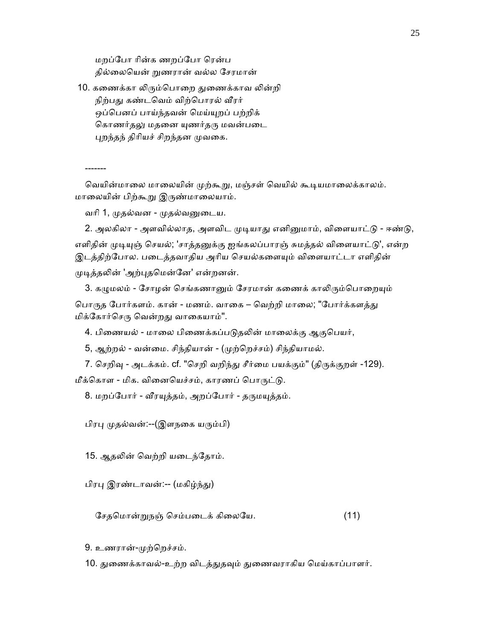மறப்ேபா ாின்க ணறப்ேபா ெரன்ப தில்ைலெயன் ᾠணரான் வல்ல ேசரமான்

10. கணைக்கா லிரும்பொறை துணைக்காவ லின்றி நிற்பது கண்டவெம் விற்பொரல் வீரர் ஒப்பெனப் பாய்ந்தவன் மெய்யுறப் பற்றிக் கொணர்தலு மதனை யுணர்தரு மவன்படை புறந்தந் திரியச் சிறந்தன முவகை.

-------

வெயின்மாலை மாலையின் முற்கூறு, மஞ்சள் வெயில் கூடியமாலைக்காலம். மாலையின் பிற்கூறு இருண்மாலையாம்.

வாி 1, ᾙதல்வன - ᾙதல்வᾔைடய.

2. அலகிலா - அளவில்லாத, அளவிட முடியாது எனினுமாம், விளையாட்டு - ஈண்டு, எளிதின் முடியுஞ் செயல்; 'சாத்தனுக்கு ஐங்கலப்பாரஞ் சுமத்தல் விளையாட்டு', என்ற இடத்திற்போல. படைத்தவாதிய அரிய செயல்களையும் விளையாட்டா எளிதின் முடித்தலின் 'அற்புதமென்னே' என்றனன்.

3. கழுமலம் - சோழன் செங்கணானும் சேரமான் கணைக் காலிரும்பொறையும் பொருத போர்களம். கான் - மணம். வாகை – வெற்றி மாலை; "போர்க்களத்து மிக்ேகார்ெசᾞ ெவன்றᾐ வாைகயாம்".

4. பிணையல் - மாலை பிணைக்கப்படுதலின் மாலைக்கு ஆகுபெயர்,

5, ஆற்றல் - வன்மை. சிந்தியான் - (முற்றெச்சம்) சிந்தியாமல்.

7. செறிவு - அடக்கம். cf. "செறி வறிந்து சீர்மை பயக்கும்" (திருக்குறள் -129). மீக்கொள - மிக. வினையெச்சம், காரணப் பொருட்டு.

8. மறப்போர் - வீரயுத்தம், அறப்போர் - தருமயுத்தம்.

பிரᾗ ᾙதல்வன்:--(இளநைக யᾞம்பி)

15. ஆதலின் வெற்றி யடைந்தோம்.

பிரபு இரண்டாவன்:-- (மகிழ்ந்து)

ேசதெமான்ᾠநஞ் ெசம்பைடக் கிைலேய. (11)

9. உணரான்-ᾙற்ெறச்சம்.

10. துணைக்காவல்-உற்ற விடத்துதவும் துணைவராகிய மெய்காப்பாளர்.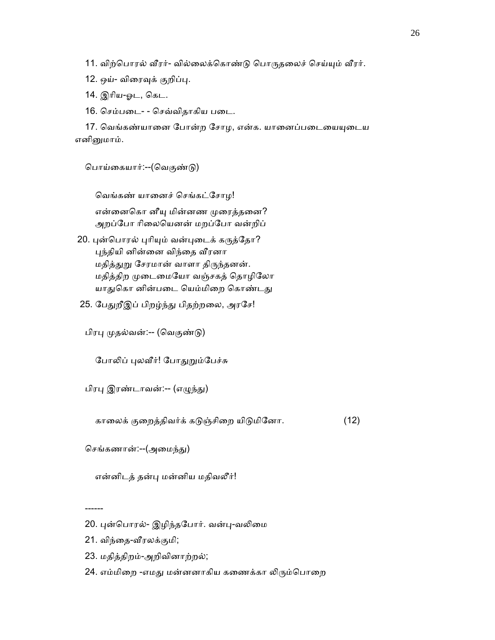11. விற்பொரல் வீரர்- வில்லைக்கொண்டு பொருதலைச் செய்யும் வீரர்.

12. ஒய்- விரைவுக் குறிப்பு.

14. இாிய-ஓட, ெகட.

16. ெசம்பைட- - ெசவ்விதாகிய பைட.

17. வெங்கண்யானை போன்ற சோழ, என்க. யானைப்படையையுடைய எனிᾔமாம்.

ெபாய்ைகயார்:--(ெவகுண்ᾌ)

ெவங்கண் யாைனச் ெசங்கட்ேசாழ!

என்னைகொ னீயு மின்னண முரைத்தனை? அறப்போ ரிலையெனன் மறப்போ வன்றிப்

20. புன்பொரல் புரியும் வன்புடைக் கருத்தோ? புந்தியி னின்னை விந்தை வீரனா மதித்துறு சேரமான் வாளா திருந்தனன். மதித்திற முடைமையோ வஞ்சகத் தொழிலோ யாதுகொ னின்படை யெம்மிறை கொண்டது

25. பேதுறீஇப் பிறழ்ந்து பிதற்றலை, அரசே!

பிரபு முதல்வன்:-- (வெகுண்டு)

போலிப் புலவீர்! போதுறும்பேச்சு

பிரபு இரண்டாவன்:-- (எழுந்து)

காலைக் குறைத்திவர்க் கடுஞ்சிறை யிடுமினோ. (12)

செங்கணான்:--(அமைந்து)

என்னிடத் தன்ᾗ மன்னிய மதிவலீர்!

- 21. விந்தை-வீரலக்குமி;
- 23. மதித்திறம்-அறிவினாற்றல்;
- 24. எம்மிறை -எமது மன்னனாகிய கணைக்கா லிரும்பொறை

 <sup>------</sup> 

<sup>20.</sup> புன்பொரல்- இழிந்தபோர். வன்பு-வலிமை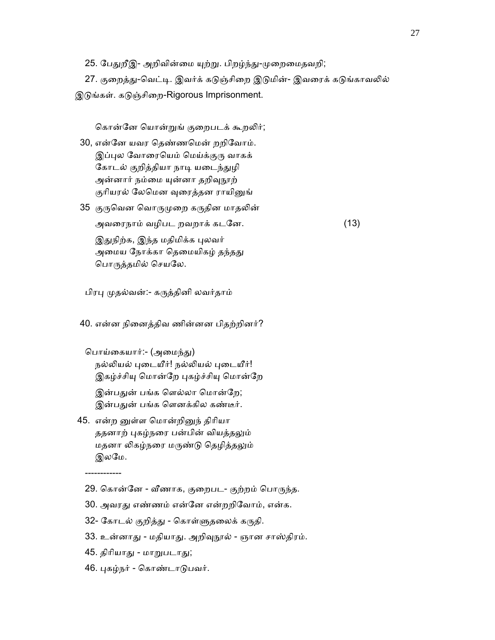25. பேதுறீஇ- அறிவின்மை யுற்று. பிறழ்ந்து-முறைமைதவறி;

27. குறைத்து-வெட்டி. இவர்க் கடுஞ்சிறை இடுமின்- இவரைக் கடுங்காவலில் இடுங்கள். கடுஞ்சிறை-Rigorous Imprisonment.

கொன்னே யொன்றுங் குறைபடக் கூறலிர்;

- 30, என்ேன யவர ெதண்ணெமன் றறிேவாம். இப்புல வோரையெம் மெய்க்குரு வாகக் கோடல் குறித்தியா நாடி யடைந்துழி அன்னார் நம்மை யுன்னா தறிவுநூற் குரியரல் லேமென வுரைத்தன ராயினுங்
- 35 குருவென வொருமுறை கருதின மாதலின்

 அவைரநாம் வழிபட றவறாக் கடேன. (13) இதுநிற்க, இந்த மதிமிக்க புலவர் அமைய நோக்கா தெமையிகழ் தந்தது

ெபாᾞத்தமில் ெசயேல.

பிரபு முதல்வன்:- கருத்தினி லவர்தாம்

40. என்ன நிைனத்திவ ணின்னன பிதற்றினர்?

பொய்கையார்:- (அமைந்து) நல்லியல் புடையீர்! நல்லியல் புடையீர்! இகழ்ச்சியு மொன்றே புகழ்ச்சியு மொன்றே இன்பதுன் பங்க ளெல்லா மொன்றே; இன்பதுன் பங்க ளெனக்கில கண்டீர்.

45. என்ற னுள்ள மொன்றினுந் திரியா ததனாற் புகழ்நரை பன்பின் வியத்தலும் மதனா லிகழ்நரை மருண்டு தெழித்தலும் இலேம.

------------

- 29. கொன்னே வீணாக, குறைபட- குற்றம் பொருந்த.
- 30. அவரᾐ எண்ணம் என்ேன என்றறிேவாம், என்க.
- 32- கோடல் குறித்து கொள்ளுதலைக் கருதி.
- 33. உன்னாது மதியாது. அறிவுநூல் ஞான சாஸ்திரம்.
- 45. திரியாது மாறுபடாது;
- 46. ᾗகழ்நர் ெகாண்டாᾌபவர்.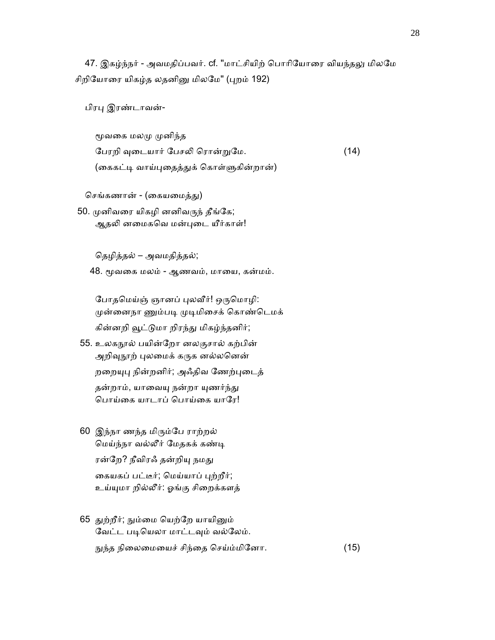47. இகழ்ந்நர் - அவமதிப்பவர். cf. "மாட்சியிற் பொரியோரை வியந்தலு மிலமே சிறியோரை யிகழ்த லதனினு மிலமே" (புறம் 192)

பிரபு இரண்டாவன்-

மூவகை மலமு முனிந்த பேரறி வுடையார் பேசலி ரொன்றுமே. (14) (கைகட்டி வாய்புதைத்துக் கொள்ளுகின்றான்)

செங்கணான் - (கையமைத்து)

50. முனிவரை யிகழி னனிவருந் தீங்கே; ஆதலி னமைகவெ மன்புடை யீர்காள்!

ெதழித்தல் – அவமதித்தல்;

48. மூவகை மலம் - ஆணவம், மாயை, கன்மம்.

போதமெய்ஞ் ஞானப் புலவீர்! ஒருமொழி: முன்னைநா ணும்படி முடிமிசைக் கொண்டெமக் கின்னறி வூட்டுமா றிரந்து மிகழ்ந்தனிர்;

- 55. உலகநால் பயின்றோ னலகுசால் கற்பின் அறிவுநூற் புலமைக் கருக னல்லனென் றறையுபு நின்றனிர்; அஃதிவ ணேற்புடைத் தன்றாம், யாவையு நன்றா யுணர்ந்து பொய்கை யாடாப் பொய்கை யாரே!
- 60 இந்நா ணந்த மிᾞம்ேப ராற்றல் ெமய்ந்நா வல்லீர் ேமதகக் கண்ᾊ ரன்றே? நீவிரஃ தன்றியு நமது கையகப் பட்டீர்; மெய்யாப் புற்றீர்; உய்ᾜமா றில்லீர்: ஓங்கு சிைறக்களத்
- 65 துற்றீர்; நும்மை யெற்றே யாயினும் வேட்ட படியெலா மாட்டவும் வல்லேம். ᾒந்த நிைலைமையச் சிந்ைத ெசய்ம்மிேனா. (15)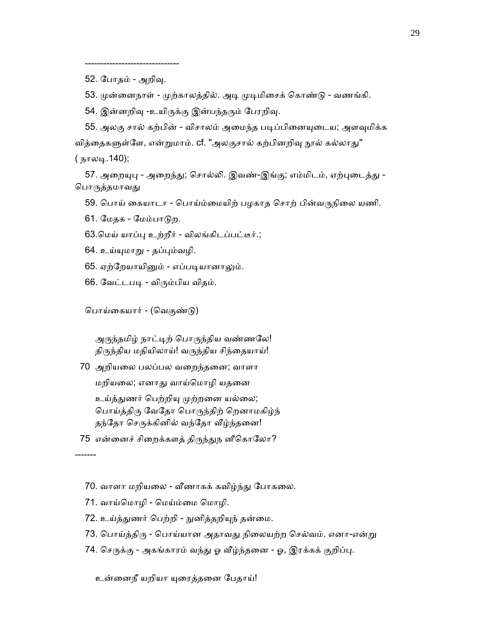------------------------------- 52. ேபாதம் - அறிᾫ.

53. முன்னைநாள் - முற்காலத்தில். அடி முடிமிசைக் கொண்டு - வணங்கி.

54. இன்னறிவு -உயிருக்கு இன்பந்தரும் பேரறிவு.

55. அலகு சால் கற்பின் - விசாலம் அமைந்த படிப்பினையுடைய; அளவுமிக்க வித்தைகளுள்ளே, என்றுமாம். cf. "அலகுசால் கற்பினறிவு நூல் கல்லாது" ( நாலடி.140);

57. அறையுபு - அறைந்து; சொல்லி. இவண்-இங்கு; எம்மிடம், ஏற்புடைத்து -பொருத்தமாவது

59. பொய் கையாடா - பொய்ம்மையிற் பழகாத சொற் பின்வருநிலை யணி.

61. ேமதக - ேமம்பாᾌற.

63.ெமய் யாப்ᾗ உற்றீர் - விலங்கிடப்பட்டீர்.;

64. உய்ᾜமாᾠ - தப்ᾗம்வழி.

65. ஏற்றேயாயினும் - எப்படியானாலும்.

66. வேட்டபடி - விரும்பிய விதம்.

பொய்கையார் - (வெகுண்டு)

அருந்தமிழ் நாட்டிற் பொருந்திய வண்ணலே! திருந்திய மதியிலாய்! வருந்திய சிந்தையாய்!

70 அறியைல பலப்பல வைறந்தைன; வாளா

மறியைல; எனாᾐ வாய்ெமாழி யதைன

உய்த்துணர் பெற்றியு முற்றனை யல்லை; ெபாய்த்திᾞ ேவேதா ெபாᾞந்திற் ெறனாமகிழ்ந் தந்தோ செருக்கினில் வந்தோ வீழ்ந்தனை!

75 என்னைச் சிறைக்களத் திருந்துந னீகொலோ?

-------

- 70. வாளா மறியலை வீணாகக் கவிழ்ந்து போகலை.
- 71. வாய்ெமாழி ெமய்ம்ைம ெமாழி.
- 72. உய்த்துணர் பெற்றி நுனித்தறியுந் தன்மை.
- 73. பொய்த்திரு பொய்யான அதாவது நிலையற்ற செல்வம். எனா-என்று
- 74. செருக்கு அகங்காரம் வந்து ஓ வீழ்ந்தனை ஓ, இரக்கக் குறிப்பு.

உன்னைநீ யறியா யுரைத்தனை பேதாய்!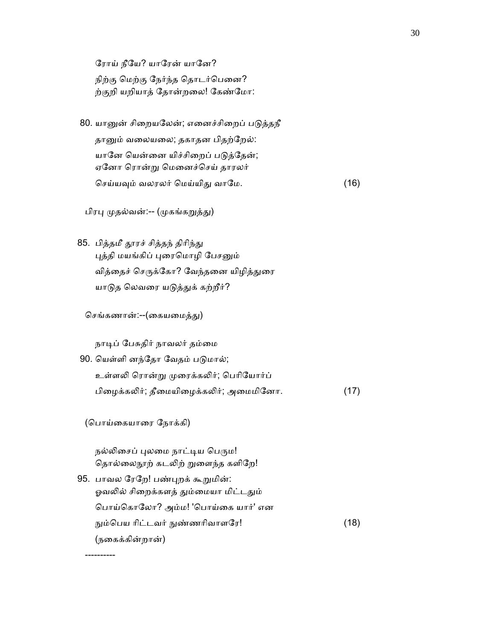ரோய் நீயே? யாரேன் யானே?

நிற்கு மெற்கு நேர்ந்த தொடர்பெனை? ற்குறி யறியாத் ேதான்றைல! ேகண்ேமா:

80. யானுன் சிறையலேன்; எனைச்சிறைப் படுத்தநீ தானும் வலையலை; தகாதன பிதற்றேல்: யானே யென்னை யிச்சிறைப் படுத்தேன்; ஏேனா ெரான்ᾠ ெமைனச்ெசய் தாரலர் ெசய்யᾫம் வலரலர் ெமய்யிᾐ வாேம. (16)

பிரபு முதல்வன்:-- (முகங்கறுத்து)

85. பித்தமீ தூரச் சித்தந் திரிந்து புத்தி மயங்கிப் புரைமொழி பேசனும் வித்தைச் செருக்கோ? வேந்தனை யிழித்துரை யாடுத லெவரை யடுத்துக் கற்றீர்?

செங்கணான்:--(கையமைத்து)

நாடிப் பேசுதிர் நாவலர் தம்மை

90. யெள்ளி னந்தோ வேதம் படுமால்; உள்ளᾢ ெரான்ᾠ ᾙைரக்கᾢர்; ெபாிேயார்ப் பிழைக்கலிர்; தீமையிழைக்கலிர்; அமைமினோ. (17)

(பொய்கையாரை நோக்கி)

----------

நல்லிசைப் புலமை நாட்டிய பெரும! தொல்லைநூற் கடலிற் றுளைந்த களிறே!

95. பாவல ரேறே! பண்புறக் கூறுமின்: ஓவலில் சிறைக்களத் தும்மையா மிட்டதும் ெபாய்ெகாேலா? அம்ம! 'ெபாய்ைக யார்' என நும்பெய ரிட்டவர் நுண்ணரிவாளரே! (18) (நைகக்கின்றான்)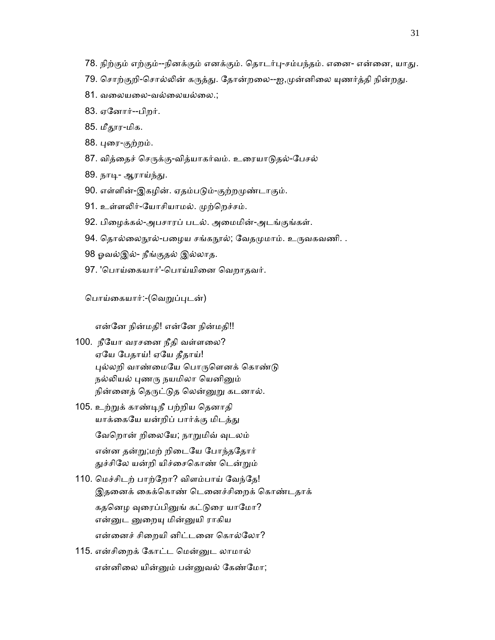- 78. நிற்கும் எற்கும்--நினக்கும் எனக்கும். தொடர்பு-சம்பந்தம். எனை- என்னை, யாது.
- 79. சொற்குறி-சொல்லின் கருத்து. தோன்றலை--ஐ,முன்னிலை யுணர்த்தி நின்றது.
- 81. வைலயைல-வல்ைலயல்ைல.;
- 83. ஏேனார்--பிறர்.
- 85. மீதூர-மிக.
- 88. ᾗைர-குற்றம்.
- 87. வித்தைச் செருக்கு-வித்யாகர்வம். உரையாடுதல்-பேசல்
- 89. நாடி- ஆராய்ந்து.
- 90. எள்ளின்-இகழின். ஏதம்படும்-குற்றமுண்டாகும்.
- 91. உள்ளலிர்-யோசியாமல். முற்றெச்சம்.
- 92. பிைழக்கல்-அபசாரப் படல். அைமமின்-அடங்குங்கள்.
- 94. தொல்லைநூல்-பழைய சங்கநூல்; வேதமுமாம். உருவகவணி. .
- 98 ஓவல்இல்- நீங்குதல் இல்லாத.
- 97. 'பொய்கையார்'-பொய்யினை வெறாதவர்.

பொய்கையார்:-(வெறுப்புடன்)

என்ேன நின்மதி! என்ேன நின்மதி!!

- 100. நீேயா வரசைன நீதி வள்ளைல? ஏேய ேபதாய்! ஏேய தீதாய்! புல்லறி வாண்மையே பொருளெனக் கொண்டு நல்லியல் புணரு நயமிலா யெனினும் நின்னைத் தெருட்டுத லென்னுறு கடனால்.
- 105. உற்ᾠக் காண்ᾊநீ பற்றிய ெதனாதி யாக்கையே யன்றிப் பார்க்கு மிடத்து

வேறொன் றிலையே; நாறுமிவ் வுடலம்

 என்ன தன்ᾠ;மற் றிைடேய ேபாந்தேதார் துச்சிலே யன்றி யிச்சைகொண் டென்றும்

110. மெச்சிடற் பாற்றோ? விளம்பாய் வேந்தே! இதனைக் கைக்கொண் டெனைச்சிறைக் கொண்டதாக்

கதனெழ வுரைப்பினுங் கட்டுரை யாமோ? என்னுட னுறையு மின்னுயி ராகிய என்ைனச் சிைறயி னிட்டைன ெகால்ேலா?

115. என்சிைறக் ேகாட்ட ெமன்ᾔட லாமால் என்னிைல யின்ᾔம் பன்ᾔவல் ேகண்ேமா;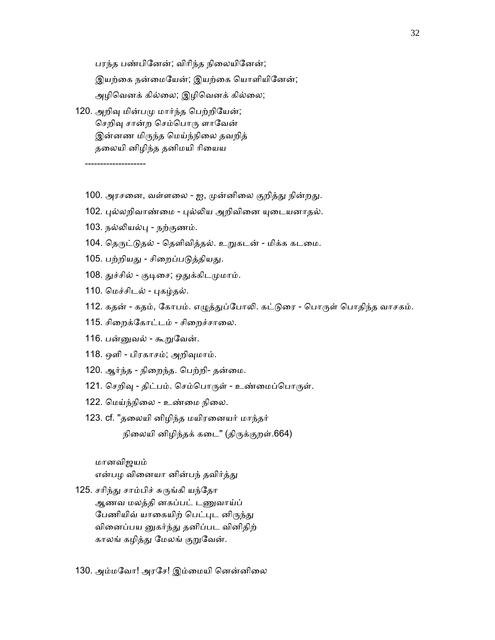பரந்த பண்பினேன்; விரிந்த நிலையினேன்; இயற்கை நன்மையேன்; இயற்கை யொளியினேன்; அழிவெனக் கில்லை; இழிவெனக் கில்லை; 120. அறிவு மின்பமு மார்ந்த பெற்றியேன்;

செறிவு சான்ற செம்பொரு ளாவேன் இன்னண மிருந்த மெய்ந்நிலை தவறித் தைலயி னிழிந்த தனிமயி ாிையய

--------------------

- 100. அரசனை, வள்ளலை ஐ, முன்னிலை குறித்து நின்றது.
- 102. புல்லறிவாண்மை புல்லிய அறிவினை யுடையனாதல்.
- 103. நல்ᾢயல்ᾗ நற்குணம்.
- 104. தெருட்டுதல் தெளிவித்தல். உறுகடன் மிக்க கடமை.
- 105. பற்றியது சிறைப்படுத்தியது.
- 108. துச்சில் குடிசை; ஒதுக்கிடமுமாம்.
- 110. மெச்சிடல் புகழ்தல்.
- 112. கதன் கதம், கோபம். எழுத்துப்போலி. கட்டுரை பொருள் பொதிந்த வாசகம்.
- 115. சிறைக்கோட்டம் சிறைச்சாலை.
- 116. பன்னுவல் கூறுவேன்.
- 118. ஒளி பிரகாசம்; அறிᾫமாம்.
- 120. ஆர்ந்த நிறைந்த. பெற்றி- தன்மை.
- 121. செறிவு திட்பம். செம்பொருள் உண்மைப்பொருள்.
- 122. ெமய்ந்நிைல உண்ைம நிைல.
- 123. cf. "தைலயி னிழிந்த மயிரைனயர் மாந்தர்

நிலையி னிழிந்தக் கடை" (திருக்குறள்.664)

## மானவிஜயம்

என்பழ வினையா னின்பந் தவிர்த்து

- 125. சரிந்து சாம்பிச் சுருங்கி யந்தோ ஆணவ மலத்தி னகப்பட் டᾎவாய்ப் பேணியிவ் யாகையிற் பெட்புட னிருந்து வினைப்பய னுகர்ந்து தனிப்பட வினிதிற் காலங் கழித்து மேலங் குறுவேன்.
- 130. அம்மேவா! அரேச! இம்ைமயி ெனன்னிைல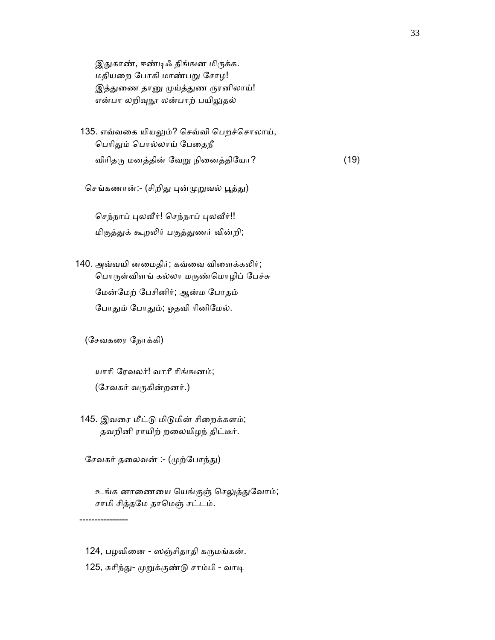இதுகாண், ஈண்டிஃ திங்ஙன மிருக்க. மதியைற ேபாகி மாண்பᾠ ேசாழ! இத்துணை தானு முய்த்துண ருரனிலாய்! என்பா லறிவுநூ லன்பாற் பயிலுதல்

135. எவ்வகை யியலும்? செவ்வி பெறச்சொலாய், பெரிதும் பொல்லாய் பேதைநீ விரிதரு மனத்தின் வேறு நினைத்தியோ?  $(19)$ 

செங்கணான்:- (சிறிது புன்முறுவல் பூத்து)

செந்நாப் புலவீர்! செந்நாப் புலவீர்!! மிகுத்ᾐக் கூறᾢர் பகுத்ᾐணர் வின்றி;

140. அவ்வயி னமைதிர்; கவ்வை விளைக்கலிர்; ெபாᾞள்விளங் கல்லா மᾞண்ெமாழிப் ேபச்சு ேமன்ேமற் ேபசினிர்; ஆன்ம ேபாதம் போதும் போதும்; ஓதவி ரினிமேல்.

(ேசவகைர ேநாக்கி)

 யாாி ேரவலர்! வாாீ ாிங்ஙனம்; (ேசவகர் வᾞகின்றனர்.)

145. இவரை மீட்டு மிடுமின் சிறைக்களம்; தவறினி ராயிற் றைலயிழந் திட்டீர்.

சேவகர் தலைவன் :- (முற்போந்து)

உங்க னாணையை யெங்குஞ் செலுத்துவோம்; சாமி சித்தேம தாெமஞ் சட்டம்.

----------------

124, பழவினை - ஸஞ்சிதாதி கருமங்கன். 125, சுரிந்து- முறுக்குண்டு சாம்பி - வாடி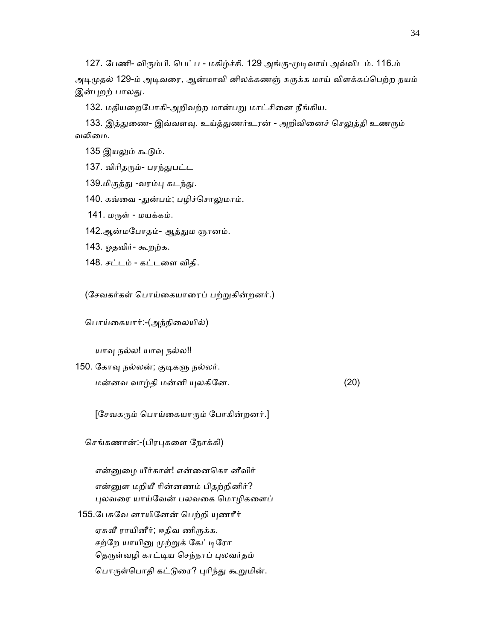127. ேபணி- விᾞம்பி. ெபட்ப - மகிழ்ச்சி. 129 அங்கு-ᾙᾊவாய் அவ்விடம். 116.ம்

அடிமுதல் 129-ம் அடிவரை, ஆன்மாவி னிலக்கணஞ் சுருக்க மாய் விளக்கப்பெற்ற நயம் இன்புறற் பாலது.

132. மதியறைபோகி-அறிவற்ற மான்பறு மாட்சினை நீங்கிய.

133. இத்துணை- இவ்வளவு. உய்த்துணர்உரன் - அறிவினைச் செலுத்தி உணரும் வலிமை.

- 135 இயலும் கூடும்.
- 137. விரிதரும்- பரந்துபட்ட
- 139.மிகுத்து -வரம்பு கடந்து.
- 140. கவ்வை -துன்பம்; பழிச்சொலுமாம்.
- 141. மருள் மயக்கம்.
- 142.ஆன்மபோதம்- ஆத்தும ஞானம்.
- 143. ஓதவிர்- கூறற்க.
- 148. சட்டம் கட்டைள விதி.

(சேவகர்கள் பொய்கையாரைப் பற்றுகின்றனர்.)

ெபாய்ைகயார்:-(அந்நிைலயில்)

யாவு நல்ல! யாவு நல்ல!!

150. கோவு நல்லன்; குடிகளு நல்லர்.  $\omega$ ன்னவ வாழ்தி மன்னி யுலகினே.  $(20)$ 

[சேவகரும் பொய்கையாரும் போகின்றனர்.]

ெசங்கணான்:-(பிரᾗகைள ேநாக்கி)

என்னுழை யீர்காள்! என்னைகொ னீவிர் என்னுள மறியீ ரின்னணம் பிதற்றினிர்? ᾗலவைர யாய்ேவன் பலவைக ெமாழிகைளப் 155.பேசுவே னாயினேன் பெற்றி யுணரீர் ஏசுவீ ராயினீர்; ஈதிவ ணிருக்க. சற்றே யாயினு முற்றுக் கேட்டிரோ தெருள்வழி காட்டிய செந்நாப் புலவர்தம் பொருள்பொதி கட்டுரை? புரிந்து கூறுமின்.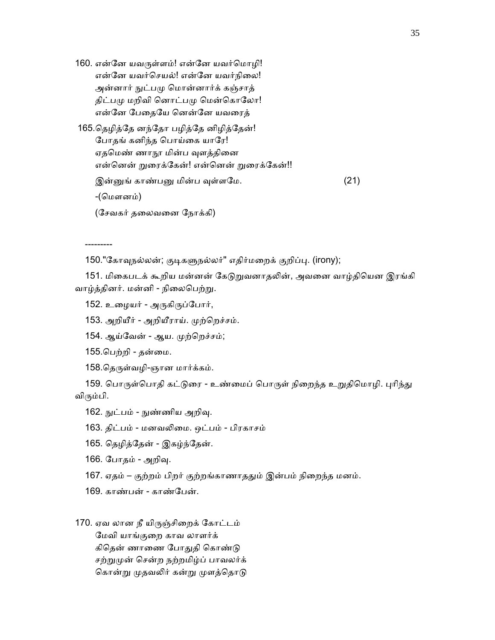160. என்னே யவருள்ளம்! என்னே யவர்மொழி! என்னே யவர்செயல்! என்னே யவர்நிலை! அன்னார் ᾒட்பᾙ ெமான்னார்க் கஞ்சாத் திட்பமு மறிவி னொட்பமு மென்கொலோ! என்ேன ேபைதேய ெனன்ேன யவைரத் 165.ெதழித்ேத னந்ேதா பழித்ேத னிழித்ேதன்! ேபாதங் கனிந்த ெபாய்ைக யாேர! ஏதமெண் ணாநூ மின்ப வுளத்தினை என்னென் றுரைக்கேன்! என்னென் றுரைக்கேன்!! இன்ᾔங் காண்பᾔ மின்ப ᾫள்ளேம. (21) -(ெமளனம்)

(ேசவகர் தைலவைன ேநாக்கி)

---------

150."கோவுநல்லன்; குடிகளுநல்லர்" எதிர்மறைக் குறிப்பு. (irony);

151. மிகைபடக் கூறிய மன்னன் கேடுறுவனாதலின், அவனை வாழ்தியென இரங்கி வாழ்த்தினர். மன்னி - நிலைபெற்று.

152. உழையர் - அருகிருப்போர்,

153. அறியீர் - அறியீராய். முற்றெச்சம்.

- 154. ஆய்வேன் ஆய. முற்றெச்சம்;
- 155.பெற்றி தன்மை.
- 158.தெருள்வழி-ஞான மார்க்கம்.

159. பொருள்பொதி கட்டுரை - உண்மைப் பொருள் நிறைந்த உறுதிமொழி. புரிந்து விᾞம்பி.

162. நுட்பம் - நுண்ணிய அறிவு.

- 163. திட்பம் மனவᾢைம. ஒட்பம் பிரகாசம்
- 165. ெதழித்ேதன் இகழ்ந்ேதன்.
- 166. போதம் அறிவு.
- 167. ஏதம் குற்றம் பிறர் குற்றங்காணாததும் இன்பம் நிறைந்த மனம்.
- 169. காண்பன் காண்பேன்.

170. ஏவ லான நீ யிᾞஞ்சிைறக் ேகாட்டம் ேமவி யாங்குைற காவ லாளர்க் கிதென் ணாணை போதுதி கொண்டு சற்றுமுன் சென்ற நற்றமிழ்ப் பாவலர்க் கொன்று முதவலிர் கன்று முளத்தொடு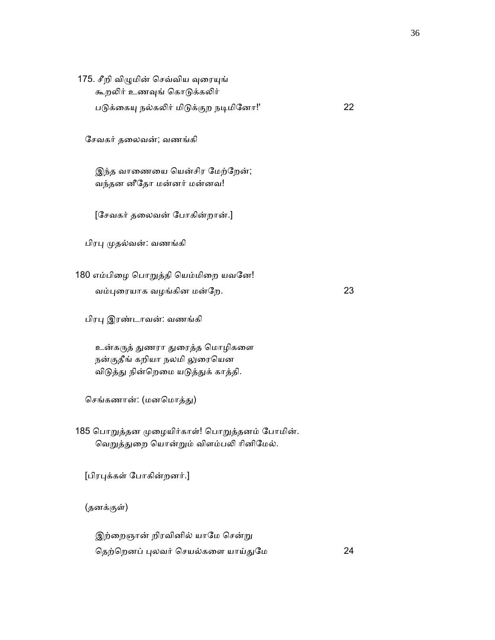| 175. சீறி விழுமின் செவ்விய வுரையுங்<br>கூறலிர் உணவுங் கொடுக்கலிர்                       |    |
|-----------------------------------------------------------------------------------------|----|
| படுக்கையு நல்கலிர் மிடுக்குற நடிமினோ!'                                                  | 22 |
| சேவகர் தலைவன்; வணங்கி                                                                   |    |
| இந்த வாணையை யென்சிர மேற்றேன்;<br>வந்தன னீதோ மன்னர் மன்னவ!                               |    |
| [சேவகர் தலைவன் போகின்றான்.]                                                             |    |
| பிரபு முதல்வன்: வணங்கி                                                                  |    |
| 180 எம்பிழை பொறுத்தி யெம்மிறை யவனே!                                                     |    |
| வம்புரையாக வழங்கின மன்றே.                                                               | 23 |
| பிரபு இரண்டாவன்: வணங்கி                                                                 |    |
| உன்கருத் துணரா துரைத்த மொழிகளை                                                          |    |
| நன்குதீங் கறியா நலமி லுரையென<br>விடுத்து நின்றெமை யடுத்துக் காத்தி.                     |    |
| செங்கணான்: (மனமொத்து)                                                                   |    |
| 185 பொறுத்தன முழையிர்காள்! பொறுத்தனம் போமின்.<br>வெறுத்துறை யொன்றும் விளம்பலி ரினிமேல். |    |
| [பிரபுக்கள் போகின்றனர்.]                                                                |    |
| (தனக்குள்)                                                                              |    |
| இற்றைஞான் றிரவினில் யாமே சென்று                                                         |    |
| தெற்றெனப் புலவர் செயல்களை யாய்துமே                                                      | 24 |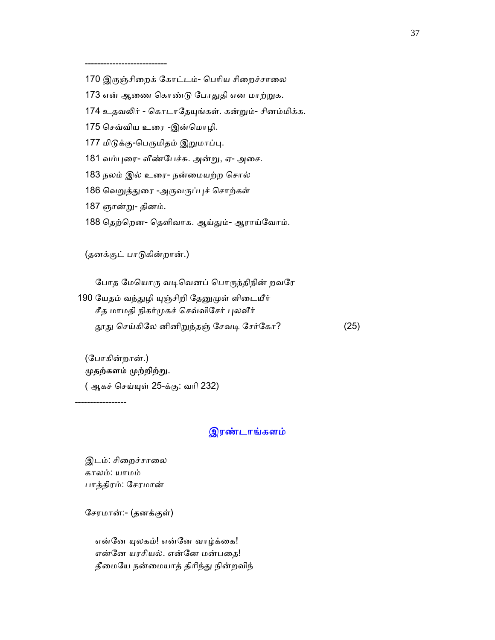---------------------------

- 170 இருஞ்சிறைக் கோட்டம்- பெரிய சிறைச்சாலை
- 173 என் ஆணை கொண்டு போதுதி என மாற்றுக.
- 174 உதவலிர் கொடாதேயுங்கள். கன்றும்- சினம்மிக்க.
- 175 செவ்விய உரை -இன்மொழி.
- 177 மிடுக்கு-பெருமிதம் இறுமாப்பு.
- 181 வம்புரை- வீண்பேச்சு. அன்று, ஏ- அசை.
- 183 நலம் இல் உைர- நன்ைமயற்ற ெசால்
- 186 வெறுத்துரை -அருவருப்புச் சொற்கள்
- 187 ஞான்று- தினம்.
- 188 தெற்றென- தெளிவாக. ஆய்தும்- ஆராய்வோம்.

(தனக்குட் பாᾌகின்றான்.)

போத மேயொரு வடிவெனப் பொருந்திநின் றவரே

190 யேதம் வந்துழி யுஞ்சிறி தேனுமுள் ளிடையீர் சீத மாமதி நிகர்முகச் செவ்விசேர் புலவீர் தூது செய்கிலே னினிறுந்தஞ் சேவடி சேர்கோ? (25)

## (ேபாகின்றான்.) முதற்களம் முற்றிற்று.

( ஆகச் ெசய்ᾜள் 25-க்கு: வாி 232)

-----------------

## இரண்டாங்களம்

இடம்: சிறைச்சாலை காலம்: யாமம் பாத்திரம்: ேசரமான்

ேசரமான்:- (தனக்குள்)

என்னே யுலகம்! என்னே வாழ்க்கை! என்ேன யரசியல். என்ேன மன்பைத! தீமையே நன்மையாத் திரிந்து நின்றவிந்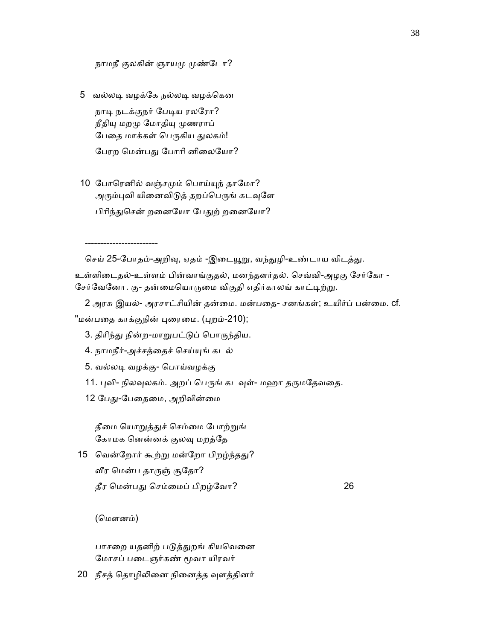நாமநீ குலகின் ஞாயமு முண்டோ?

- 5 வல்லᾊ வழக்ேக நல்லᾊ வழக்ெகன நாடி நடக்குநர் பேடிய ரலரோ? நீதியு மறமு மோதியு முணராப் பேதை மாக்கள் பெருகிய துலகம்! பேரற மென்பது போரி னிலையோ?
- 10 போரெனில் வஞ்சமும் பொய்யுந் தாமோ? அரும்புவி யினைவிடுத் தறப்பெருங் கடவுளே பிரிந்துசென் றனையோ பேதுற் றனையோ?

செய் 25-போதம்-அறிவு, ஏதம் -இடையூறு, வந்துழி-உண்டாய விடத்து.

உள்ளிைடதல்-உள்ளம் பின்வாங்குதல், மனந்தளர்தல். ெசவ்வி-அழகு ேசர்ேகா -

சேர்வேனோ. கு- தன்மையொருமை விகுதி எதிர்காலங் காட்டிற்று.

2 அரசு இயல்- அரசாட்சியின் தன்மை. மன்பதை- சனங்கள்; உயிர்ப் பன்மை. cf. "மன்பதை காக்குநின் புரைமை. (புறம்-210);

- 3. திரிந்து நின்ற-மாறுபட்டுப் பொருந்திய.
- 4. நாமநீர்-அச்சத்ைதச் ெசய்ᾜங் கடல்
- 5. வல்லᾊ வழக்கு- ெபாய்வழக்கு
- 11. புவி- நிலவுலகம். அறப் பெருங் கடவுள்- மஹா தருமதேவதை.
- 12 பேது-பேதைமை, அறிவின்மை

தீமை யொறுத்துச் செம்மை போற்றுங் ேகாமக ெனன்னக் குலᾫ மறத்ேத

15 வென்றோர் கூற்று மன்றோ பிறழ்ந்தது? ᾪர ெமன்ப தாᾞஞ் சூேதா? தீர ெமன்பᾐ ெசம்ைமப் பிறழ்ேவா? 26

(மௌனம்)

------------------------

பாசறை யதனிற் படுத்துறங் கியவெனை ேமாசப் பைடஞர்கண் ᾚவா யிரவர்

20 நீசத் தொழிலினை நினைத்த வுளத்தினர்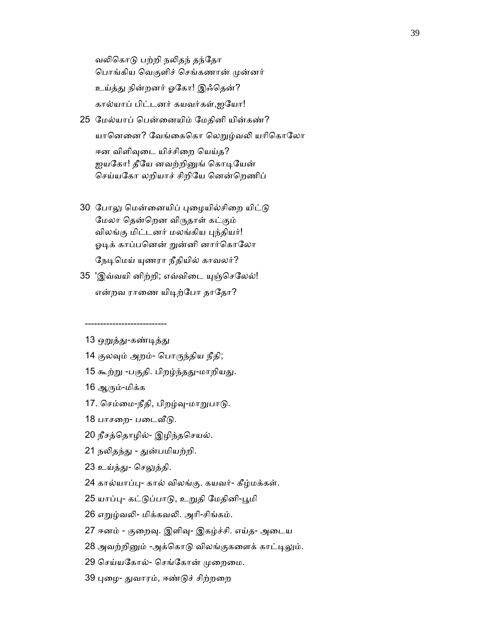வலிகொடு பற்றி நலிதந் தந்தோ பொங்கிய வெகுளிச் செங்கணான் முன்னர் உய்த்ᾐ நின்றனர் ஓேகா! இஃெதன்? கால்யாப் பிட்டனர் கயவர்கள்,ஐேயா!

- 25 ேமல்யாப் ெபன்ைனயிம் ேமதினி யின்கண்? யானெனை? வேங்கைகொ லெறுழ்வலி யரிகொலோ ஈன விளிவுடை யிச்சிறை யெய்த? ஐயகோ! தீயே னவற்றினுங் கொடியேன் செய்யகோ லறியாச் சிறியே னென்றெணிப்
- 30 போலு மென்னையிப் புழையில்சிறை யிட்டு ேமலா ெதன்ெறன விᾞதாள் கட்கும் விலங்கு மிட்டனர் மலங்கிய புந்தியர்! ஓடிக் காப்பனென் றுன்னி னார்கொலோ நேடிமெய் யுணரா நீதியில் காவலர்?
- 35 'இவ்வயி னிற்றி; எவ்விடை யுஞ்செலேல்! என்றவ ராணை யிடிற்போ தாதோ?

13 ஒறுத்து-கண்டித்து

---------------------------

- 14 குலᾫம் அறம்- ெபாᾞந்திய நீதி;
- 15 கூற்று -பகுதி. பிறழ்ந்தது-மாறியது.

16 ஆᾞம்-மிக்க

- 17. செம்மை-நீதி, பிறழ்வு-மாறுபாடு.
- 18 பாசறை- படைவீடு.
- 20 நீசத்ெதாழில்- இழிந்தெசயல்.
- 21 நலிதந்து துன்பமியற்றி.
- 23 உய்த்து- செலுத்தி.
- 24 கால்யாப்ᾗ- கால் விலங்கு. கயவர்- கீழ்மக்கள்.
- 25 யாப்பு- கட்டுப்பாடு, உறுதி மேதினி-பூமி
- 26 எᾠழ்வᾢ- மிக்கவᾢ. அாி-சிங்கம்.
- 27 ஈனம் குறைவு. இளிவு- இகழ்ச்சி. எய்த- அடைய
- 28 அவற்றினும் -அக்கொடு விலங்குகளைக் காட்டிலும்.
- 29 செய்யகோல்- செங்கோன் முறைமை.
- 39 புழை- துவாரம், ஈண்டுச் சிற்றறை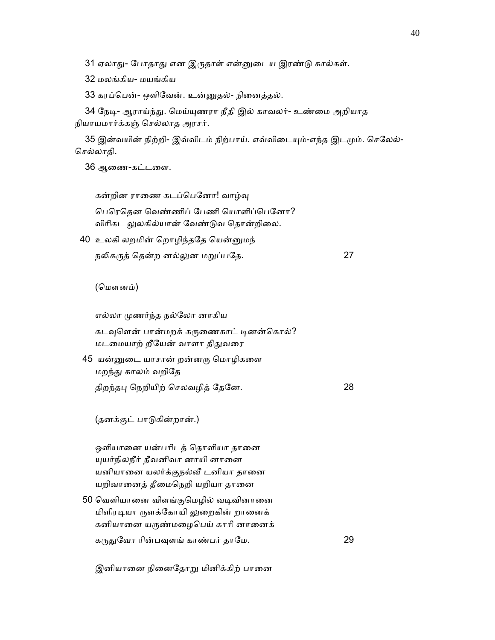31 ஏலாது- போதாது என இருதாள் என்னுடைய இரண்டு கால்கள்.

32 மலங்கிய- மயங்கிய

33 கரப்ெபன்- ஒளிேவன். உன்ᾔதல்- நிைனத்தல்.

34 நேடி- ஆராய்ந்து. மெய்யுணரா நீதி இல் காவலர்- உண்மை அறியாத நியாயமார்க்கஞ் ெசல்லாத அரசர்.

35 இன்வயின் நிற்றி- இவ்விடம் நிற்பாய். எவ்விடையும்-எந்த இடமும். செலேல்-ெசல்லாதி.

36 ஆைண-கட்டைள.

கன்றின ராணை கடப்பெனோ! வாழ்வு

 ெபெரெதன ெவண்ணிப் ேபணி ெயாளிப்ெபேனா? விரிகட லுலகில்யான் வேண்டுவ தொன்றிலை.

40 உலகி லறமின் ெறாழிந்தேத ெயன்ᾔமந்

நᾢகᾞத் ெதன்ற னல்ᾤன மᾠப்பேத. 27

(மௌனம்)

எல்லா ᾙணர்ந்த நல்ேலா னாகிய

கடவுளென் பான்மறக் கருணைகாட் டினன்கொல்? மடமையாற் றீயேன் வாளா திதுவரை

 45 யன்ᾔைட யாசான் றன்னᾞ ெமாழிகைள மறந்து காலம் வறிதே திறந்தᾗ ெநறியிற் ெசலவழித் ேதேன. 28

(தனக்குட் பாᾌகின்றான்.)

ஒளியானை யன்பரிடத் தொளியா தானை ᾜயர்நிலநீர் தீவனிவா னாயி னாைன யனியாைன யலர்க்குநல்ᾪ டனியா தாைன யறிவானைத் தீமைநெறி யறியா தானை

50 வெளியானை விளங்குமெழில் வடிவினானை மிளிரடியா ருளக்கோயி லுறைகின் றானைக் கனியானை யருண்மழைபெய் காரி னானைக் கᾞᾐேவா ாின்பᾫளங் காண்பர் தாேம. 29

இனியானை நினைதோறு மினிக்கிற் பானை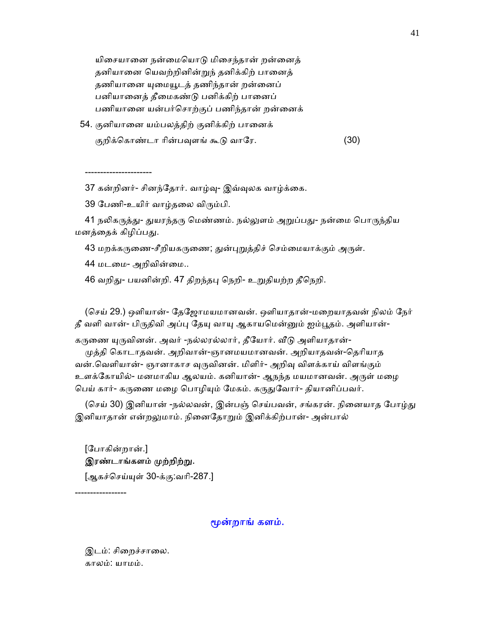யிசையானை நன்மையொடு மிசைந்தான் றன்னைத் தனியானை யெவற்றினின்றுந் தனிக்கிற் பானைத் தணியானை யுமையூடத் தணிந்தான் றன்னைப் பனியானைத் தீமைகண்டு பனிக்கிற் பானைப் பணியாைன யன்பர்ெசாற்குப் பணிந்தான் றன்ைனக்

54. குனியானை யம்பலத்திற் குனிக்கிற் பானைக் குறிக்கொண்டா ரின்பவுளங் கூடு வாரே. (30)

37 கன்றினர்- சினந்ேதார். வாழ்ᾫ- இவ்ᾫலக வாழ்க்ைக.

39 பேணி-உயிர் வாழ்தலை விரும்பி.

41 நலிகருத்து- துயரந்தரு மெண்ணம். நல்லுளம் அறுப்பது- நன்மை பொருந்திய மனத்தைக் கிழிப்பது.

43 மறக்கருணை-சீறியகருணை; துன்புறுத்திச் செம்மையாக்கும் அருள்.

44 மடமை- அறிவின்மை..

----------------------

46 வறிது- பயனின்றி. 47 திறந்தபு நெறி- உறுதியற்ற தீநெறி.

 (ெசய் 29.) ஒளியான்- ேதேஜாமயமானவன். ஒளியாதான்-மைறயாதவன் நிலம் ேநர் தீ வளி வான்- பிருதிவி அப்பு தேயு வாயு ஆகாயமென்னும் ஐம்பூதம். அளியான்-

கருணை யுருவினன். அவர் -நல்லரல்லார், தீயோர். வீடு அளியாதான்-

முத்தி கொடாதவன். அறிவான்-ஞானமயமானவன். அறியாதவன்-தெரியாத வன்.வெளியான்- ஞானாகாச வுருவினன். மிளிர்- அறிவு விளக்காய் விளங்கும் உளக்கோயில்- மனமாகிய ஆலயம். கனியான்- ஆநந்த மயமானவன். அருள் மழை பெய் கார்- கருணை மழை பொழியும் மேகம். கருதுவோர்- தியானிப்பவர்.

(செய் 30) இனியான் -நல்லவன், இன்பஞ் செய்பவன், சங்கரன். நினையாத போழ்து இனியாதான் என்றலுமாம். நினைதோறும் இனிக்கிற்பான்- அன்பால்

 [ேபாகின்றான்.] இரண்டாங்களம் முற்றிற்று.

[ஆகச்ெசய்ᾜள் 30-க்கு:வாி-287.]

#### ᾚன்றாங் களம்.

இடம்: சிறைச்சாலை. காலம்: யாமம்.

-----------------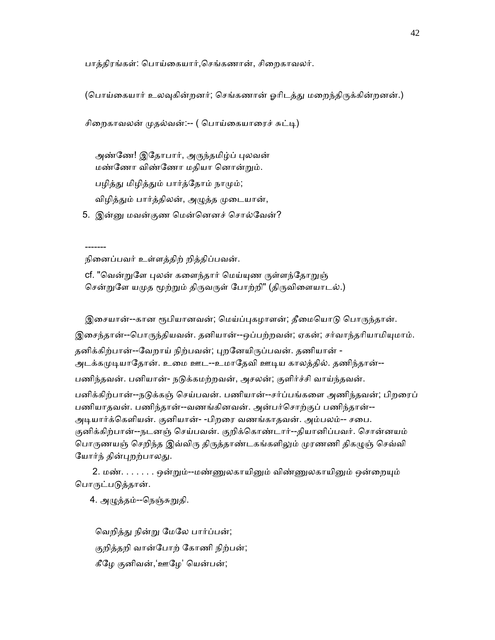பாத்திரங்கள்: பொய்கையார்,செங்கணான், சிறைகாவலர்.

(பொய்கையார் உலவுகின்றனர்; செங்கணான் ஓரிடத்து மறைந்திருக்கின்றனன்.)

```
சிறைகாவலன் முதல்வன்:-- ( பொய்கையாரைச் சுட்டி)
```
அண்ணே! இதோபார், அருந்தமிழ்ப் புலவன் மண்ணோ விண்ணோ மதியா னொன்றும். பழித்து மிழித்தும் பார்த்தோம் நாமும்; விழித்தும் பார்த்திலன், அழுத்த முடையான்,

5. இன்னு மவன்குண மென்னெனச் சொல்வேன்?

நிைனப்பவர் உள்ளத்திற் றித்திப்பவன்.

-------

cf. "வென்றுளே புலன் களைந்தார் மெய்யுண ருள்ளந்தோறுஞ் சென்றுளே யமுத மூற்றும் திருவருள் போற்றி" (திருவிளையாடல்.)

இசையான்--கான ரூபியானவன்; மெய்ப்புகழாளன்; தீமையொடு பொருந்தான். இசைந்தான்--பொருந்தியவன். தனியான்--ஒப்பற்றவன்; ஏகன்; சர்வாந்தரியாமியுமாம். தனிக்கிற்பான்--வேறாய் நிற்பவன்; புறனேயிருப்பவன். தணியான் -அடக்கமுடியாதோன். உமை ஊட--உமாதேவி ஊடிய காலத்தில். தணிந்தான்--பணிந்தவன். பனியான்- நடுக்கமற்றவன், அசலன்; குளிர்ச்சி வாய்ந்தவன். பனிக்கிற்பான்--நடுக்கஞ் செய்பவன். பணியான்--சர்ப்பங்களை அணிந்தவன்; பிறரைப் பணியாதவன். பணிந்தான்--வணங்கினவன். அன்பர்ெசாற்குப் பணிந்தான்-- அடியார்க்கெளியன். குனியான்- -பிறரை வணங்காதவன். அம்பலம்-- சபை. குனிக்கிற்பான்--நடனஞ் ெசய்பவன். குறிக்ெகாண்டார்--தியானிப்பவர். ெசான்னயம் பொருணயஞ் செறிந்த இவ்விரு திருத்தாண்டகங்களிலும் முரணணி திகழுஞ் செவ்வி யோர்ந் தின்புறற்பாலது.

2. மண். . . . . . . ஒன்றும்--மண்ணுலகாயினும் விண்ணுலகாயினும் ஒன்றையும் பொருட்படுத்தான்.

4. அழுத்தம்--நெஞ்சுறுதி.

வெறித்து நின்று மேலே பார்ப்பன்; குறித்தறி வான்ேபாற் ேகாணி நிற்பன்; கீேழ குனிவன்,'ஊேழ' ெயன்பன்;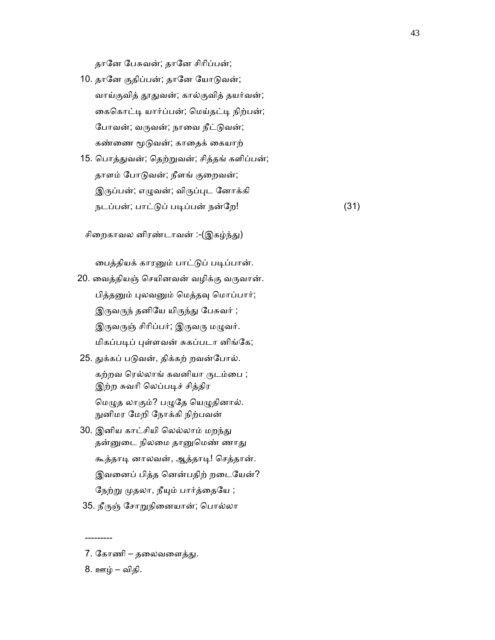தாேன ேபசுவன்; தாேன சிாிப்பன்;

- 10. தானே குதிப்பன்; தானே யோடுவன்; வாய்குவித் தூதுவன்; கால்குவித் தயர்வன்; கைகொட்டி யார்ப்பன்; மெய்தட்டி நிற்பன்; போவன்; வருவன்; நாவை நீட்டுவன்; கண்ணை மூடுவன்; காதைக் கையாற்
- 15. ெபாத்ᾐவன்; ெதற்ᾠவன்; சித்தங் களிப்பன்; தாளம் போடுவன்; நீளங் குறைவன்; இருப்பன்; எழுவன்; விருப்புட னோக்கி நடப்பன்; பாட்டுப் படிப்பன் நன்றே! (31)

சிறைகாவல னிரண்டாவன் :-(இகழ்ந்து)

பைத்தியக் காரனும் பாட்டுப் படிப்பான்.

- 20. ைவத்தியஞ் ெசயினவன் வழிக்கு வᾞவான். பித்தனும் புலவனும் மெத்தவு மொப்பார்; இருவருந் தனியே யிருந்து பேசுவர் ; இருவருஞ் சிரிப்பர்; இருவரு மழுவர். மிகப்படிப் புள்ளவன் சுகப்படா னிங்கே;
- 25. துக்கப் படுவன், திக்கற் றவன்போல். கற்றவ ரெல்லாங் கவனியா ருடம்பை ; இற்ற சுவரி லெப்படிச் சித்திர மெழுத லாகும்? பழுதே யெழுதினால். ᾒனிமர ேமறி ேநாக்கி நிற்பவன்
- 30. இனிய காட்சியி லெல்லாம் மறந்து தன்னுடை நிலமை தானுமெண் ணாது கூத்தாᾊ னாலவன், ஆத்தாᾊ! ெசத்தான். இவைனப் பித்த ெனன்பதிற் றைடேயன்? நேற்று முதலா, நீயும் பார்த்தையே ;
- 35. நீருஞ் சோறுநினையான்; பொல்லா

8. ஊழ் – விதி.

---------

<sup>7.</sup> கோணி – தலைவளைத்து.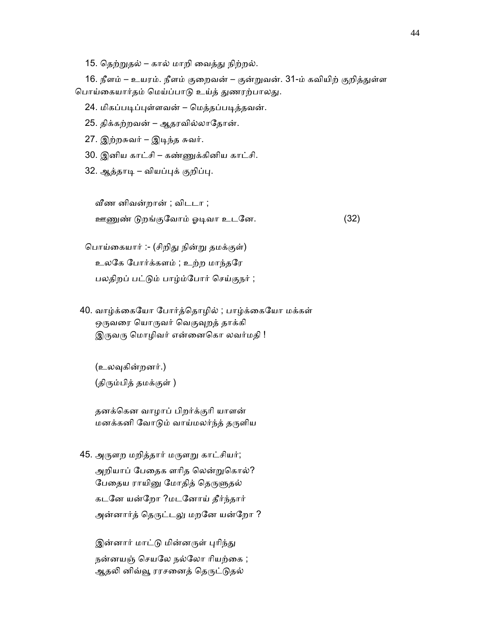15. தெற்றுதல் – கால் மாறி வைத்து நிற்றல்.

16. நீளம் – உயரம். நீளம் குறைவன் – குன்றுவன். 31-ம் கவியிற் குறித்துள்ள பொய்கையார்தம் மெய்ப்பாடு உய்த் துணரற்பாலது.

24. மிகப்படிப்புள்ளவன் – மெத்தப்படித்தவன்.

25. திக்கற்றவன் – ஆதரவில்லாேதான்.

27. இற்றசுவர் – இᾊந்த சுவர்.

30. இனிய காட்சி – கண்ᾎக்கினிய காட்சி.

32. ஆத்தாடி – வியப்புக் குறிப்பு.

ᾪண னிவன்றான் ; விடடா ;

ஊᾎண் ᾌறங்குேவாம் ஓᾊவா உடேன. (32)

 ெபாய்ைகயார் :- (சிறிᾐ நின்ᾠ தமக்குள்) உலேக ேபார்க்களம் ; உற்ற மாந்தேர பலதிறப் பட்டும் பாழ்ம்போர் செய்குநர் ;

40. வாழ்க்கையோ போர்த்தொழில் ; பாழ்க்கையோ மக்கள் ஒருவரை யொருவர் வெகுவுறத் தாக்கி இருவரு மொழிவர் என்னைகொ லவர்மதி !

 (உலᾫகின்றனர்.) (திரும்பித் தமக்குள் )

 தனக்ெகன வாழாப் பிறர்க்குாி யாளன் மனக்கனி வோடும் வாய்மலர்ந்த் தருளிய

45. அருளற மறித்தார் மருளறு காட்சியர்; அறியாப் பேதைக ளரித லென்றுகொல்? பேதைய ராயினு மோதித் தெருளுதல் கடேன யன்ேறா ?மடேனாய் தீர்ந்தார் அன்னார்த் தெருட்டலு மறனே யன்றோ ?

இன்னார் மாட்டு மின்னருள் புரிந்து நன்னயஞ் செயலே நல்லோ ரியற்கை ; ஆதலி னிவ்வூ ரரசனைத் தெருட்டுதல்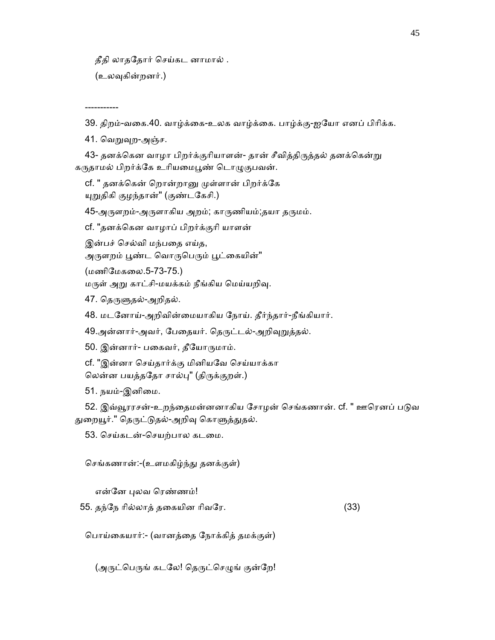தீதி லாதேதார் ெசய்கட னாமால் .

(உலᾫகின்றனர்.)

-----------

39. திறம்-வைக.40. வாழ்க்ைக-உலக வாழ்க்ைக. பாழ்க்கு-ஐேயா எனப் பிாிக்க.

41. வெறுவுற-அஞ்ச.

43- தனக்கென வாழா பிறர்க்குரியாளன்- தான் சீவித்திருத்தல் தனக்கென்று கருதாமல் பிறர்க்கே உரியமைபூண் டொழுகுபவன்.

cf. " தனக்கென் றொன்றானு முள்ளான் பிறர்க்கே ᾜᾠதிகி குழந்தான்" (குண்டேகசி.)

45-அருளறம்-அருளாகிய அறம்; காருணியம்;தயா தருமம்.

cf. "தனக்ெகன வாழாப் பிறர்க்குாி யாளன்

இன்பச் ெசல்வி மந்பைத எய்த,

அருளறம் பூண்ட வொருபெரும் பூட்கையின்"

(மணிேமகைல.5-73-75.)

மருள் அறு காட்சி-மயக்கம் நீங்கிய மெய்யறிவு.

47. தெருளுதல்-அறிதல்.

48. மடேனாய்-அறிவின்ைமயாகிய ேநாய். தீர்ந்தார்-நீங்கியார்.

49.அன்னார்-அவர், பேதையர். தெருட்டல்-அறிவுறுத்தல்.

50. இன்னார்- பகைவர், தீயோருமாம்.

 cf. "இன்னா ெசய்தார்க்கு மினியேவ ெசய்யாக்கா லென்ன பயத்ததோ சால்பு" (திருக்குறள்.)

51. நயம்-இனிமை.

52. இவ்வூரரசன்-உறந்தைமன்னனாகிய சோழன் செங்கணான். cf. " ஊரெனப் படுவ துறையூர்." தெருட்டுதல்-அறிவு கொளுத்துதல்.

53. ெசய்கடன்-ெசயற்பால கடைம.

ெசங்கணான்:-(உளமகிழ்ந்ᾐ தனக்குள்)

என்னே புலவ ரெண்ணம்!

55. தந்ேந ாில்லாத் தைகயின ாிவேர. (33)

ெபாய்ைகயார்:- (வானத்ைத ேநாக்கித் தமக்குள்)

(அருட்பெருங் கடலே! தெருட்செழுங் குன்றே!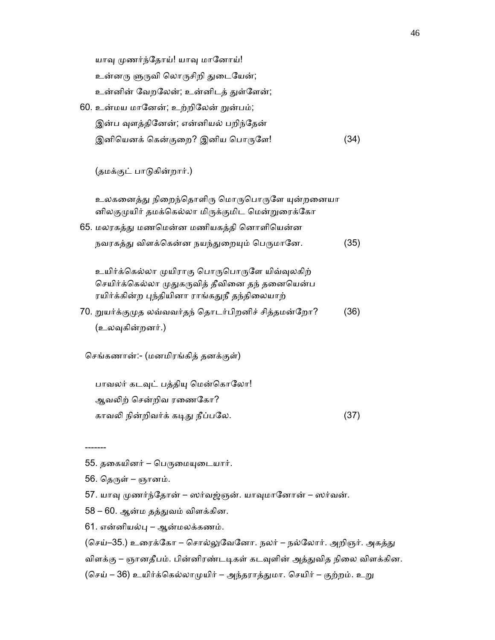யாவு முணர்ந்தோய்! யாவு மானோய்! உன்னரு ளுருவி லொருசிறி துடையேன்; உன்னின் வேறலேன்; உன்னிடத் துள்ளேன்; 60. உன்மய மானேன்; உற்றிலேன் றுன்பம்; இன்ப வுளத்தினேன்; என்னியல் பறிந்தேன் இனியெனக் கென்குறை? இனிய பொருளே! (34) (தமக்குட் பாᾌகின்றார்.) உலகனைத்து நிறைந்தொளிரு மொருபொருளே யுன்றனையா னிலகுமுயிர் தமக்கெல்லா மிருக்குமிட மென்றுரைக்கோ 65. மலரகத்ᾐ மணெமன்ன மணியகத்தி ெனாளிெயன்ன நவரகத்து விளக்கென்ன நயந்துறையும் பெருமானே. (35) உயிர்க்கெல்லா முயிராகு பொருபொருளே யிவ்வுலகிற் செயிர்க்கெல்லா முதுகருவித் தீவினை தந் தனையென்ப ரயிர்க்கின்ற புந்தியினா ராங்கதுநீ தந்திலையாற் 70. ᾠயர்க்குᾙத லவ்வவர்தந் ெதாடர்பிறனிச் சித்தமன்ேறா? (36) (உலᾫகின்றனர்.) ெசங்கணான்:- (மனமிரங்கித் தனக்குள்) பாவலர் கடவுட் பத்தியு மென்கொலோ! ஆவᾢற் ெசன்றிவ ரைணேகா? காவலி நின்றிவர்க் கடிது நீப்பலே. (37)

55. தகையினர் – பெருமையுடையார்.

 $56.$  தெருள் – ஞானம்.

-------

57. யாவு முணர்ந்தோன் – ஸர்வஜ்ஞன். யாவுமானோன் – ஸர்வன்.

- 58 60. ஆன்ம தத்ᾐவம் விளக்கின.
- 61. என்னியல்பு ஆன்மலக்கணம்.

(செய்–35.) உரைக்கோ – சொல்லுவேனோ. நலர் – நல்லோர். அறிஞர். அகத்து விளக்கு – ஞானதீபம். பின்னிரண்டடிகள் கடவுளின் அத்துவித நிலை விளக்கின. (செய் – 36) உயிர்க்கெல்லாமுயிர் – அந்தராத்துமா. செயிர் – குற்றம். உறு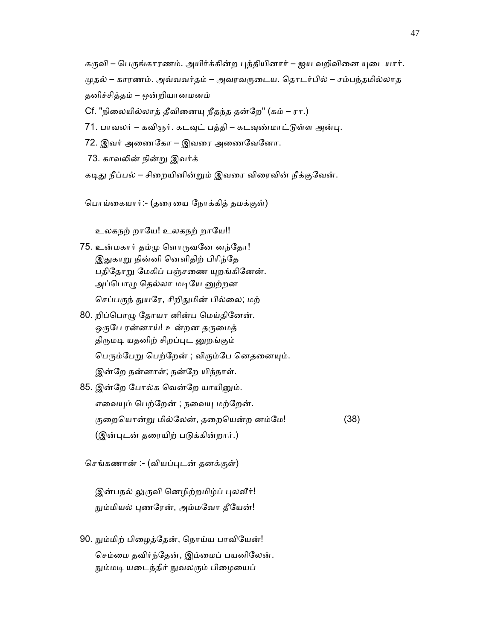கருவி – பெருங்காரணம். அயிர்க்கின்ற புந்தியினார் – ஐய வறிவினை யுடையார். ᾙதல் – காரணம். அவ்வவர்தம் – அவரவᾞைடய. ெதாடர்பில் – சம்பந்தமில்லாத தனிச்சித்தம் – ஒன்றியானமனம்

Cf. "நிலையில்லாத் தீவினையு நீதந்த தன்றே" (கம் – ரா.)

71. பாவலர் – கவிஞர். கடவுட் பத்தி – கடவுண்மாட்டுள்ள அன்பு.

72. இவர் அைணேகா – இவைர அைணேவேனா.

73. காவᾢன் நின்ᾠ இவர்க்

கடிது நீப்பல் – சிறையினின்றும் இவரை விரைவின் நீக்குவேன்.

ெபாய்ைகயார்:- (தைரைய ேநாக்கித் தமக்குள்)

உலகநற் றாயே! உலகநற் றாயே!!

- 75. உன்மகார் தம்ᾙ ெளாᾞவேன னந்ேதா! இதுகாறு நின்னி னெளிதிற் பிரிந்தே பதிதோறு மேகிப் பஞ்சணை யுறங்கினேன். அப்பொழு தெல்லா மடியே னுற்றன செப்பருந் துயரே, சிறிதுமின் பில்லை; மற்
- 80. றிப்பொழு தோயா னின்ப மெய்தினேன். ஒருபே ரன்னாய்! உன்றன தருமைத் திருமடி யதனிற் சிறப்புட னுறங்கும் பெரும்பேறு பெற்றேன் ; விரும்பே னெதனையும். இன்ேற நன்னாள்; நன்ேற யிந்நாள்.
- 85. இன்றே போல்க வென்றே யாயினும். எவையும் பெற்றேன் ; நவையு மற்றேன். குறையொன்று மில்லேன், தறையென்ற னம்மே! (38) (இன்புடன் தரையிற் படுக்கின்றார்.)

ெசங்கணான் :- (வியப்ᾗடன் தனக்குள்)

இன்பநல் லுருவி னெழிற்றமிழ்ப் புலவீர்! நும்மியல் புணரேன், அம்மவோ தீயேன்!

 90. ᾒம்மிற் பிைழத்ேதன், ெநாய்ய பாவிேயன்! செம்மை தவிர்ந்தேன், இம்மைப் பயனிலேன். நும்மடி யடைந்திர் நுவலரும் பிழையைப்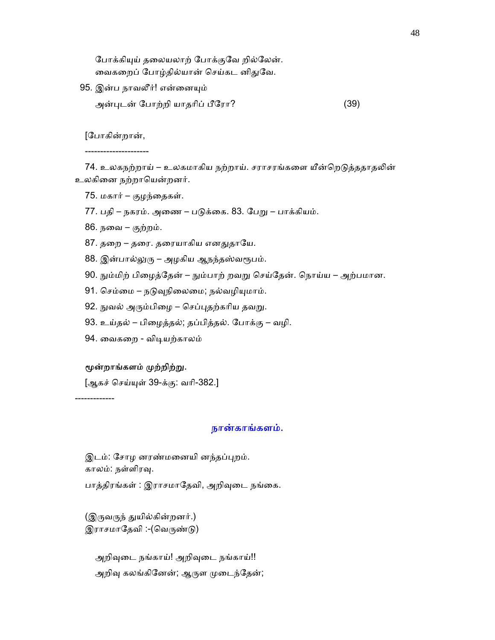போக்கியுய் தலையலாற் போக்குவே றில்லேன். வைகறைப் போழ்தில்யான் செய்கட னிதுவே.

- 95. இன்ப நாவலீர்! என்னையும்
	- அன்ᾗடன் ேபாற்றி யாதாிப் பீேரா? (39)

[ேபாகின்றான்,

---------------------

74. உலகநற்றாய் – உலகமாகிய நற்றாய். சராசரங்களை யீன்றெடுத்ததாதலின் உலகினை நற்றாயென்றனர்.

- $75.$  மகார் குழந்தைகள்.
- 77. பதி நகரம். அைண பᾌக்ைக. 83. ேபᾠ பாக்கியம்.

86. நைவ – குற்றம்.

- 87. தறை தரை. தரையாகிய எனதுதாயே.
- 88. இன்பால்லுரு அழகிய ஆநந்தஸ்வரூபம்.
- 90. ᾒம்மிற் பிைழத்ேதன் ᾒம்பாற் றவᾠ ெசய்ேதன். ெநாய்ய அற்பமான.
- 91. செம்மை நடுவுநிலைமை; நல்வழியுமாம்.
- 92. நுவல் அரும்பிழை செப்புதற்கரிய தவறு.
- 93. உய்தல் பிைழத்தல்; தப்பித்தல். ேபாக்கு வழி.
- 94. ைவகைற விᾊயற்காலம்

#### மூன்றாங்களம் முற்றிற்று.

-------------

[ஆகச் ெசய்ᾜள் 39-க்கு: வாி-382.]

#### நான்காங்களம்.

இடம்: சோழ னரண்மனையி னந்தப்புறம். காலம்: நள்ளிரᾫ.

பாத்திரங்கள் : இராசமாதேவி, அறிவுடை நங்கை.

(இருவருந் துயில்கின்றனர்.) இராசமாதேவி :-(வெருண்டு)

அறிவுடை நங்காய்! அறிவுடை நங்காய்!! அறிவு கலங்கினேன்; ஆருள முடைந்தேன்;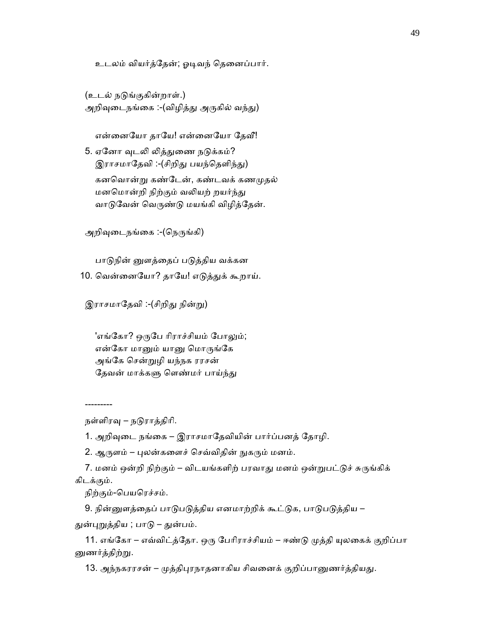உடலம் வியர்த்ேதன்; ஓᾊவந் ெதைனப்பார்.

(உடல் நடுங்குகின்றாள்.) அறிவுடைநங்கை :-(விழித்து அருகில் வந்து)

என்னையோ தாயே! என்னையோ தேவீ!

5. ஏனோ வுடலி லித்துணை நடுக்கம்? இராசமாதேவி :-(சிறிது பயந்தெளிந்து) கனவொன்று கண்டேன், கண்டவக் கணமுதல் மனமொன்றி நிற்கும் வலியற் றயர்ந்து வாடுவேன் வெருண்டு மயங்கி விழித்தேன்.

அறிவுடைநங்கை :-(நெருங்கி)

பாடுநின் னுளத்தைப் படுத்திய வக்கன 10. வென்னையோ? தாயே! எடுத்துக் கூறாய்.

இராசமாதேவி :-(சிறிது நின்று)

'எங்கோ? ஒருபே ரிராச்சியம் போலும்; என்கோ மானும் யானு மொருங்கே அங்ேக ெசன்ᾠழி யந்நக ரரசன் தேவன் மாக்களு ளெண்மர் பாய்ந்து

---------

நள்ளிரᾫ – நᾌராத்திாி.

1. அறிᾫைட நங்ைக – இராசமாேதவியின் பார்ப்பனத் ேதாழி.

2. ஆருளம் – புலன்களைச் செவ்விதின் நுகரும் மனம்.

7. மனம் ஒன்றி நிற்கும் – விடயங்களிற் பரவாது மனம் ஒன்றுபட்டுச் சுருங்கிக் கிடக்கும்.

நிற்கும்-பெயரெச்சம்.

9. நின்னுளத்தைப் பாடுபடுத்திய எனமாற்றிக் கூட்டுக, பாடுபடுத்திய –

துன்புறுத்திய ; பாடு – துன்பம்.

11. எங்கோ – எவ்விட்த்தோ. ஒரு பேரிராச்சியம் – ஈண்டு முத்தி யுலகைக் குறிப்பா னுணர்த்திற்று.

13. அந்நகரரசன் – முத்திபுரநாதனாகிய சிவனைக் குறிப்பானுணர்த்தியது.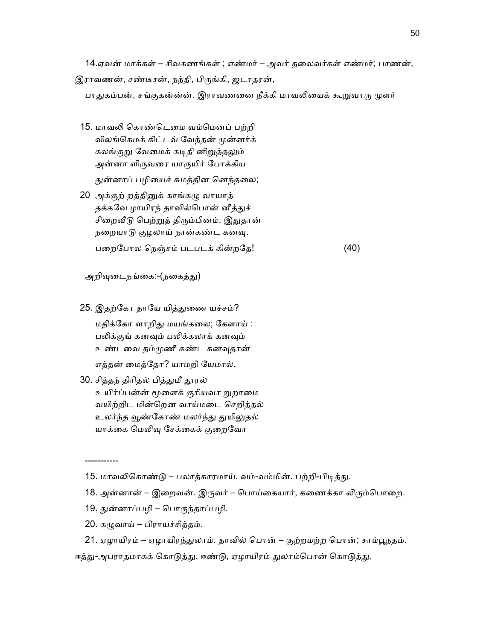14.ஏவன் மாக்கள் – சிவகணங்கள் ; எண்மர் – அவர் தைலவர்கள் எண்மர்; பாணன்,

இராவணன், சண்டீசன், நந்தி, பிருங்கி, ஜடாதரன்,

பாதுகம்பன், சங்குகன்ன்ன். இராவணனை நீக்கி மாவலியைக் கூறுவாரு முளர்

- 15. மாவலி கொண்டெமை வம்மெனப் பற்றி விலங்கெமக் கிட்டவ் வேந்தன் முன்னர்க் கலங்குறு வேமைக் கடிதி னிறுத்தலும் அன்னா ளிᾞவைர யாᾞயிர் ேபாக்கிய துன்னாப் பழியைச் சுமத்தின னெந்தலை;
- 20 அக்குற் றத்தினுக் காங்கழு வாயாத் தக்கவே ழாயிரந் தாவில்பொன் னீத்துச் சிறைவீடு பெற்றுத் திரும்பினம். இதுதான் நறையாடு குழலாய் நான்கண்ட கனவு. பைறேபால ெநஞ்சம் படபடக் கின்றேத! (40)

அறிவுடைநங்கை:-(நகைத்து)

25. இதற்கோ தாயே யித்துணை யச்சம்? மதிக்ேகா ளாறிᾐ மயங்கைல; ேகளாய் : பலிக்குங் கனவும் பலிக்கலாக் கனவும் உண்டைவ தம்ᾙணீ கண்ட கனᾫதான்

எத்தன் ைமத்ேதா? யாமறி ேயமால்.

 30. சித்தந் திாிதல் பித்ᾐமீ ᾑரல் உயிர்ப்பன்ன் மூளைக் குரியவா றுறாமை வயிற்றிட மின்ெறன வாய்மைட ெசறித்தல் உலர்ந்த வூண்கோண் மலர்ந்து துயிலுதல் யாக்கை மெலிவு சேக்கைக் குறைவோ

- 18. அன்னான் இறைவன். இருவர் பொய்கையார், கணைக்கா லிரும்பொறை.
- 19. ᾐன்னாப்பழி ெபாᾞந்தாப்பழி.
- 20. கழுவாய் பிராயச்சித்தம்.

-----------

- 21. ஏழாயிரம் ஏழாயிரந்துலாம். தாவில் பொன் குற்றமற்ற பொன்; சாம்பூநதம்.
- ஈத்து-அபராதமாகக் கொடுத்து. ஈண்டு, ஏழாயிரம் துலாம்பொன் கொடுத்து,

<sup>15.</sup> மாவலிகொண்டு – பலாத்காரமாய். வம்-வம்மின். பற்றி-பிடித்து.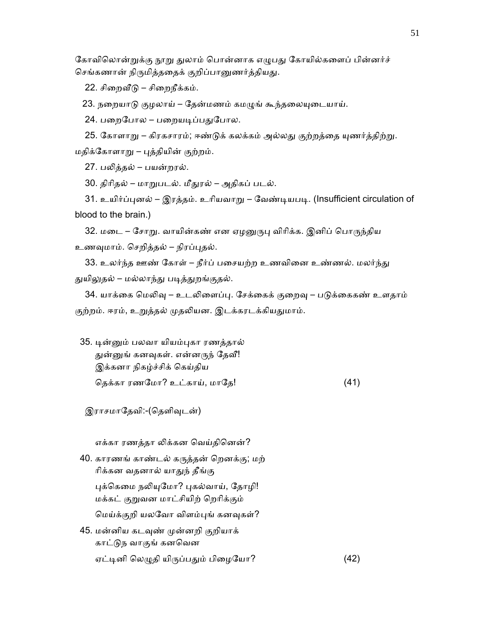கோவிலொன்றுக்கு நூறு துலாம் பொன்னாக எழுபது கோயில்களைப் பின்னர்ச் செங்கணான் நிருமித்ததைக் குறிப்பானுணர்த்தியது.

22. சிறைவீடு – சிறைநீக்கம்.

23. நறையாடு குழலாய் – தேன்மணம் கமழுங் கூந்தலையுடையாய்.

24. பறைபோல – பறையடிப்பதுபோல.

25. கோளாறு – கிரகசாரம்; ஈண்டுக் கலக்கம் அல்லது குற்றத்தை யுணர்த்திற்று.

மதிக்ேகாளாᾠ – ᾗத்தியின் குற்றம்.

27. பᾢத்தல் – பயன்றரல்.

30. திாிதல் – மாᾠபடல். மீᾐரல் – அதிகப் படல்.

31. உயிர்ப்புனல் – இரத்தம். உரியவாறு – வேண்டியபடி. (Insufficient circulation of blood to the brain.)

32. மடை – சோறு. வாயின்கண் என ஏழனுருபு விரிக்க. இனிப் பொருந்திய உணவுமாம். செறித்தல் – நிரப்புதல்.

33. உலர்ந்த ஊண் கோள் – நீர்ப் பசையற்ற உணவினை உண்ணல். மலர்ந்து துயிலுதல் – மல்லாந்து படித்துறங்குதல்.

34. யாக்கை மெலிவு – உடலிளைப்பு. சேக்கைக் குறைவு – படுக்கைகண் உளதாம் குற்றம். ஈரம், உறுத்தல் முதலியன. இடக்கரடக்கியதுமாம்.

 35. ᾊன்ᾔம் பலவா யியம்ᾗகா ரணத்தால் துன்னுங் கனவுகள். என்னருந் தேவீ! இக்கனா நிகழ்ச்சிக் ெகய்திய தெக்கா ரணமோ? உட்காய், மாதே! (41)

இராசமாதேவி:-(தெளிவுடன்)

எக்கா ரணத்தா லிக்கன வெய்தினென்?

- 40. காரணங் காண்டல் கᾞத்தன் ெறனக்கு; மற் ாிக்கன வதனால் யாᾐந் தீங்கு புக்கெமை நலியுமோ? புகல்வாய், தோழி! மக்கட் குᾠவன மாட்சியிற் ெறாிக்கும் ெமய்க்குறி யலேவா விளம்ᾗங் கனᾫகள்?
- 45. மன்னிய கடவுண் முன்னறி குறியாக் காட்ᾌந வாகுங் கனெவன ஏட்டினி லெழுதி யிருப்பதும் பிழையோ? (42)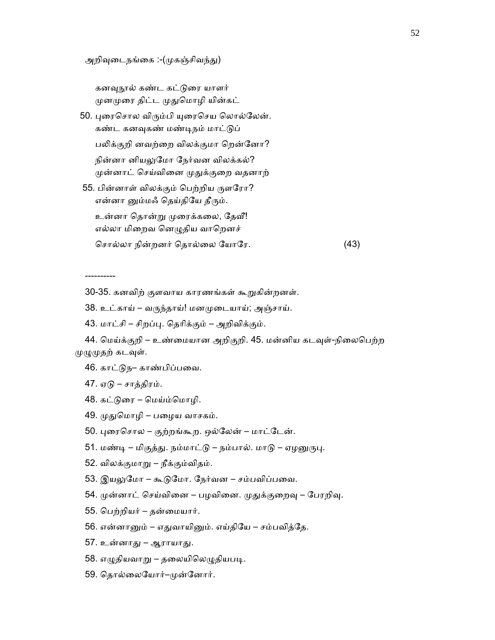அறிவுடைநங்கை :-(முகஞ்சிவந்து)

கனவுநூல் கண்ட கட்டுரை யாளர் முனமுரை திட்ட முதுமொழி யின்கட்

50. புரைசொல விரும்பி யுரைசெய லொல்லேன். கண்ட கனவுகண் மண்டிநம் மாட்டுப்

பலிக்குறி னவற்றை விலக்குமா றென்னோ? நின்னா னியᾤேமா ேநர்வன விலக்கல்? முன்னாட் செய்வினை முதுக்குறை வதனாற்

55. பின்னாள் விலக்கும் பெற்றிய ருளரோ? என்னா னும்மஃ தெய்தியே தீரும்.

உன்னா தொன்று முரைக்கலை, தேவீ! எல்லா மிறைவ னெழுதிய வாறெனச்

ெசால்லா நின்றனர் ெதால்ைல ேயாேர. (43)

----------

30-35. கனவிற் குளவாய காரணங்கள் கூᾠகின்றனள்.

38. உட்காய் – வᾞந்தாய்! மனᾙைடயாய்; அஞ்சாய்.

43. மாட்சி – சிறப்ᾗ. ெதாிக்கும் – அறிவிக்கும்.

44. மெய்க்குறி – உண்மையான அறிகுறி. 45. மன்னிய கடவுள்-நிலைபெற்ற முழுமுதற் கடவுள்.

46. காட்டுந– காண்பிப்பவை.

 $47.$  ஏடு – சாத்திரம்.

48. கட்ᾌைர – ெமய்ம்ெமாழி.

49. முதுமொழி – பழைய வாசகம்.

- 50. ᾗைரெசால குற்றங்கூற. ஒல்ேலன் மாட்ேடன்.
- 51. மண்டி மிகுத்து. நம்மாட்டு நம்பால். மாடு ஏழனுருபு.
- 52. விலக்குமாᾠ நீக்கும்விதம்.
- 53. இயலுமோ கூடுமோ. நேர்வன சம்பவிப்பவை.
- 54. முன்னாட் செய்வினை பழவினை. முதுக்குறைவு பேரறிவு.
- 55. ெபற்றியர் தன்ைமயார்.
- 56. என்னாᾔம் எᾐவாயிᾔம். எய்திேய சம்பவித்ேத.
- 57. உன்னாᾐ ஆராயாᾐ.
- 58. எழுதியவாறு தலையிலெழுதியபடி.
- 59. தொல்லையோர்–முன்னோர்.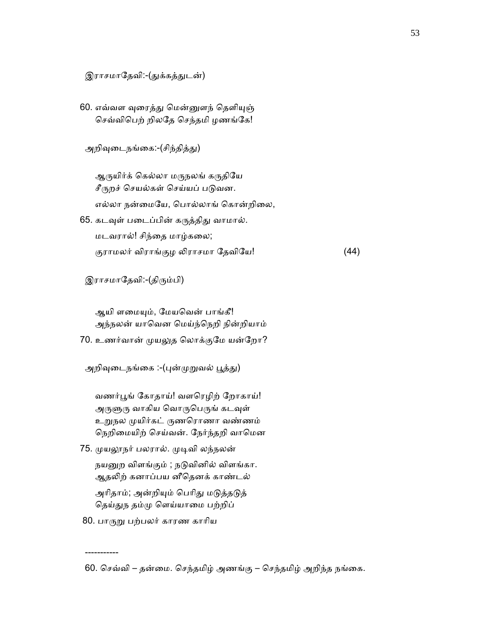## இராசமாதேவி:-(துக்கத்துடன்)

60. எவ்வள வுரைத்து மென்னுளந் தெளியுஞ் ெசவ்விெபற் றிலேத ெசந்தமி ழணங்ேக!

அறிவுடைநங்கை:-(சிந்தித்து)

ஆருயிர்க் கெல்லா மருநலங் கருதியே சீருறச் செயல்கள் செய்யப் படுவன. எல்லா நன்மையே, பொல்லாங் கொன்றிலை,

65. கடவுள் படைப்பின் கருத்திது வாமால். மடவரால்! சிந்ைத மாழ்கைல; குராமலர் விராங்குழ லிராசமா தேவியே! (44)

இராசமாதேவி:-(திரும்பி)

ஆயி ளமையும், மேயவென் பாங்கீ! அந்நலன் யாெவன ெமய்ந்ெநறி நின்றியாம்

70. உணர்வான் ᾙயᾤத ெலாக்குேம யன்ேறா?

அறிவுடைநங்கை :-(புன்முறுவல் பூத்து)

வணர்பூங் கோதாய்! வளரெழிற் றோகாய்! அருளுரு வாகிய வொருபெருங் கடவுள் உᾠநல ᾙயிர்கட் ᾞணெராணா வண்ணம் நெறிமையிற் செய்வன். நேர்ந்தறி வாமென

- 75. முயலூநர் பலரால். முடிவி லந்நலன் நயனுற விளங்கும் ; நடுவினில் விளங்கா. ஆதலிற் கனாப்பய னீதெனக் காண்டல் அரிதாம்; அன்றியும் பெரிது மடுத்தடுத் தெய்துந தம்மு எெய்யாமை பற்றிப்
- 80. பாᾞᾠ பற்பலர் காரண காாிய

-----------

 <sup>60. ெ</sup>சவ்வி – தன்ைம. ெசந்தமிழ் அணங்கு – ெசந்தமிழ் அறிந்த நங்ைக.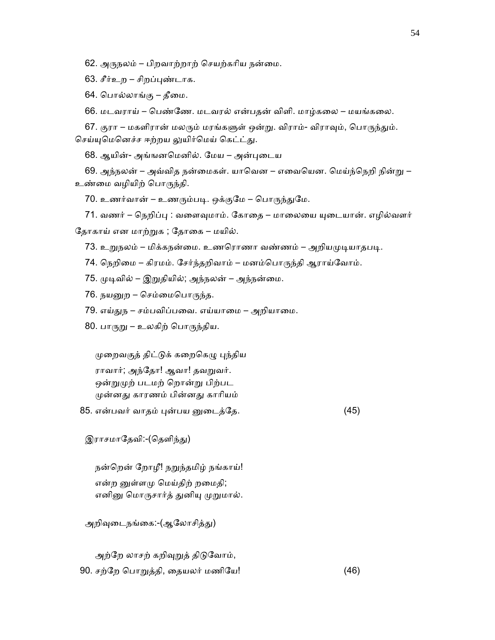62. அᾞநலம் – பிறவாற்றாற் ெசயற்காிய நன்ைம.

63. சீர்உற – சிறப்புண்டாக.

64. பொல்லாங்கு – தீமை.

66. மடவராய் – ெபண்ேண. மடவரல் என்பதன் விளி. மாழ்கைல – மயங்கைல.

67. குரா – மகளிரான் மலரும் மரங்களுள் ஒன்று. விராம்- விராவும், பொருந்தும். செய்யுமெனெச்ச ஈற்றய லுயிர்மெய் கெட்ட்து.

68. ஆயின்- அங்ஙனெமனில். ேமய – அன்ᾗைடய

69. அந்நலன் – அவ்வித நன்மைகள். யாவென – எவையென. மெய்ந்நெறி நின்று – உண்ைம வழியிற் ெபாᾞந்தி.

70. உணர்வான் – உணரும்படி. ஒக்குமே – பொருந்துமே.

71. வணர் – நெறிப்பு : வளைவுமாம். கோதை – மாலையை யுடையான். எழில்வளர் தோகாய் என மாற்றுக ; தோகை – மயில்.

73. உறுநலம் – மிக்கநன்மை. உணரொணா வண்ணம் – அறியமுடியாதபடி.

74. நெறிமை – கிரமம். சேர்ந்தறிவாம் – மனம்பொருந்தி ஆராய்வோம்.

75. ᾙᾊவில் – இᾠதியில்; அந்நலன் – அந்நன்ைம.

76. நயᾔற – ெசம்ைமெபாᾞந்த.

79. எய்துந – சம்பவிப்பவை. எய்யாமை – அறியாமை.

80. பாருறு – உலகிற் பொருந்திய.

ᾙைறவகுத் திட்ᾌக் கைறெகᾨ ᾗந்திய

 ராவார்; அந்ேதா! ஆவா! தவᾠவர். ஒன்றுமுற் படமற் றொன்று பிற்பட ᾙன்னᾐ காரணம் பின்னᾐ காாியம்

 $85.$  என்பவர் வாதம் புன்பய னுடைத்தே.  $(45)$ 

இராசமாதேவி:-(தெளிந்து)

நன்றென் றோழீ! நறுந்தமிழ் நங்காய்! என்ற னுள்ளமு மெய்திற் றமைதி; எனினு மொருசார்த் துனியு முறுமால்.

அறிவுடைநங்கை:-(ஆலோசித்து)

அற்றே லாசற் கறிவுறுத் திடுவோம், 90. சற்றே பொறுத்தி, தையலர் மணியே! (46)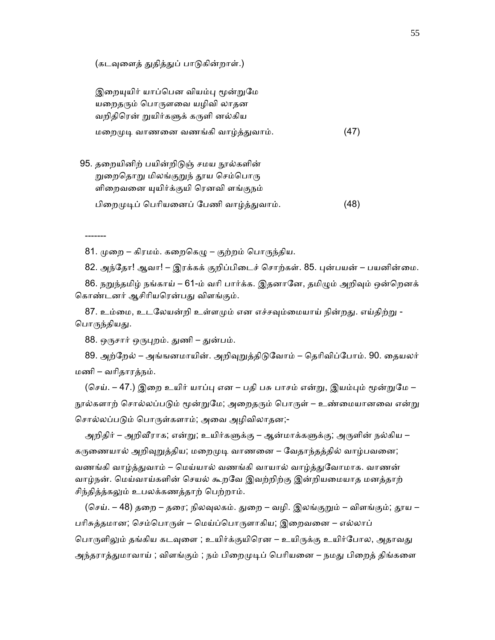(கடவுளைத் துதித்துப் பாடுகின்றாள்.)

இறையுயிர் யாப்பென வியம்பு மூன்றுமே யறைதரும் பொருளவை யழிவி லாதன வறிதிரென் றுயிர்களுக் கருளி னல்கிய மறைமுடி வாணனை வணங்கி வாழ்த்துவாம். (47)

95. தறையினிற் பயின்றிடுஞ் சமய நூல்களின் றுறைதொறு மிலங்குறுந் தூய செம்பொரு ளிறைவனை யுயிர்க்குயி ரெனவி ளங்குநம் பிறைமுடிப் பெரியனைப் பேணி வாழ்த்துவாம். (48)

81. முறை – கிரமம். கறைகெழு – குற்றம் பொருந்திய.

82. அந்தோ! ஆவா! – இரக்கக் குறிப்பிடைச் சொற்கள். 85. புன்பயன் – பயனின்மை.

86. நறுந்தமிழ் நங்காய் – 61-ம் வரி பார்க்க. இதனானே, தமிழும் அறிவும் ஒன்றெனக் கொண்டனர் ஆசிரியரென்பது விளங்கும்.

87. உம்மை, உடலேயன்றி உள்ளமும் என எச்சவும்மையாய் நின்றது. எய்திற்று -பொருந்தியது.

88. ஒருசார் ஒருபுறம். துணி – துன்பம்.

-------

89. அற்றேல் – அங்ஙனமாயின். அறிவுறுத்திடுவோம் – தெரிவிப்போம். 90. தையலர் மணி – வாிதாரத்நம்.

(செய். – 47.) இறை உயிர் யாப்பு என – பதி பசு பாசம் என்று, இயம்பும் மூன்றுமே – நூல்களாற் சொல்லப்படும் மூன்றுமே; அறைதரும் பொருள் – உண்மையானவை என்று சொல்லப்படும் பொருள்களாம்; அவை அழிவிலாதன;-

அறிதிர் – அறிவீராக; என்று; உயிர்களுக்கு – ஆன்மாக்களுக்கு; அருளின் நல்கிய – கருணையால் அறிவுறுத்திய; மறைமுடி வாணனை – வேதாந்தத்தில் வாழ்பவனை; வணங்கி வாழ்த்துவாம் – மெய்யால் வணங்கி வாயால் வாழ்த்துவோமாக. வாணன் வாழ்நன். ெமய்வாய்களின் ெசயல் கூறேவ இவற்றிற்கு இன்றியைமயாத மனத்தாற் சிந்தித்த்கலும் உபலக்கணத்தாற் பெற்றாம்.

(செய். – 48) தறை – தரை; நிலவுலகம். துறை – வழி. இலங்குறும் – விளங்கும்; தூய – பரிசுத்தமான; செம்பொருள் – மெய்ப்பொருளாகிய; இறைவனை – எல்லாப் பொருளிலும் தங்கிய கடவுளை ; உயிர்க்குயிரென – உயிருக்கு உயிர்போல, அதாவது அந்தராத்துமாவாய் ; விளங்கும் ; நம் பிறைமுடிப் பெரியனை – நமது பிறைத் திங்களை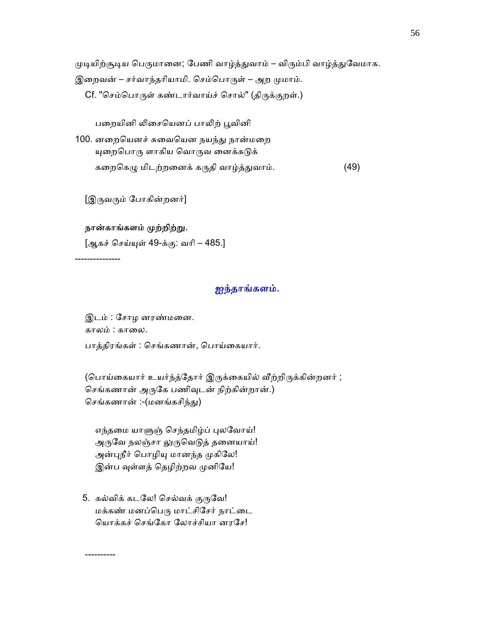முடியிற்சூடிய பெருமானை; பேணி வாழ்த்துவாம் – விரும்பி வாழ்த்துவேமாக.

இறைவன் – சர்வாந்தரியாமி. செம்பொருள் – அற முமாம்.

Cf. "செம்பொருள் கண்டார்வாய்ச் சொல்" (திருக்குறள்.)

பறையினி லிசையெனப் பாலிற் பூவினி

100. னறையெனச் சுவையென நயந்து நான்மறை யுறைபொரு ளாகிய வொருவ னைக்கடுக் கறைகெழு மிடற்றனைக் கருதி வாழ்த்துவாம். (49)

[இருவரும் போகின்றனர்]

## நான்காங்களம் முற்றிற்று.

[ஆகச் செய்யுள் 49-க்கு: வரி – 485.]

---------------

----------

# ஐந்தாங்களம்.

 இடம் : ேசாழ னரண்மைன. காலம் : காலை. பாத்திரங்கள் : செங்கணான், பொய்கையார்.

(பொய்கையார் உயர்ந்த்தோர் இருக்கையில் வீற்றிருக்கின்றனர் ; செங்கணான் அருகே பணிவுடன் நிற்கின்றான்.) செங்கணான் :-(மனங்கசிந்து)

எந்தமை யாளுஞ் செந்தமிழ்ப் புலவோய்! அருவே நலஞ்சா லுருவெடுத் தனையாய்! அன்புநீர் பொழியு மானந்த முகிலே! இன்ப வுள்ளத் தெழிற்றவ முனியே!

5. கல்விக் கடலே! செல்வக் குருவே! மக்கண் மனப்பெரு மாட்சிசேர் நாட்டை ெயாக்கச் ெசங்ேகா ேலாச்சியா னரேச!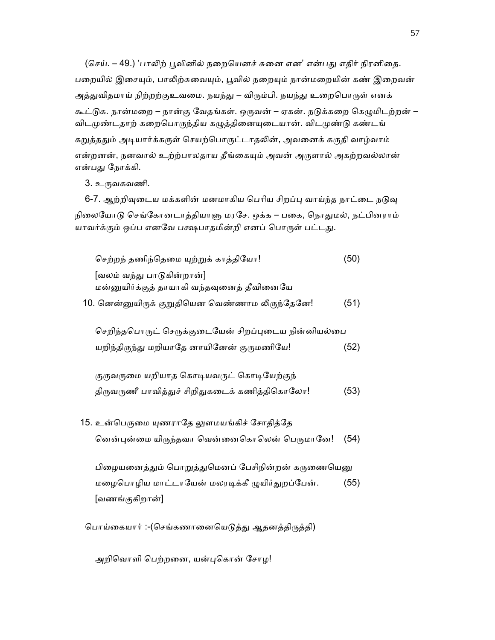(செய். – 49.) 'பாலிற் பூவினில் நறையெனச் சுனை என' என்பது எதிர் நிரனிதை. பறையில் இசையும், பாலிற்சுவையும், பூவில் நறையும் நான்மறையின் கண் இறைவன் அத்துவிதமாய் நிற்றற்குஉவமை. நயந்து – விரும்பி. நயந்து உறைபொருள் எனக் கூட்டுக. நான்மறை – நான்கு வேதங்கள். ஒருவன் – ஏகன். நடுக்கறை கெழுமிடற்றன் – விடமுண்டதாற் கறைபொருந்திய கழுத்தினையுடையான். விடமுண்டு கண்டங் கறுத்ததும் அடியார்க்கருள் செயற்பொருட்டாதலின், அவனைக் கருதி வாழ்வாம் என்றனன், நனவால் உற்ற்பாலதாய தீங்கையும் அவன் அருளால் அகற்றவல்லான் என்பது நோக்கி.

3. உருவகவணி.

6-7. ஆற்றிவுடைய மக்களின் மனமாகிய பெரிய சிறப்பு வாய்ந்த நாட்டை நடுவு நிலையோடு செங்கோனடாத்தியாளு மரசே. ஒக்க – பகை, நொதுமல், நட்பினராம் யாவர்க்கும் ஒப்ப எனவே பக்ஷபாதமின்றி எனப் பொருள் பட்டது.

செற்றந் தணிந்தெமை யுற்றுக் காத்தியோ! (50) [வலம் வந்ᾐ பாᾌகின்றான்] மன்னுயிர்க்குத் தாயாகி வந்தவுனைத் தீவினையே 10. னென்னுயிருக் குறுதியென வெண்ணாம லிருந்தேனே! (51)

செறிந்தபொருட் செருக்குடையேன் சிறப்புடைய நின்னியல்பை யறிந்திருந்து மறியாதே னாயினேன் குருமணியே! (52)

குருவருமை யறியாத கொடியவருட் கொடியேற்குந் திருவருணீ பாவித்துச் சிறிதுகடைக் கணித்திகொலோ! (53)

15. உன்பெருமை யுணராதே லுளமயங்கிச் சோதித்தே னென்புன்மை யிருந்தவா வென்னைகொலென் பெருமானே! (54)

பிழையனைத்தும் பொறுத்துமெனப் பேசிநின்றன் கருணையெனு மழைபொழிய மாட்டாயேன் மலரடிக்கீ முயிர்துறப்பேன். (55) [வணங்குகிறான்]

பொய்கையார் :-(செங்கணானையெடுத்து ஆதனத்திருத்தி)

அறிவொளி பெற்றனை, யன்புகொன் சோழ!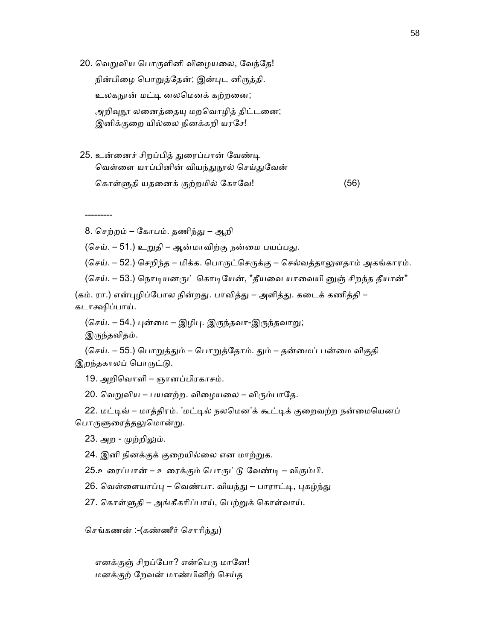20. வெறுவிய பொருளினி விழையலை, வேந்தே!

நின்பிழை பொறுத்தேன்; இன்புட னிருத்தி. உலகநூன் மட்டி னலமெனக் கற்றனை; அறிவுநூ லனைத்தையு மறவொழித் திட்டனை; இனிக்குறை யில்லை நினக்கறி யரசே!

25. உன்னைச் சிறப்பித் துரைப்பான் வேண்டி வெள்ளை யாப்பினின் வியந்துநூல் செய்துவேன் ெகாள்ᾦதி யதைனக் குற்றமில் ேகாேவ! (56)

---------

8. ெசற்றம் – ேகாபம். தணிந்ᾐ – ஆறி

(செய். – 51.) உறுதி – ஆன்மாவிற்கு நன்மை பயப்பது.

(செய். – 52.) செறிந்த – மிக்க. பொருட்செருக்கு – செல்வத்தாலுளதாம் அகங்காரம்.

(செய். – 53.) நொடியனருட் கொடியேன், "தீயவை யாவையி னுஞ் சிறந்த தீயான்"

(கம். ரா.) என்புழிப்போல நின்றது. பாவித்து – அளித்து. கடைக் கணித்தி – கடாக்ஷிப்பாய்.

(செய். – 54.) புன்மை – இழிபு. இருந்தவா-இருந்தவாறு; இருந்தவிதம்.

(செய். – 55.) பொறுத்தும் – பொறுத்தோம். தும் – தன்மைப் பன்மை விகுதி இறந்தகாலப் பொருட்டு.

19. அறிெவாளி – ஞானப்பிரகாசம்.

20. வெறுவிய – பயனற்ற. விழையலை – விரும்பாதே.

22. மட்டிவ் – மாத்திரம். 'மட்டில் நலமென'க் கூட்டிக் குறைவற்ற நன்மையெனப் பொருளுரைத்தலுமொன்று.

23. அற - முற்றிலும்.

24. இனி நினக்குக் குறையில்லை என மாற்றுக.

25.உரைப்பான் – உரைக்கும் பொருட்டு வேண்டி – விரும்பி.

26. வெள்ளையாப்பு – வெண்பா. வியந்து – பாராட்டி, புகழ்ந்து

27. கொள்ளுதி – அங்கீகரிப்பாய், பெற்றுக் கொள்வாய்.

செங்கணன் :-(கண்ணீர் சொரிந்து)

எனக்குஞ் சிறப்போ? என்பெரு மானே! மனக்குற் ேறவன் மாண்பினிற் ெசய்த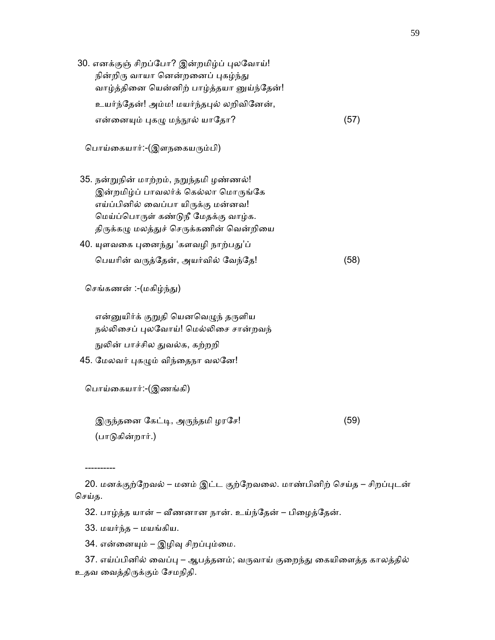- 30. எனக்குஞ் சிறப்போ? இன்றமிழ்ப் புலவோய்! நின்றிரு வாயா னென்றனைப் புகழ்ந்து வாழ்த்தினை யென்னிற் பாழ்த்தயா னுய்ந்தேன்! உயர்ந்தேன்! அம்ம! மயர்ந்தபுல் லறிவினேன், என்னையும் புகழு மந்நூல் யாதோ? (57) ெபாய்ைகயார்:-(இளநைகயᾞம்பி) 35. நன்ᾠநின் மாற்றம், நᾠந்தமி ழண்ணல்! இன்றமிழ்ப் பாவலர்க் கெல்லா மொருங்கே எய்ப்பினில் ைவப்பா யிᾞக்கு மன்னவ! மெய்ப்பொருள் கண்டுநீ மேதக்கு வாழ்க. திருக்கழு மலத்துச் செருக்கணின் வென்றியை 40. யுளவகை புனைந்து 'களவழி நாற்பது'ப்
	- ெபயாின் வᾞத்ேதன், அயர்வில் ேவந்ேத! (58)

செங்கணன் :-(மகிழ்ந்து)

என்னுயிர்க் குறுதி யெனவெழுந் தருளிய நல்லிசைப் புலவோய்! மெல்லிசை சான்றவந் நுலின் பாச்சில துவல்க, கற்றறி

45. மேலவர் புகழும் விந்தைநா வலனே!

ெபாய்ைகயார்:-(இணங்கி)

 $\mathfrak{A}$ ருந்தனை கேட்டி, அருந்தமி ழரசே! (59) (பாᾌகின்றார்.)

20. மனக்குற்றேவல் – மனம் இட்ட குற்றேவலை. மாண்பினிற் செய்த – சிறப்புடன் செய்த.

32. பாழ்த்த யான் – வீணனான நான். உய்ந்தேன் – பிழைத்தேன்.

33. மயர்ந்த – மயங்கிய.

----------

34. என்னையும் – இழிவு சிறப்பும்மை.

37. எய்ப்பினில் வைப்பு – ஆபத்தனம்; வருவாய் குறைந்து கையிளைத்த காலத்தில் உதவ ைவத்திᾞக்கும் ேசமநிதி.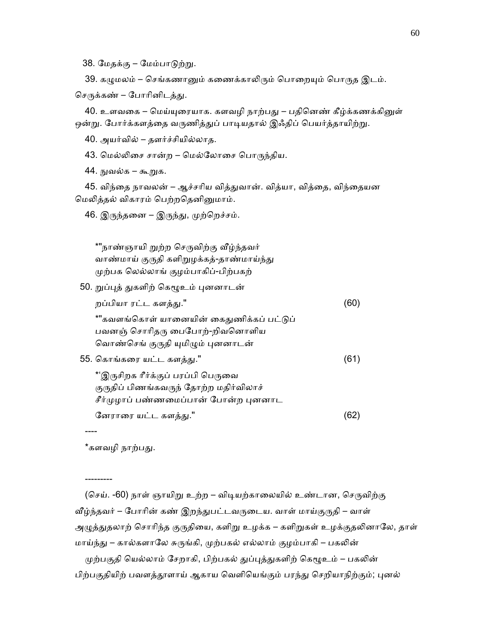38. மேதக்கு – மேம்பாடுற்று.

39. கழுமலம் – செங்கணானும் கணைக்காலிரும் பொறையும் பொருத இடம்.

செருக்கண் – போரினிடத்து.

40. உளவகை – மெய்யுரையாக. களவழி நாற்பது – பதினெண் கீழ்க்கணக்கினுள் ஒன்று. போர்க்களத்தை வருணித்துப் பாடியதால் இஃதிப் பெயர்த்தாயிற்று.

40. அயர்வில் – தளர்ச்சியில்லாத.

43. மெல்லிசை சான்ற – மெல்லோசை பொருந்திய.

44. ᾒவல்க – கூᾠக.

45. விந்தை நாவலன் – ஆச்சரிய வித்துவான். வித்யா, வித்தை, விந்தையன மெலித்தல் விகாரம் பெற்றதெனினுமாம்.

46. இருந்தனை – இருந்து, முற்றெச்சம்.

 \*"நாண்ஞாயி ᾠற்ற ெசᾞவிற்கு ᾪழ்ந்தவர் வாண்மாய் குருதி களிறுழக்கத்-தாண்மாய்ந்து ᾙற்பக ெலல்லாங் குழம்பாகிப்-பிற்பகற்

50. றுப்புத் துகளிற் கெழூஉம் புனனாடன்

| றப்பியா ரட்ட களத்து."                    |      |
|------------------------------------------|------|
| *"கவளங்கொள் யானையின் கைதுணிக்கப் பட்டுப் |      |
| பவனஞ் சொரிதரு பைபோற்-றிவனொளிய            |      |
| வொண்செங் குருதி யுமிழும் புனனாடன்        |      |
| 55. கொங்கரை யட்ட களத்து."                | (61) |
| *'இருசிறக ரீர்க்குப் பரப்பி பெருவை       |      |
| குருதிப் பிணங்கவருந் தோற்ற மதிர்விலாச்   |      |
| சீர்முழாப் பண்ணமைப்பான் போன்ற புனனாட     |      |
| னேராரை யட்ட களத்து."                     |      |

\*களவழி நாற்பது.

----

---------

(செய். -60) நாள் ஞாயிறு உற்ற – விடியற்காலையில் உண்டான, செருவிற்கு வீழ்ந்தவர் – போரின் கண் இறந்துபட்டவருடைய. வாள் மாய்குருதி – வாள் அழுத்துதலாற் சொரிந்த குருதியை, களிறு உழக்க – களிறுகள் உழக்குதலினாலே, தாள் மாய்ந்து – கால்களாலே சுருங்கி, முற்பகல் எல்லாம் குழம்பாகி – பகலின்

முற்பகுதி யெல்லாம் சேறாகி, பிற்பகல் துப்புத்துகளிற் கெழூஉம் – பகலின் பிற்பகுதியிற் பவளத்தூளாய் ஆகாய வெளியெங்கும் பரந்து செறியாநிற்கும்; புனல்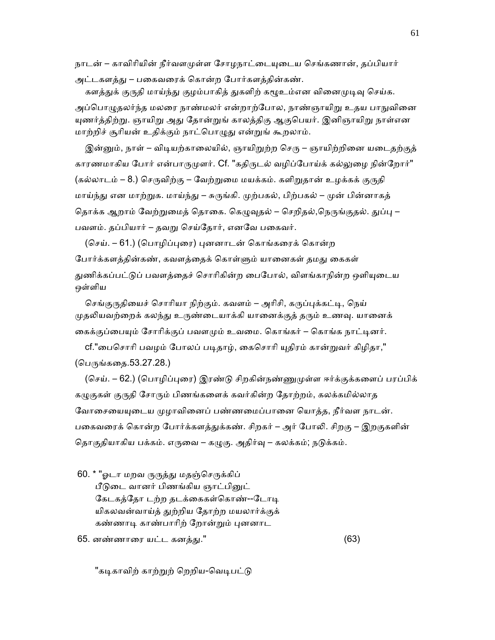நாடன் – காவிரியின் நீர்வளமுள்ள சோழநாட்டையுடைய செங்கணான், தப்பியார்

அட்டகளத்து – பகைவரைக் கொன்ற போர்களத்தின்கண். களத்துக் குருதி மாய்ந்து குழம்பாகித் துகளிற் கழூஉம்என வினைமுடிவு செய்க.

அப்பொழுதலர்ந்த மலரை நாண்மலர் என்றாற்போல, நாண்ஞாயிறு உதய பாநுவினை யுணர்த்திற்று. ஞாயிறு அது தோன்றுங் காலத்திகு ஆகுபெயர். இனிஞாயிறு நாள்என மாற்றிச் சூரியன் உதிக்கும் நாட்பொழுது என்றுங் கூறலாம்.

இன்னும், நாள் – விடியற்காலையில், ஞாயிறுற்ற செரு – ஞாயிற்றினை யடைதற்குத் காரணமாகிய போர் என்பாருமுளர். Cf. "கதிருடல் வழிப்போய்க் கல்லுழை நின்றோர்" (கல்லாடம் – 8.) செருவிற்கு – வேற்றுமை மயக்கம். களிறுதான் உழக்கக் குருதி மாய்ந்து என மாற்றுக. மாய்ந்து – சுருங்கி. முற்பகல், பிற்பகல் – முன் பின்னாகத் தொக்க ஆறாம் வேற்றுமைத் தொகை. கெழுவுதல் – செறிதல்,நெருங்குதல். துப்பு – பவளம். தப்பியார் – தவறு செய்தோர், எனவே பகைவர்.

(செய். – 61.) (பொழிப்புரை) புனனாடன் கொங்கரைக் கொன்ற போர்க்களத்தின்கண், கவளத்தைக் கொள்ளும் யானைகள் தமது கைகள் துணிக்கப்பட்டுப் பவளத்தைச் சொரிகின்ற பைபோல், விளங்காநின்ற ஒளியுடைய ஒள்ளிய

செங்குருதியைச் சொரியா நிற்கும். கவளம் – அரிசி, கருப்புக்கட்டி, நெய் முதலியவற்றைக் கலந்து உருண்டையாக்கி யானைக்குத் தரும் உணவு. யானைக் கைக்குப்பையும் சோரிக்குப் பவளமும் உவமை. கொங்கர் – கொங்க நாட்டினர்.

cf."பைசொரி பவழம் போலப் படிதாழ், கைசொரி யுதிரம் கான்றுவர் கிழிதா," (பெருங்கதை.53.27.28.)

(செய். – 62.) (பொழிப்புரை) இரண்டு சிறகின்நண்ணுமுள்ள ஈர்க்குக்களைப் பரப்பிக் கழுகுகள் குருதி சோரும் பிணங்களைக் கவர்கின்ற தோற்றம், கலக்கமில்லாத வோசையையுடைய முழாவினைப் பண்ணமைப்பானை யொத்த, நீர்வள நாடன். பகைவரைக் கொன்ற போர்க்களத்துக்கண். சிறகர் – அர் போலி. சிறகு – இறகுகளின் தொகுதியாகிய பக்கம். எருவை – கழுகு. அதிர்வு – கலக்கம்; நடுக்கம்.

60. \* "ஓடா மறவ ருருத்து மதஞ்செருக்கிப்

பீடுடை வானர் பிணங்கிய ஞாட்பினுட் கேடகத்தோ டற்ற தடக்கைகள்கொண்--டோடி யிகலவன்வாய்த் ᾐற்றிய ேதாற்ற மயலார்க்குக் கண்ணாடி காண்பாரிற் றோன்றும் புனனாட

65. னண்ணாைர யட்ட கனத்ᾐ." (63)

"கடிகாவிற் காற்றுற் றெறிய-வெடிபட்டு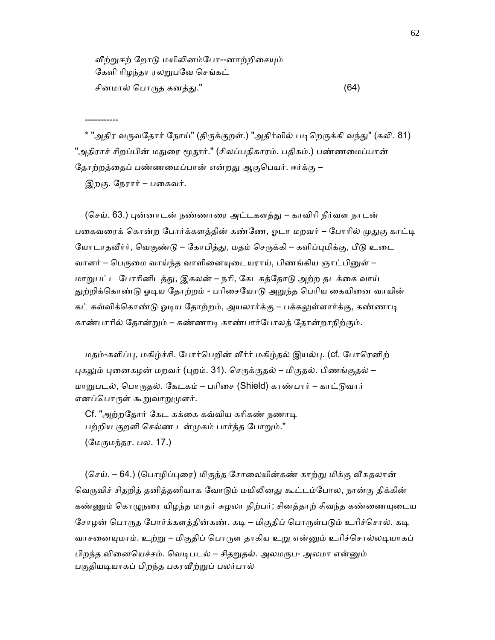வீற்றுஈற் றோடு மயிலினம்போ--னாற்றிசையும் கேளி ரிழந்தா ரலறுபவே செங்கட் சினமால் ெபாᾞத கனத்ᾐ." (64)

\* "அதிர வருவதோர் நோய்" (திருக்குறள்.) "அதிர்வில் படிறெருக்கி வந்து" (கலி. 81) "அதிராச் சிறப்பின் மதுரை மூதூர்." (சிலப்பதிகாரம். பதிகம்.) பண்ணமைப்பான் தோற்றத்தைப் பண்ணமைப்பான் என்றது ஆகுபெயர். ஈர்க்கு –

இறகு. நேரார் – பகைவர்.

-----------

(செய். 63.) புன்னாடன் நண்ணாரை அட்டகளத்து – காவிரி நீர்வள நாடன் பகைவரைக் கொன்ற போர்க்களத்தின் கண்ணே, ஓடா மறவர் – போரில் முதுகு காட்டி யோடாதவீர்ர், வெகுண்டு – கோபித்து, மதம் செருக்கி – களிப்புமிக்கு, பீடு உடை வாளர் – பெருமை வாய்ந்த வாளினையுடையராய், பிணங்கிய ஞாட்பினுள் – மாறுபட்ட போரினிடத்து, இகலன் – நரி, கேடகத்தோடு அற்ற தடக்கை வாய் துற்றிக்கொண்டு ஓடிய தோற்றம் - பரிசையோடு அறுந்த பெரிய கையினை வாயின் கட் கவ்விக்கொண்டு ஓடிய தோற்றம், அயலார்க்கு – பக்கலுள்ளார்க்கு, கண்ணாடி காண்பாாில் ேதான்ᾠம் – கண்ணாᾊ காண்பார்ேபாலத் ேதான்றாநிற்கும்.

மதம்-களிப்பு, மகிழ்ச்சி. போர்பெறின் வீர்ர் மகிழ்தல் இயல்பு. (cf. போரெனிற் புகலும் புனைகழன் மறவர் (புறம். 31). செருக்குதல் – மிகுதல். பிணங்குதல் – மாறுபடல், பொருதல். கேடகம் – பரிசை (Shield) காண்பார் – காட்டுவார் எனப்பொருள் கூறுவாறுமுளர்.

Cf. "அற்றதோர் கேட கக்கை கவ்விய கரிகண் நணாடி பற்றிய குறளி ெசல்ண டன்ᾙகம் பார்த்த ேபாᾠம்." (மேருமந்தர. பல. 17.)

(செய். – 64.) (பொழிப்புரை) மிகுந்த சோலையின்கண் காற்று மிக்கு வீசுதலான் வெருவிச் சிதறித் தனித்தனியாக வோடும் மயிலினது கூட்டம்போல, நான்கு திக்கின் கண்ணும் கொழுநரை யிழந்த மாதர் சுழலா நிற்பர்; சினத்தாற் சிவந்த கண்ணையுடைய சோழன் பொருத போர்க்களத்தின்கண். கடி – மிகுதிப் பொருள்படும் உரிச்சொல். கடி வாசனையுமாம். உற்று – மிகுதிப் பொருள தாகிய உறு என்னும் உரிச்சொல்லடியாகப் பிறந்த வினையெச்சம். வெடிபடல் – சிதறுதல். அலமருப- அலமா என்னும் பகுதியடியாகப் பிறந்த பகரவீற்றுப் பலர்பால்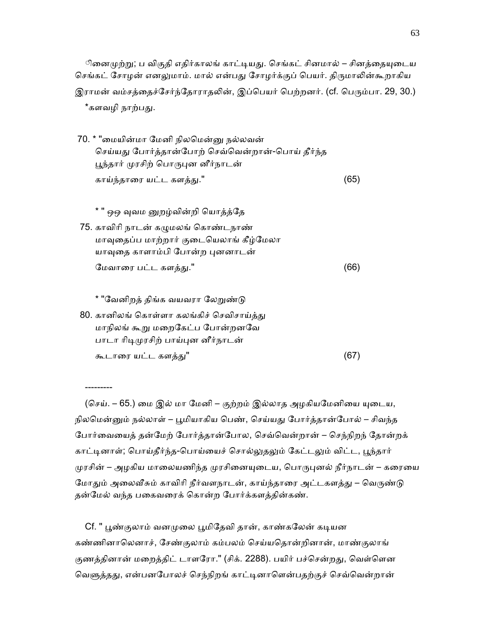ினைமுற்று; ப விகுதி எதிர்காலங் காட்டியது. செங்கட் சினமால் – சினத்தையுடைய செங்கட் சோழன் எனலுமாம். மால் என்பது சோழர்க்குப் பெயர். திருமாலின்கூறாகிய இராமன் வம்சத்தைச்சேர்ந்தோராதலின், இப்பெயர் பெற்றனர். (cf. பெரும்பா. 29, 30.) \*களவழி நாற்பது.

- 70. \* "ைமயின்மா ேமனி நிலெமன்ᾔ நல்லவன் செய்யது போர்த்தான்போற் செவ்வென்றான்-பொய் தீர்ந்த பூந்தார் முரசிற் பொருபுன னீர்நாடன் காய்ந்தாைர யட்ட களத்ᾐ." (65)
- \* " ஒஒ வுவம னுறழ்வின்றி யொத்த்தே 75. காவிாி நாடன் கᾨமலங் ெகாண்டநாண் மாவுதைப்ப மாற்றார் குடையெலாங் கீழ்மேலா யாவுதை காளாம்பி போன்ற புனனாடன் ேமவாைர பட்ட களத்ᾐ." (66)

\* "வேனிறத் திங்க வயவரா லேறுண்டு

---------

80. கானிலங் கொள்ளா கலங்கிச் செவிசாய்த்து மாநிலங் கூறு மறைகேட்ப போன்றனவே பாடா ரிடிமுரசிற் பாய்புன னீர்நாடன் கூடாைர யட்ட களத்ᾐ" (67)

(செய். – 65.) மை இல் மா மேனி – குற்றம் இல்லாத அழகியமேனியை யுடைய, நிலமென்னும் நல்லாள் – பூமியாகிய பெண், செய்யது போர்த்தான்போல் – சிவந்த ேபார்ைவையத் தன்ேமற் ேபார்த்தான்ேபால, ெசவ்ெவன்றான் – ெசந்நிறந் ேதான்றக் காட்டினாள்; பொய்தீர்ந்த-பொய்யைச் சொல்லுதலும் கேட்டலும் விட்ட, பூந்தார் முரசின் – அழகிய மாலையணிந்த முரசினையுடைய, பொருபுனல் நீர்நாடன் – கரையை மோதும் அலைவீசும் காவிரி நீர்வளநாடன், காய்ந்தாரை அட்டகளத்து – வெருண்டு தன்மேல் வந்த பகைவரைக் கொன்ற போர்க்களத்தின்கண்.

Cf. " பூண்குலாம் வனமுலை பூமிதேவி தான், காண்கலேன் கடியன கண்ணினாெலனாச், ேசண்குலாம் கம்பலம் ெசய்யெதான்றினான், மாண்குலாங் குணத்தினான் மறைத்திட் டாளரோ." (சிக். 2288). பயிர் பச்சென்றது, வெள்ளென வெளுத்தது, என்பனபோலச் செந்நிறங் காட்டினாளென்பதற்குச் செவ்வென்றான்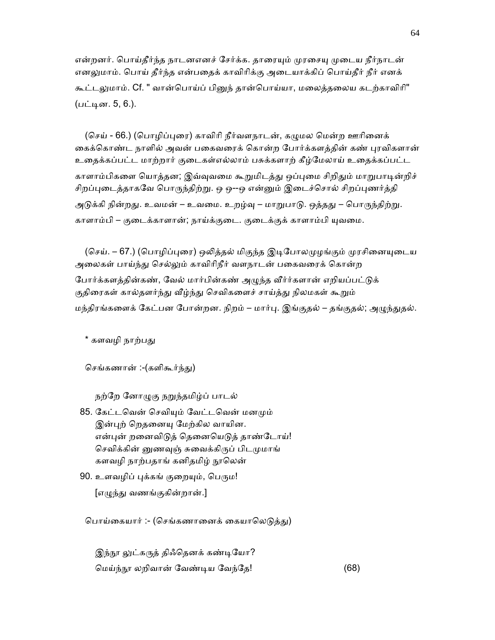என்றனர். பொய்தீர்ந்த நாடனஎனச் சேர்க்க. தாரையும் முரசையு முடைய நீர்நாடன் எனலுமாம். பொய் தீர்ந்த என்பதைக் காவிரிக்கு அடையாக்கிப் பொய்தீர் நீர் எனக் கூட்டலுமாம். Cf. " வான்பொய்ப் பினுந் தான்பொய்யா, மலைத்தலைய கடற்காவிரி" (பட்டின. 5, 6.).

(செய் - 66.) (பொழிப்புரை) காவிரி நீர்வளநாடன், கமுமல மென்ற ஊரினைக் கைக்கொண்ட நாளில் அவன் பகைவரைக் கொன்ற போர்க்களத்தின் கண் புரவிகளான் உைதக்கப்பட்ட மாற்றார் குைடகள்எல்லாம் பசுக்களாற் கீழ்ேமலாய் உைதக்கப்பட்ட காளாம்பிகளை யொத்தன; இவ்வுவமை கூறுமிடத்து ஒப்புமை சிறிதும் மாறுபாடின்றிச் சிறப்புடைத்தாகவே பொருந்திற்று. ஒ ஒ--ஒ என்னும் இடைச்சொல் சிறப்புணர்த்தி அடுக்கி நின்றது. உவமன் – உவமை. உறழ்வு – மாறுபாடு. ஒத்தது – பொருந்திற்று. காளாம்பி – குடைக்காளான்; நாய்க்குடை. குடைக்குக் காளாம்பி யுவமை.

(செய். – 67.) (பொழிப்புரை) ஒலித்தல் மிகுந்த இடிபோலமுழங்கும் முரசினையுடைய அலைகள் பாய்ந்து செல்லும் காவிரிநீர் வளநாடன் பகைவரைக் கொன்ற போர்க்களத்தின்கண், வேல் மார்பின்கண் அழுந்த வீர்ர்களான் எறியப்பட்டுக் குதிரைகள் கால்தளர்ந்து வீழ்ந்து செவிகளைச் சாய்த்து நிலமகள் கூறும் மந்திரங்களைக் கேட்பன போன்றன. நிறம் – மார்பு. இங்குதல் – தங்குதல்; அழுந்துதல்.

\* களவமி நாற்பது

செங்கணான் :-(களிகூர்ந்து)

நற்றே னோழுகு நறுந்தமிழ்ப் பாடல்

- 85. கேட்டவென் செவியும் வேட்டவென் மனமும் இன்புற் றெதனையு மேற்கில வாயின. என்புன் றனைவிடுத் தெனையெடுத் தாண்டோய்! செவிக்கின் னுணவுஞ் சுவைக்கிருப் பிடமுமாங் களவழி நாற்பதாங் கனிதமிழ் நூலென்
- 90. உளவழிப் புக்கங் குறையும், பெரும! [எழுந்து வணங்குகின்றான்.]

பொய்கையார் :- (செங்கணானைக் கையாலெடுத்து)

இந்நூ லுட்கருத் திஃதெனக் கண்டியோ? ெமய்ந்ᾓ லறிவான் ேவண்ᾊய ேவந்ேத! (68)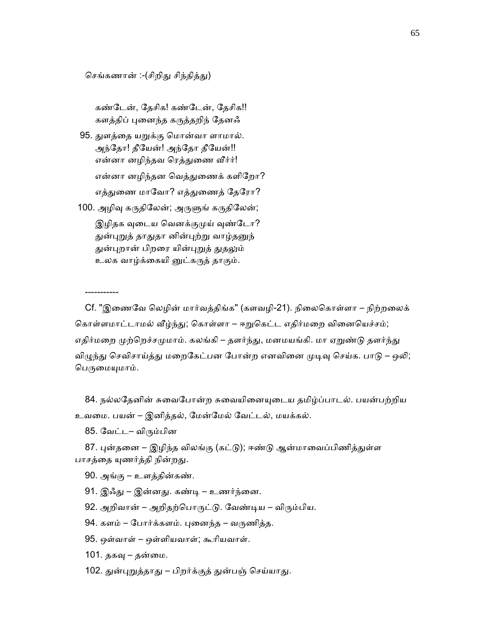செங்கணான் :-(சிறிது சிந்தித்து)

கண்டேன், தேசிக! கண்டேன், தேசிக!! களத்திப் ᾗைனந்த கᾞத்தறிந் ேதனஃ

 95. ᾐளத்ைத யᾠக்கு ெமான்வா ளாமால். அந்ேதா! தீேயன்! அந்ேதா தீேயன்!! என்னா னழிந்தவ ரெத்துணை வீர்ர்! என்னா னழிந்தன வெத்துணைக் களிறோ? எத்துணை மாவோ? எத்துணைத் தேரோ? 100. அழிவு கருதிலேன்; அருளுங் கருதிலேன்; இழிதக வுடைய வெனக்குமுய் வுண்டோ?

துன்புறுத் தாதுதா னின்புற்று வாழ்தனுந் துன்புறான் பிறரை யின்புறுத் துதலும் உலக வாழ்க்கையி னுட்கருத் தாகும்.

Cf. "இணைவே லெழின் மார்வத்திங்க" (களவழி-21). நிலைகொள்ளா – நிற்றலைக் கொள்ளமாட்டாமல் வீழ்ந்து; கொள்ளா – ஈறுகெட்ட எதிர்மறை வினையெச்சம்; எதிர்மறை முற்றெச்சமுமாம். கலங்கி – தளர்ந்து, மனமயங்கி. மா ஏறுண்டு தளர்ந்து விழுந்து செவிசாய்த்து மறைகேட்பன போன்ற எனவினை முடிவு செய்க. பாடு – ஒலி; பெருமையுமாம்.

84. நல்லதேனின் சுவைபோன்ற சுவையினையுடைய தமிழ்ப்பாடல். பயன்பற்றிய உவைம. பயன் – இனித்தல், ேமன்ேமல் ேவட்டல், மயக்கல்.

85. ேவட்ட– விᾞம்பின

-----------

87. புன்தனை – இழிந்த விலங்கு (கட்டு); ஈண்டு ஆன்மாவைப்பிணித்துள்ள பாசத்தை யுணர்த்தி நின்றது.

- 90. அங்கு உளத்தின்கண்.
- 91. இஃது இன்னது. கண்டி உணர்ந்னை.

92. அறிவான் – அறிதற்பொருட்டு. வேண்டிய – விரும்பிய.

94. களம் – போர்க்களம். புனைந்த – வருணித்த.

95. ஒள்வாள் – ஒள்ளியவாள்; கூாியவாள்.

101. தகவு – தன்மை.

102. துன்புறுத்தாது – பிறர்க்குத் துன்பஞ் செய்யாது.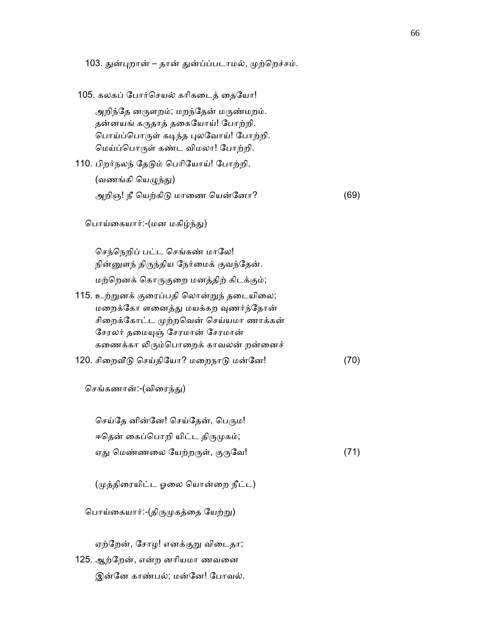103. துன்புறான் – தான் துன்ப்ப்படாமல், முற்றெச்சம். 105. கலகப் போர்செயல் கரிகடைத் தையோ! அறிந்தே னருளறம்; மறந்தேன் மருண்மறம். தன்னயங் கருதாத் தகையோய்! போற்றி. பொய்ப்பொருள் கடிந்த புலவோய்! போற்றி. ெமய்ப்ெபாᾞள் கண்ட விமலா! ேபாற்றி. 110. பிறர்நலந் தேடும் பெரியோய்! போற்றி. (வணங்கி யெழுந்து) அறிஞ! நீ யெற்கிடு மாணை யென்னோ? (69) பொய்கையார்:-(மன மகிழ்ந்து) செந்நெறிப் பட்ட செங்கண் மாலே! நின்னுளந் திருந்திய நேர்மைக் குவந்தேன். மற்ெறனக் ெகாᾞகுைற மனத்திற் கிடக்கும்; 115. உற்ᾠனக் குைரப்பதி ெலான்ᾠந் தைடயிைல; மறைக்கோ ளனைத்து மயக்கற வுணர்ந்தோன் சிறைக்கோட்ட முற்றவென் செய்யமா ணாக்கன் சேரலர் தமையுஞ் சேரமான் சேரமான் கணைக்கா லிரும்பொறைக் காவலன் றன்னைச் 120. சிறைவீடு செய்தியோ? மறைநாடு மன்னே! (70) செங்கணான்:-(விரைந்து) செய்தே னின்னே! செய்தேன், பெரும! ஈதென் கைப்பொறி யிட்ட திருமுகம்; ஏது மெண்ணலை யேற்றருள், குருவே! (71) (ᾙத்திைரயிட்ட ஓைல ெயான்ைற நீட்ட) பொய்கையார்:-(திருமுகத்தை யேற்று) ஏற்ேறன், ேசாழ! எனக்குᾠ விைடதா; 125. ஆற்ேறன், என்ற னாியமா ணவைன இன்ேன காண்பல்; மன்ேன! ேபாவல்.

66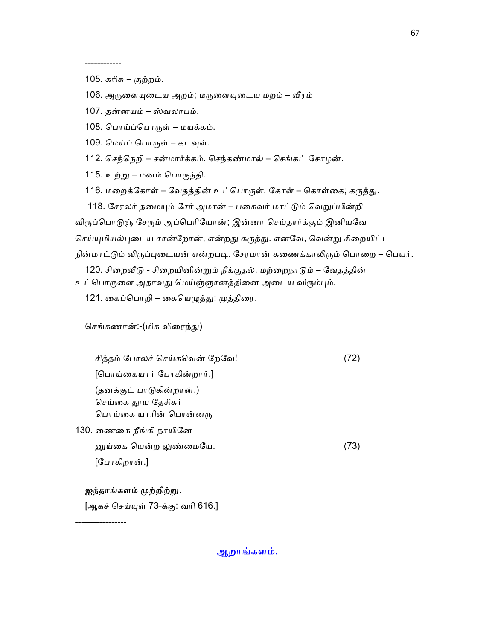------------

105. கரிசு – குற்றம்.

106. அருளையுடைய அறம்; மருளையுடைய மறம் – வீரம்

107. தன்னயம் – ஸ்வலாபம்.

108. ெபாய்ப்ெபாᾞள் – மயக்கம்.

109. மெய்ப் பொருள் – கடவுள்.

112. ெசந்ெநறி – சன்மார்க்கம். ெசந்கண்மால் – ெசங்கட் ேசாழன்.

115. உற்ᾠ – மனம் ெபாᾞந்தி.

116. மறைக்கோள் – வேதத்தின் உட்பொருள். கோள் – கொள்கை; கருத்து.

118. சேரலர் தமையும் சேர் அமான் – பகைவர் மாட்டும் வெறுப்பின்றி

விருப்பொடுஞ் சேரும் அப்பெரியோன்; இன்னா செய்தார்க்கும் இனியவே

செய்யுமியல்புடைய சான்றோன், என்றது கருத்து. எனவே, வென்று சிறையிட்ட

நின்மாட்டும் விருப்புடையன் என்றபடி. சேரமான் கணைக்காலிரும் பொறை – பெயர்.

120. சிறைவீடு - சிறையினின்றும் நீக்குதல். மற்றைநாடும் – வேதத்தின்

உட்பொருளை அதாவது மெய்ஞ்ஞானத்தினை அடைய விரும்பும்.

121. கைப்பொறி – கையெழுத்து; முத்திரை.

செங்கணான்:-(மிக விரைந்து)

 சித்தம் ேபாலச் ெசய்கெவன் ேறேவ! (72) [ெபாய்ைகயார் ேபாகின்றார்.] (தனக்குட் பாᾌகின்றான்.) செய்கை தூய தேசிகர் பொய்கை யாரின் பொன்னரு 130. ைணைக நீங்கி நாயிேன

 ᾔய்ைக ெயன்ற ᾤண்ைமேய. (73) [ேபாகிறான்.]

#### ஐந்தாங்களம் முற்றிற்று.

[ஆகச் செய்யுள் 73-க்கு: வரி 616.]

-----------------

ஆறாங்களம்.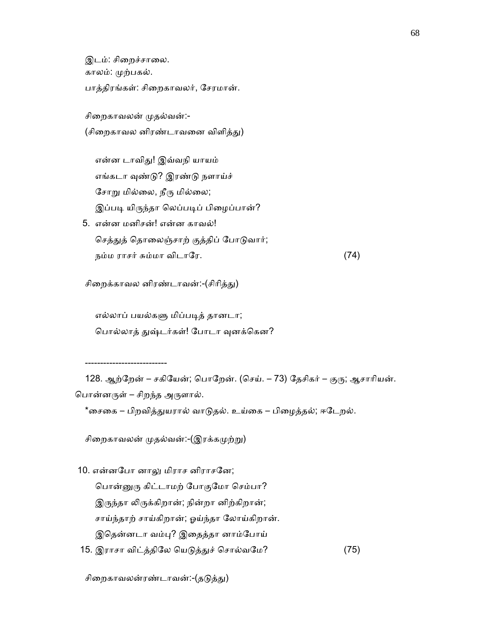இடம்: சிறைச்சாலை. காலம்: ᾙற்பகல். பாத்திரங்கள்: சிைறகாவலர், ேசரமான்.

சிறைகாவலன் முதல்வன்:-

(சிறைகாவல னிரண்டாவனை விளித்து)

 என்ன டாவிᾐ! இவ்வநி யாயம் எங்கடா வுண்டு? இரண்டு நளாய்ச் சோறு மில்லை, நீரு மில்லை; இப்படி யிருந்தா லெப்படிப் பிழைப்பான்?

 5. என்ன மனிசன்! என்ன காவல்! செத்துத் தொலைஞ்சாற் குத்திப் போடுவார்; நம்ம ராசர் சும்மா விடாேர. (74)

சிறைக்காவல னிரண்டாவன்:-(சிரித்து)

 எல்லாப் பயல்கᾦ மிப்பᾊத் தானடா; பொல்லாத் துஷ்டர்கள்! போடா வுனக்கென?

---------------------------

128. ஆற்றேன் – சகியேன்; பொறேன். (செய். – 73) தேசிகர் – குரு; ஆசாரியன். பொன்னருள் – சிறந்த அருளால்.

\*சைகை – பிறவித்துயரால் வாடுதல். உய்கை – பிழைத்தல்; ஈடேறல்.

சிறைகாவலன் முதல்வன்:-(இரக்கமுற்று)

10. என்னபோ னாலு மிராச னிராசனே;

பொன்னுரு கிட்டாமற் போகுமோ செம்பா? இருந்தா லிருக்கிறான்; நின்றா னிற்கிறான்; சாய்ந்தாற் சாய்கிறான்; ஓய்ந்தா ேலாய்கிறான்.

இெதன்னடா வம்ᾗ? இைதத்தா னாம்ேபாய்

15. இராசா விட்த்திலே யெடுத்துச் சொல்வமே? (75)

சிறைகாவலன்ரண்டாவன்:-(தடுத்து)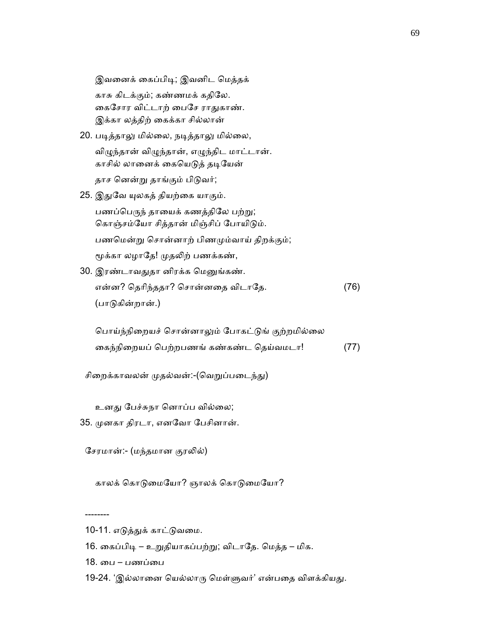இவைனக் ைகப்பிᾊ; இவனிட ெமத்தக் காசு கிடக்கும்; கண்ணமக் கதிேல. கைசோர விட்டாற் பைசே ராதுகாண். இக்கா லத்திற் ைகக்கா சில்லான்

- 20. படித்தாலு மில்லை, நடித்தாலு மில்லை, விழுந்தான் விழுந்தான், எழுந்திட மாட்டான். காசில் லானைக் கையெடுத் தடியேன் தாச னென்று தாங்கும் பிடுவர்;
- 25. இதுவே யுலகத் தியற்கை யாகும். பணப்பெருந் தாயைக் கணத்திலே பற்று; கொஞ்சம்யோ சித்தான் மிஞ்சிப் போயிடும். பணமென்று சொன்னாற் பிணமும்வாய் திறக்கும்; மூக்கா லழாதே! முதலிற் பணக்கண்,
- 30. இரண்டாவᾐதா னிரக்க ெமᾔங்கண். என்ன? ெதாிந்ததா? ெசான்னைத விடாேத. (76) (பாᾌகின்றான்.)

பொய்ந்நிறையச் சொன்னாலும் போகட்டுங் குற்றமில்லை ைகந்நிைறயப் ெபற்றபணங் கண்கண்ட ெதய்வமடா! (77)

சிறைக்காவலன் முதல்வன்:-(வெறுப்படைந்து)

உனது பேச்சுநா னொப்ப வில்லை;

35. ᾙனகா திரடா, எனேவா ேபசினான்.

சேரமான்:- (மந்தமான குரலில்)

காலக் கொடுமையோ? ஞாலக் கொடுமையோ?

- 16. கைப்பிடி உறுதியாகப்பற்று; விடாதே. மெத்த மிக.
- 18. ைப பணப்ைப

--------

19-24. 'இல்லானை யெல்லாரு மெள்ளுவர்' என்பதை விளக்கியது.

<sup>10-11.</sup> எடுத்துக் காட்டுவமை.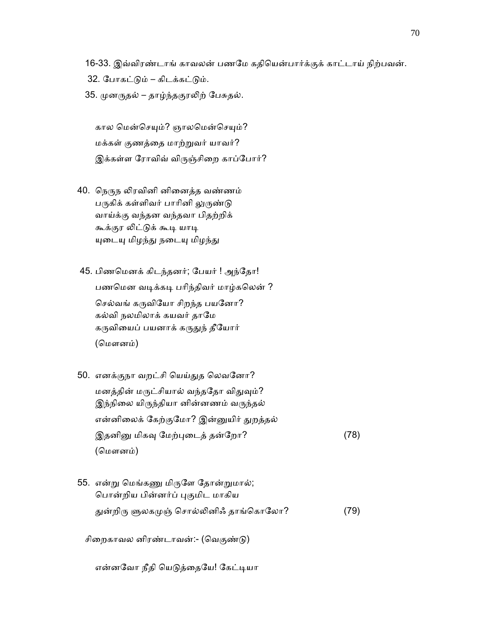16-33. இவ்விரண்டாங் காவலன் பணேம கதிெயன்பார்க்குக் காட்டாய் நிற்பவன்.

- 32. ேபாகட்ᾌம் கிடக்கட்ᾌம்.
- 35. முனருதல் தாழ்ந்தகுரலிற் பேசுதல்.

கால மென்செயும்? ஞாலமென்செயும்? மக்கள் குணத்ைத மாற்ᾠவர் யாவர்? இக்கள்ள ரோவிவ் விருஞ்சிறை காப்போர்?

40. நெருந லிரவினி னினைத்த வண்ணம் பருகிக் கள்ளிவர் பாரினி லுருண்டு வாய்க்கு வந்தன வந்தவா பிதற்றிக் கூக்குர லிட்டுக் கூடி யாடி யுடையு மிழந்து நடையு மிழந்து

 45. பிணெமனக் கிடந்தனர்; ேபயர் ! அந்ேதா! பணமென வடிக்கடி பரிந்திவர் மாழ்கலென் ? செல்வங் கருவியோ சிறந்த பயனோ? கல்வி நலமிலாக் கயவர் தாேம கருவியைப் பயனாக் கருதுந் தீயோர் (ெமளனம்)

- 50. எனக்குநா வறட்சி ெயய்ᾐத ெலவேனா? மனத்தின் மருட்சியால் வந்ததோ விதுவும்? இந்நிலை யிருந்தியா னின்னணம் வருந்தல் என்னிலைக் கேற்குமோ? இன்னுயிர் துறத்தல் இதனினு மிகவு மேற்புடைத் தன்றோ? (78) (மௌனம்)
- 55. என்று மெங்கணு மிருளே தோன்றுமால்; ெபான்றிய பின்னர்ப் ᾗகுமிட மாகிய துன்றிரு ளுலகமுஞ் சொல்லினிஃ தாங்கொலோ? (79)

சிறைகாவல னிரண்டாவன்:- (வெகுண்டு)

என்னவோ நீதி யெடுத்தையே! கேட்டியா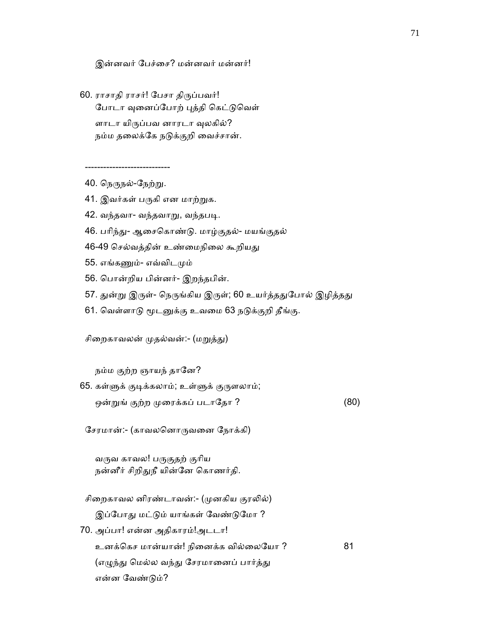இன்னவர் ேபச்ைச? மன்னவர் மன்னர்!

 60. ராசாதி ராசர்! ேபசா திᾞப்பவர்! போடா வுனைப்போற் புத்தி கெட்டுவெள் ளாடா யிருப்பவ னாரடா வுலகில்? நம்ம தலைக்கே நடுக்குறி வைச்சான்.

40. நெருநல்-நேற்று.

----------------------------

- 41. இவர்கள் பருகி என மாற்றுக.
- 42. வந்தவா- வந்தவாᾠ, வந்தபᾊ.
- 46. பரிந்து- ஆசைகொண்டு. மாழ்குதல்- மயங்குதல்
- 46-49 செல்வத்தின் உண்மைநிலை கூறியது
- 55. எங்கᾎம்- எவ்விடᾙம்
- 56. ெபான்றிய பின்னர்- இறந்தபின்.
- 57. துன்று இருள்- நெருங்கிய இருள்; 60 உயர்த்ததுபோல் இழித்தது
- 61. வெள்ளாடு மூடனுக்கு உவமை 63 நடுக்குறி தீங்கு.

சிறைகாவலன் முதல்வன்:- (மறுத்து)

நம்ம குற்ற ஞாயந் தானே?

65. கள்ளுக் குடிக்கலாம்; உள்ளுக் குருளலாம்; ஒன்றுங் குற்ற முரைக்கப் படாதோ ? (80)

ேசரமான்:- (காவலெனாᾞவைன ேநாக்கி)

வருவ காவல! பருகுதற் குரிய நன்னீர் சிறிதுநீ யின்னே கொணர்தி.

சிறைகாவல னிரண்டாவன்:- (முனகிய குரலில்) இப்போது மட்டும் யாங்கள் வேண்டுமோ ?

 70. அப்பா! என்ன அதிகாரம்!அடடா! உனக்ெகச மான்யான்! நிைனக்க வில்ைலேயா ? 81 (எழுந்து மெல்ல வந்து சேரமானைப் பார்த்து என்ன ேவண்ᾌம்?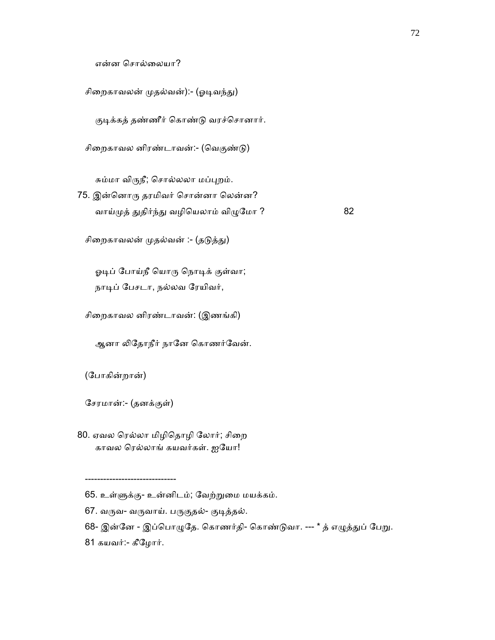என்ன ெசால்ைலயா?

சிறைகாவலன் முதல்வன்):- (ஓடிவந்து)

குடிக்கத் தண்ணீர் கொண்டு வரச்சொனார்.

சிறைகாவல னிரண்டாவன்:- (வெகுண்டு)

சும்மா விருநீ; சொல்லலா மப்புறம்.

 75. இன்ெனாᾞ தரமிவர் ெசான்னா ெலன்ன? வாய்முத் துதிர்ந்து வழியெலாம் விழுமோ ? 82

சிறைகாவலன் முதல்வன் :- (தடுத்து)

ஓடிப் போய்நீ யொரு நொடிக் குள்வா; நாடிப் பேசடா, நல்லவ ரேயிவர்,

சிைறகாவல னிரண்டாவன்: (இணங்கி)

ஆனா லிதோநீர் நானே கொணர்வேன்.

(ேபாகின்றான்)

ேசரமான்:- (தனக்குள்)

------------------------------

80. ஏவல ரெல்லா மிழிதொழி லோர்; சிறை காவல ெரல்லாங் கயவர்கள். ஐேயா!

 <sup>65.</sup> உள்ᾦக்கு- உன்னிடம்; ேவற்ᾠைம மயக்கம்.

<sup>67.</sup> வருவ- வருவாய். பருகுதல்- குடித்தல்.

<sup>68-</sup> இன்னே - இப்பொழுதே. கொணர்தி- கொண்டுவா. --- \* த் எழுத்துப் பேறு.

 <sup>81</sup> கயவர்:- கீேழார்.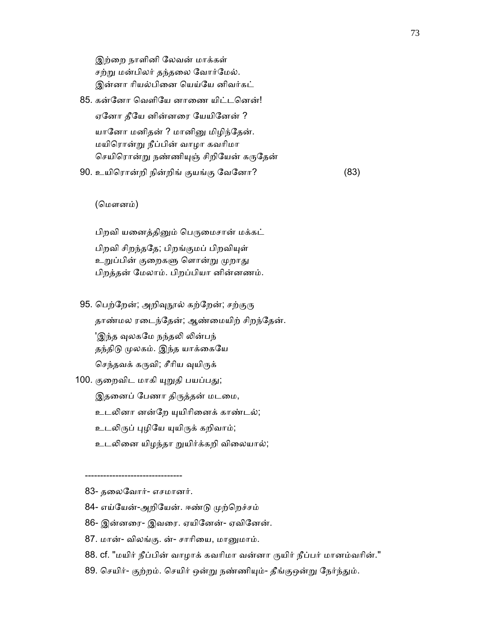இற்ைற நாளினி ேலவன் மாக்கள் சற்று மன்பிலர் தந்தலை வோர்மேல். இன்னா ரியல்பினை யெய்யே னிவர்கட்

85. கன்னோ வெளியே னாணை யிட்டனென்! ஏேனா தீேய னின்னைர ேயயிேனன் ? யானோ மனிதன் ? மானினு மிழிந்தேன். மயிெரான்ᾠ நீப்பின் வாழா கவாிமா செயிரொன்று நண்ணியுஞ் சிறியேன் கருதேன் 90. உயிெரான்றி நின்றிங் குயங்கு ேவேனா? (83)

(மௌனம்)

பிறவி யனைத்தினும் பெருமைசான் மக்கட் பிறவி சிறந்ததே; பிறங்குமப் பிறவியுள் உறுப்பின் குறைகளு ளொன்று முறாது பிறத்தன் ேமலாம். பிறப்பியா னின்னணம்.

95. பெற்றேன்; அறிவுநூல் கற்றேன்; சற்குரு

 தாண்மல ரைடந்ேதன்; ஆண்ைமயிற் சிறந்ேதன். 'இந்த வுலகமே நந்தலி லின்பந் தந்திடு முலகம். இந்த யாக்கையே

செந்தவக் கருவி; சீரிய வுயிருக்

100. குறைவிட மாகி யுறுதி பயப்பது;

இதனைப் பேணா திருத்தன் மடமை,

உடலினா னன்றே யுயிரினைக் காண்டல்;

உடலிருப் புழியே யுயிருக் கறிவாம்;

உடᾢைன யிழந்தா ᾠயிர்க்கறி விைலயால்;

83- தைலேவார்- எசமானர்.

--------------------------------

- 84- எய்யேன்-அறியேன். ஈண்டு முற்றெச்சம்
- 86- இன்னைர- இவைர. ஏயிேனன்- ஏவிேனன்.
- 87. மான்- விலங்கு. ன்- சாரியை, மானுமாம்.
- 88. cf. "மயிர் நீப்பின் வாழாக் கவரிமா வன்னா ருயிர் நீப்பர் மானம்வரின்."
- 89. செயிர்- குற்றம். செயிர் ஒன்று நண்ணியும்- தீங்குஒன்று நேர்ந்தும்.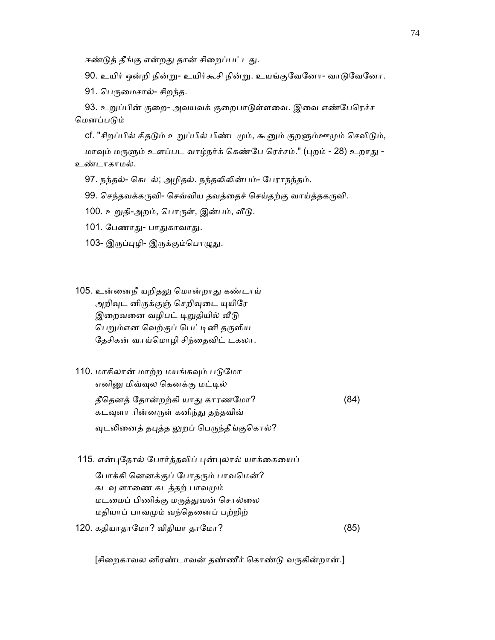ஈண்டுத் தீங்கு என்றது தான் சிறைப்பட்டது.

90. உயிர் ஒன்றி நின்று- உயிர்கூசி நின்று. உயங்குவேனோ- வாடுவேனோ.

91. பெருமைசால்- சிறந்த.

93. உறுப்பின் குறை- அவயவக் குறைபாடுள்ளவை. இவை எண்பேரெச்ச மெனப்படும்

cf. "சிறப்பில் சிதடும் உறுப்பில் பிண்டமும், கூனும் குறளும்ஊமும் செவிடும்,

மாவும் மருளும் உளப்பட வாழ்நர்க் கெண்பே ரெச்சம்." (புறம் - 28) உறாது -உண்டாகாமல்.

97. நந்தல்- கெடல்; அழிதல். நந்தலிலின்பம்- பேராநந்தம்.

99. செந்தவக்கருவி- செவ்விய தவத்தைச் செய்தற்கு வாய்த்தகருவி.

100. உறுதி-அறம், பொருள், இன்பம், வீடு.

101. பேணாது- பாதுகாவாது.

- 103- இருப்புழி- இருக்கும்பொழுது.
- 105. உன்னைநீ யறிதலு மொன்றாது கண்டாய் அறிவுட னிருக்குஞ் செறிவுடை யுயிரே இறைவனை வழிபட் டிறுதியில் வீடு பெறும்என வெற்குப் பெட்டினி தருளிய ேதசிகன் வாய்ெமாழி சிந்ைதவிட் டகலா.
- 110. மாசிலான் மாற்ற மயங்கவும் படுமோ எனினு மிவ்வுல கெனக்கு மட்டில் தீதெனத் தோன்றற்கி யாது காரணமோ? (84) கடவுளா ரின்னருள் கனிந்து தந்தவிவ் வுடலினைத் தபுத்த லுறப் பெருந்தீங்குகொல்?
- 115. என்புதோல் போர்த்தவிப் புன்புலால் யாக்கையைப்

போக்கி னெனக்குப் போதரும் பாவமென்? கடவு ளாணை கடத்தற் பாவமும் மடமைப் பிணிக்கு மருத்துவன் சொல்லை மதியாப் பாவᾙம் வந்ெதைனப் பற்றிற் 120. கதியாதாமோ? விதியா தாமோ? (85)

[சிறைகாவல னிரண்டாவன் தண்ணீர் கொண்டு வருகின்றான்.]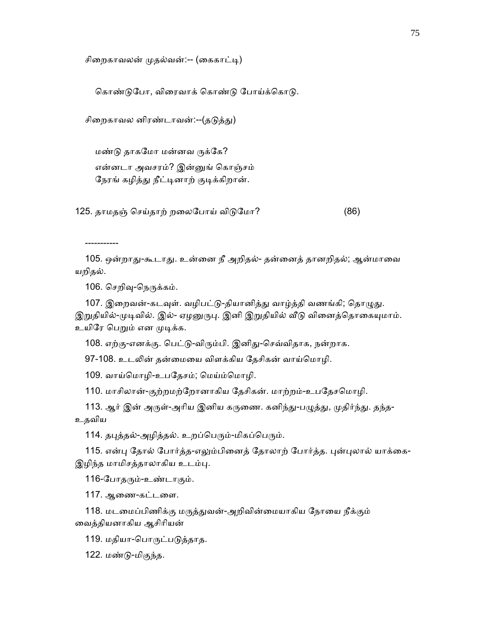சிறைகாவலன் முதல்வன்:-- (கைகாட்டி)

கொண்டுபோ, விரைவாக் கொண்டு போய்க்கொடு.

சிறைகாவல னிரண்டாவன்:--(தடுத்து)

 மண்ᾌ தாகேமா மன்னவ ᾞக்ேக? என்னடா அவசரம்? இன்ᾔங் ெகாஞ்சம் நேரங் கழித்து நீட்டினாற் குடிக்கிறான்.

125. தாமதஞ் செய்தாற் றலைபோய் விடுமோ? (86)

-----------

105. ஒன்றாது-கூடாது. உன்னை நீ அறிதல்- தன்னைத் தானறிதல்; ஆன்மாவை யறிதல்.

106. செறிவு-நெருக்கம்.

107. இறைவன்-கடவுள். வழிபட்டு-தியானித்து வாழ்த்தி வணங்கி; தொழுது. இறுதியில்-முடிவில். இல்- ஏழனுருபு. இனி இறுதியில் வீடு வினைத்தொகையுமாம். உயிரே பெறும் என முடிக்க.

108. எற்கு-எனக்கு. பெட்டு-விரும்பி. இனிது-செவ்விதாக, நன்றாக.

97-108. உடᾢன் தன்ைமைய விளக்கிய ேதசிகன் வாய்ெமாழி.

109. வாய்மொழி-உபதேசம்; மெய்ம்மொழி.

110. மாசிலான்-குற்றமற்றோனாகிய தேசிகன். மாற்றம்-உபதேசமொழி.

113. ஆர் இன் அருள்-அரிய இனிய கருணை. கனிந்து-பழுத்து, முதிர்ந்து. தந்த-உதவிய

114. தபுத்தல்-அழித்தல். உறப்பெரும்-மிகப்பெரும்.

115. என்பு தோல் போர்த்த-எலும்பினைத் தோலாற் போர்த்த. புன்புலால் யாக்கை-இழிந்த மாமிசத்தாலாகிய உடம்பு.

116-ேபாதᾞம்-உண்டாகும்.

117. ஆைண-கட்டைள.

118. மடமைப்பிணிக்கு மருத்துவன்-அறிவின்மையாகிய நோயை நீக்கும் ைவத்தியனாகிய ஆசிாியன்

119. மதியா-பொருட்படுத்தாத.

122. மண்ᾌ-மிகுந்த.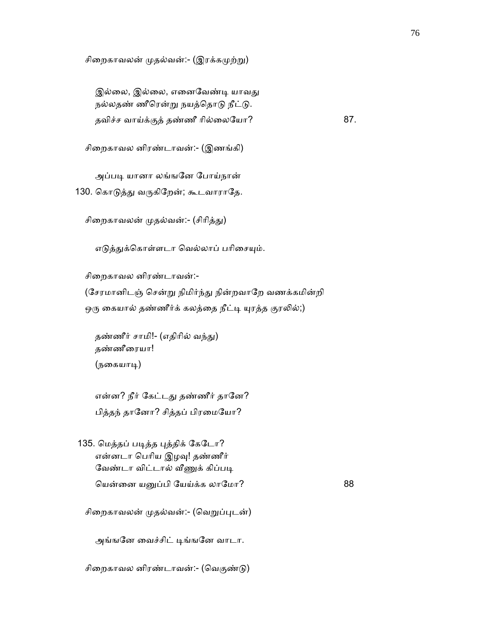சிறைகாவலன் முதல்வன்:- (இரக்கமுற்று)

இல்லை, இல்லை, எனைவேண்டி யாவது நல்லதண் ணீரென்று நயத்தொடு நீட்டு. தவிச்ச வாய்க்குத் தண்ணீ ரில்லையோ? 87.

சிைறகாவல னிரண்டாவன்:- (இணங்கி)

அப்படி யானா லங்ஙனே போய்நான்

130. கொடுத்து வருகிறேன்; கூடவாராதே.

சிறைகாவலன் முதல்வன்:- (சிரித்து)

எடுத்துக்கொள்ளடா வெல்லாப் பரிசையும்.

சிைறகாவல னிரண்டாவன்:-

(சேரமானிடஞ் சென்று நிமிர்ந்து நின்றவாறே வணக்கமின்றி ஒரு கையால் தண்ணீர்க் கலத்தை நீட்டி யுரத்த குரலில்;)

தண்ணீர் சாமி!- (எதிரில் வந்து) தண்ணீைரயா! (நைகயாᾊ)

என்ன? நீர் கேட்டது தண்ணீர் தானே? பித்தந் தானோ? சித்தப் பிரமையோ?

135. மெத்தப் படித்த புத்திக் கேடோ? என்னடா பெரிய இழவு! தண்ணீர் வேண்டா விட்டால் வீணுக் கிப்படி ெயன்ைன யᾔப்பி ேயய்க்க லாேமா? 88

சிறைகாவலன் முதல்வன்:- (வெறுப்புடன்)

அங்ஙனே வைச்சிட் டிங்ஙனே வாடா.

சிறைகாவல னிரண்டாவன்:- (வெகுண்டு)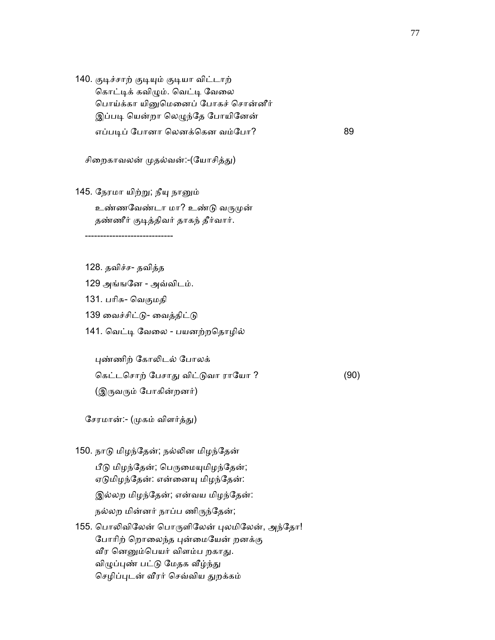140. குடிச்சாற் குடியும் குடியா விட்டாற் கொட்டிக் கவிழும். வெட்டி வேலை ெபாய்க்கா யிᾔெமைனப் ேபாகச் ெசான்னீர் இப்படி யென்றா லெழுந்தே போயினேன் எப்படிப் போனா லெனக்கென வம்போ? 89

சிறைகாவலன் முதல்வன்:-(யோசித்து)

## 145. நேரமா யிற்று; நீயு நானும் உண்ணவேண்டா மா? உண்டு வருமுன் தண்ணீர் குடித்திவர் தாகந் தீர்வார்.

-----------------------------

- 128. தவிச்ச- தவித்த
- 129 அங்ஙேன அவ்விடம்.
- 131. பாிசு- ெவகுமதி
- 139 வைச்சிட்டு- வைத்திட்டு
- 141. வெட்டி வேலை பயனற்றதொழில்

ᾗண்ணிற் ேகாᾢடல் ேபாலக்

 ெகட்டெசாற் ேபசாᾐ விட்ᾌவா ராேயா ? (90) (இருவரும் போகின்றனர்)

சேரமான்:- (முகம் விளர்த்து)

- 150. நாᾌ மிழந்ேதன்; நல்ᾢன மிழந்ேதன் பீடு மிழந்தேன்; பெருமையுமிழந்தேன்; ஏடுமிழந்தேன்: என்னையு மிழந்தேன்: இல்லற மிழந்ேதன்; என்வய மிழந்ேதன்: நல்லற மின்னர் நாப்ப ணிᾞந்ேதன்;
- 155. பொலிவிலேன் பொருளிலேன் புலமிலேன், அந்தோ! போரிற் றொலைந்த புன்மையேன் றனக்கு வீர னெனும்பெயர் விளம்ப றகாது. விழுப்புண் பட்டு மேதக வீழ்ந்து செழிப்புடன் வீரர் செவ்விய துறக்கம்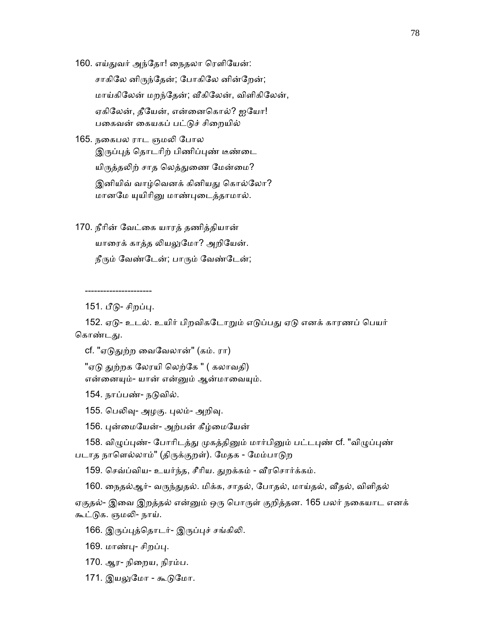160. எய்துவர் அந்தோ! நைதலா ரெளியேன்:

 சாகிேல னிᾞந்ேதன்; ேபாகிேல னின்ேறன்; மாய்கிேலன் மறந்ேதன்; ᾪகிேலன், விளிகிேலன், ஏகிேலன், தீேயன், என்ைனெகால்? ஐேயா! பகைவன் கையகப் பட்டுச் சிறையில்

165. நைகபல ராட ஞமᾢ ேபால இருப்புத் தொடரிற் பிணிப்புண் டீண்டை யிருத்தலிற் சாத லெத்துணை மேன்மை? இனியிவ் வாழ்வெனக் கினியது கொல்லோ? மானமே யுயிரினு மாண்புடைத்தாமால்.

170. நீாின் ேவட்ைக யாரத் தணித்தியான் யாரைக் காத்த லியலுமோ? அறியேன். நீரும் வேண்டேன்; பாரும் வேண்டேன்;

----------------------

151. பீடு- சிறப்பு.

152. ஏடு- உடல். உயிர் பிறவிகடோறும் எடுப்பது ஏடு எனக் காரணப் பெயர் கொண்டது.

cf. "ஏடுதுற்ற வைவேலான்" (கம். ரா)

"ஏடு துற்றக லேரயி லெற்கே " ( கலாவதி) என்னையும்- யான் என்னும் ஆன்மாவையும்.

154. நாப்பண்- நடுவில்.

155. பெலிவு- அழகு. புலம்- அறிவு.

156. புன்மையேன்- அற்பன் கீழ்மையேன்

158. விழுப்புண்- போரிடத்து முகத்தினும் மார்பினும் பட்டபுண் cf. "விழுப்புண் படாத நாளெல்லாம்" (திருக்குறள்). மேதக - மேம்பாடுற

159. செவ்ப்விய- உயர்ந்த, சீரிய. துறக்கம் - வீரசொர்க்கம்.

160. நைதல்ஆர்- வருந்துதல். மிக்க, சாதல், போதல், மாய்தல், வீதல், விளிதல்

ஏகுதல்- இவை இறத்தல் என்னும் ஒரு பொருள் குறித்தன. 165 பலர் நகையாட எனக் கூட்ᾌக. ஞமᾢ- நாய்.

166. இருப்புத்தொடர்- இருப்புச் சங்கிலி.

169. மாண்பு- சிறப்பு.

- 170. ஆர- நிைறய, நிரம்ப.
- 171. இயலுமோ கூடுமோ.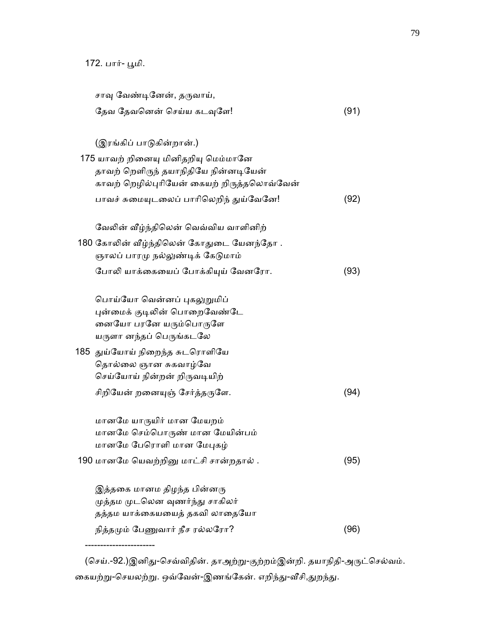-----------------------

| சாவு வேண்டினேன், தருவாய்,                  |      |
|--------------------------------------------|------|
| தேவ தேவனென் செய்ய கடவுளே!                  | (91) |
|                                            |      |
| (இரங்கிப் பாடுகின்றான்.)                   |      |
| 175 யாவற் றினையு மினிதறியு மெம்மானே        |      |
| தாவற் றெளிருந் தயாநிதியே நின்னடியேன்       |      |
| காவற் றெழில்புரியேன் கையற் றிருத்தலொவ்வேன் |      |
| பாவச் சுமையுடலைப் பாரிலெறிந் துய்வேனே!     | (92) |
| வேலின் வீழ்ந்திலென் வெவ்விய வாளினிற்       |      |
| 180 கோலின் வீழ்ந்திலென் கோதுடை யேனந்தோ .   |      |
| ஞாலப் பாரமு நல்லுண்டிக் கேடுமாம்           |      |
| போலி யாக்கையைப் போக்கியுய் வேனரோ.          | (93) |
|                                            |      |
| பொய்யோ வென்னப் புகலுறுமிப்                 |      |
| புன்மைக் குடிலின் பொறைவேண்டே               |      |
| னையோ பரனே யரும்பொருளே                      |      |
| யருளா னந்தப் பெருங்கடலே                    |      |
| 185 துய்யோய் நிறைந்த சுடரொளியே             |      |
| தொல்லை ஞான சுகவாழ்வே                       |      |
| செய்யோய் நின்றன் றிருவடியிற்               |      |
| சிறியேன் றனையுஞ் சேர்த்தருளே.              | (94) |
|                                            |      |
| மானமே யாருயிர் மான மேயறம்                  |      |
| மானமே செம்பொருண் மான மேயின்பம்             |      |
| மானமே பேரொளி மான மேபுகழ்                   |      |
| 190 மானமே யெவற்றினு மாட்சி சான்றதால்.      | (95) |
| இத்தகை மானம திழந்த பின்னரு                 |      |
| முத்தம முடலென வுணர்ந்து சாகிலர்            |      |
| தத்தம யாக்கையயைத் தகவி லாதையோ              |      |
| நித்தமும் பேணுவார் நீச ரல்லரோ?             | (96) |
|                                            |      |

(செய்.-92.)இனிது-செவ்விதின். தாஅற்று-குற்றம்இன்றி. தயாநிதி-அருட்செல்வம். கையற்று-செயலற்று. ஒவ்வேன்-இணங்கேன். எறிந்து-வீசி,துறந்து.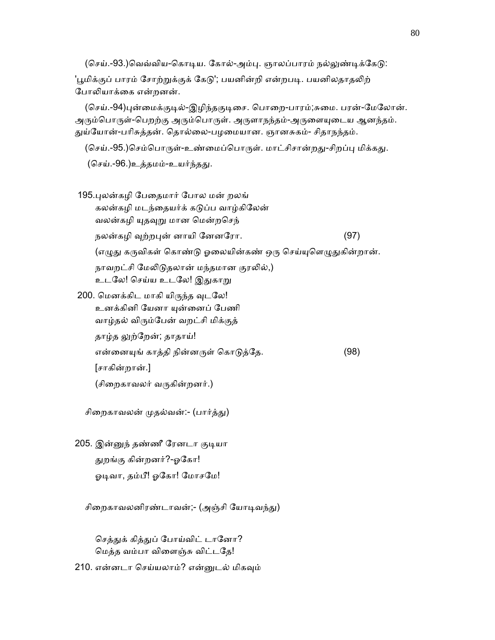(செய்.-93.)வெவ்விய-கொடிய. கோல்-அம்பு. ஞாலப்பாரம் நல்லுண்டிக்கேடு:

'பூமிக்குப் பாரம் சோற்றுக்குக் கேடு'; பயனின்றி என்றபடி. பயனிலதாதலிற் போலியாக்கை என்றனன்.

(செய்.-94)புன்மைக்குடில்-இழிந்தகுடிசை. பொறை-பாரம்;சுமை. பரன்-மேலோன். அரும்பொருள்-பெறற்கு அரும்பொருள். அருளாநந்தம்-அருளையுடைய ஆனந்தம். துய்யோன்-பரிசுத்தன். தொல்லை-பழமையான. ஞானசுகம்- சிதாநந்தம்.

(செய்.-95.)செம்பொருள்-உண்மைப்பொருள். மாட்சிசான்றது-சிறப்பு மிக்கது.

(செய்.-96.)உத்தமம்-உயர்ந்தது.

| 195.புலன்கழி பேதைமார் போல மன் றலங்                                  |      |
|---------------------------------------------------------------------|------|
| கலன்கழி மடந்தையர்க் கடுப்ப வாழ்கிலேன்                               |      |
| வலன்கழி யுதவுறு மான மென்றசெந்                                       |      |
| நலன்கழி வுற்றபுன் னாயி னேனரோ.                                       | (97) |
| (எழுது கருவிகள் கொண்டு ஓலையின்கண் ஒரு செய்யுளெழுதுகின்றான்.         |      |
| நாவறட்சி மேலிடுதலான் மந்தமான குரலில்,)<br>உடலே! செய்ய உடலே! இதுகாறு |      |
| 200. மெனக்கிட மாகி யிருந்த வுடலே!                                   |      |
| உனக்கினி யேனா யுன்னைப் பேணி                                         |      |
| வாழ்தல் விரும்பேன் வறட்சி மிக்குத்                                  |      |

தாழ்த லுற்றேன்; தாதாய்!

என்னையுங் காத்தி நின்னருள் கொடுத்தே. (98)

[சாகின்றான்.]

(சிைறகாவலர் வᾞகின்றனர்.)

சிறைகாவலன் முதல்வன்:- (பார்த்து)

205. இன்னுந் தண்ணீ ரேனடா குடியா ᾐறங்கு கின்றனர்?-ஓேகா! ஓடிவா, தம்பீ! ஓகோ! மோசமே!

சிறைகாவலனிரண்டாவன்;- (அஞ்சி யோடிவந்து)

செத்துக் கித்துப் போய்விட் டானோ? ெமத்த வம்பா விைளஞ்சு விட்டேத!

210. என்னடா ெசய்யலாம்? என்ᾔடல் மிகᾫம்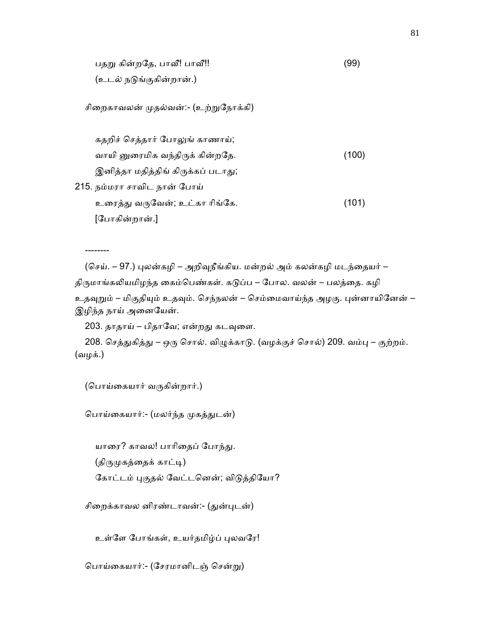பதறு கின்றதே, பாவீ! பாவீ!! பாட்டிய பாட்டிய (99) (உடல் நᾌங்குகின்றான்.)

சிறைகாவலன் முதல்வன்:- (உற்றுநோக்கி)

 கதறிச் ெசத்தார் ேபாᾤங் காணாய்; வாயி னுரைமிக வந்திருக் கின்றதே. (100) இனித்தா மதித்திங் கிருக்கப் படாது; 215. நம்மரா சாவிட நான் ேபாய் உைரத்ᾐ வᾞேவன்; உட்கா ாிங்ேக. (101) [ேபாகின்றான்.]

(செய். – 97.) புலன்கழி – அறிவுநீங்கிய. மன்றல் அம் கலன்கழி மடந்தையர் – திருமாங்கலியமிழந்த கைம்பெண்கள். கடுப்ப – போல. வலன் – பலத்தை. கழி உதவுறும் – மிகுதியும் உதவும். செந்நலன் – செம்மைவாய்ந்த அழகு. புன்னாயினேன் – இழிந்த நாய் அனையேன்.

203. தாதாய் – பிதாவே; என்றது கடவுளை.

208. செத்துகித்து – ஒரு சொல். விழுக்காடு. (வழக்குச் சொல்) 209. வம்பு – குற்றம். (வழக்.)

(பொய்கையார் வருகின்றார்.)

--------

பொய்கையார்:- (மலர்ந்த முகத்துடன்)

யாரை? காவல! பாரிதைப் போந்து.

(திருமுகத்தைக் காட்டி)

கோட்டம் புகுதல் வேட்டனென்; விடுத்தியோ?

சிறைக்காவல னிரண்டாவன்:- (துன்புடன்)

உள்ளே போங்கள், உயர்தமிழ்ப் புலவரே!

ெபாய்ைகயார்:- (ேசரமானிடஞ் ெசன்ᾠ)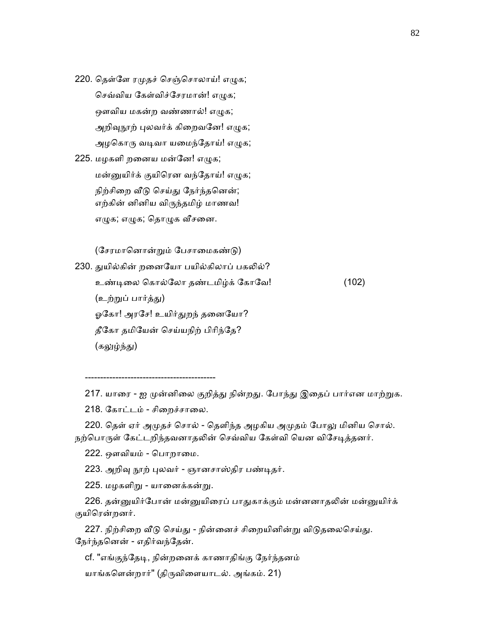220. தெள்ளே ரமுதச் செஞ்சொலாய்! எழுக; செவ்விய கேள்விச்சேரமான்! எமுக; ஔவிய மகன்ற வண்ணால்! எழுக; அறிவுநூற் புலவர்க் கிறைவனே! எழுக; அழகொரு வடிவா யமைந்தோய்! எழுக;

225. மழகளி றனைய மன்னே! எழுக; மன்னுயிர்க் குயிரென வந்தோய்! எழுக; நிற்சிறை வீடு செய்து நேர்ந்தனென்; எற்கின் னினிய விᾞந்தமிழ் மாணவ! எழுக; எழுக; தொழுக வீசனை.

(சேரமானொன்றும் பேசாமைகண்டு)

230. துயில்கின் றனையோ பயில்கிலாப் பகலில்? உண்ᾊைல ெகால்ேலா தண்டமிழ்க் ேகாேவ! (102) (உற்றுப் பார்த்து) ஓகோ! அரசே! உயிர்துறந் தனையோ? தீேகா தமிேயன் ெசய்யநிற் பிாிந்ேத? (கலுழ்ந்து)

217. யாரை - ஐ முன்னிலை குறித்து நின்றது. போந்து இதைப் பார்என மாற்றுக.

218. கோட்டம் - சிறைச்சாலை.

-------------------------------------------

220. தெள் ஏர் அமுதச் சொல் - தெளிந்த அழகிய அமுதம் போலு மினிய சொல். நற்பொருள் கேட்டறிந்தவனாதலின் செவ்விய கேள்வி யென விசேடித்தனர்.

222. ஔவியம் - பொறாமை.

223. அறிவு நூற் புலவர் - ஞானசாஸ்திர பண்டிதர்.

225. மழகளிᾠ - யாைனக்கன்ᾠ.

226. தன்னுயிர்போன் மன்னுயிரைப் பாதுகாக்கும் மன்னனாதலின் மன்னுயிர்க் குயிெரன்றனர்.

227. நிற்சிறை வீடு செய்து - நின்னைச் சிறையினின்று விடுதலைசெய்து. ேநர்ந்தெனன் - எதிர்வந்ேதன்.

cf. "எங்குந்தேடி, நின்றனைக் காணாதிங்கு நேர்ந்தனம்

யாங்களென்றார்" (திருவிளையாடல். அங்கம். 21)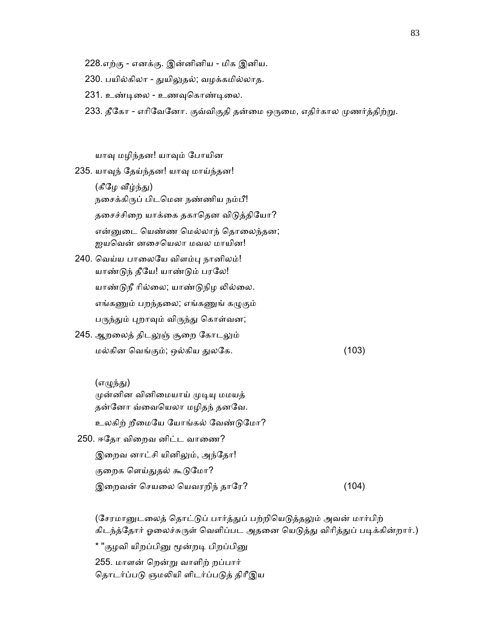- 228.எற்கு எனக்கு. இன்னினிய மிக இனிய.
- 230. பயில்கிலா துயிலுதல்; வழக்கமில்லாத.
- 231. உண்டிலை உணவுகொண்டிலை.
- 233. தீகோ எரிவேனோ. குவ்விகுதி தன்மை ஒருமை, எதிர்கால முணர்த்திற்று.

யாᾫ மழிந்தன! யாᾫம் ேபாயின

235. யாவுந் தேய்ந்தன! யாவு மாய்ந்தன!

(கீழே வீழ்ந்து) நைசக்கிᾞப் பிடெமன நண்ணிய நம்பீ! தசைச்சிறை யாக்கை தகாதென விடுத்தியோ? என்னுடை யெண்ண மெல்லாந் தொலைந்தன; ஐயெவன் னைசெயலா மவல மாயின!

- 240. வெய்ய பாலையே விளம்பு நானிலம்! யாண்ᾌந் தீேய! யாண்ᾌம் பரேல! யாண்டுநீ ரில்லை; யாண்டுநிழ லில்லை. எங்கணும் பறந்தலை; எங்கணுங் கழுகும் பருந்தும் புறாவும் விருந்து கொள்வன;
- 245. ஆறலைத் திடலுஞ் சூறை கோடலும் மல்கின ெவங்கும்; ஒல்கிய ᾐலேக. (103)

(எழுந்து) முன்னின வினிமையாய் முடியு மமயத் தன்ேனா வ்ைவெயலா மழிதந் தனேவ. உலகிற் றீைமேய ேயாங்கல் ேவண்ᾌேமா? 250. ஈதோ விறைவ னிட்ட வாணை? இறைவ னாட்சி யினிலும், அந்தோ! குறைக ளெய்துதல் கூடுமோ? இறைவன் செயலை யெவரறிந் தாரே? (104)

(சேரமானுடலைத் தொட்டுப் பார்த்துப் பற்றியெடுத்தலும் அவன் மார்பிற் கிடந்த்தோர் ஓலைச்சுருள் வெளிப்பட அதனை யெடுத்து விரித்துப் படிக்கின்றார்.) \* "குழவி யிறப்பினு மூன்றடி பிறப்பினு 255. மாளன் ெறன்ᾠ வாளிற் றப்பார் தொடர்ப்படு ஞமலியி ளிடர்ப்படுத் திரீஇய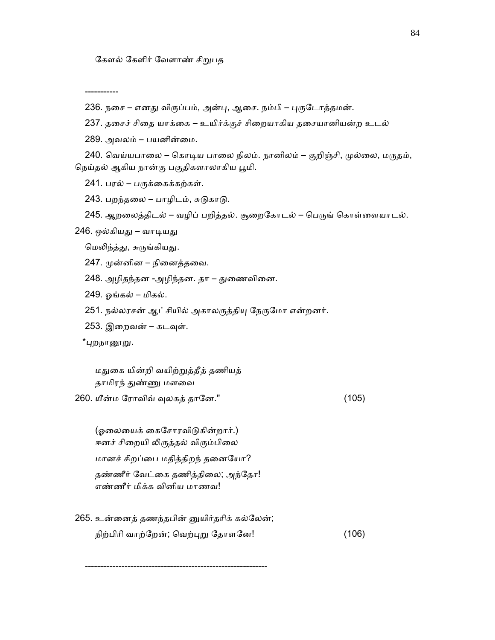-----------

- 236. நசை எனது விருப்பம், அன்பு, ஆசை. நம்பி புருடோத்தமன்.
- 237. தசைச் சிதை யாக்கை உயிர்க்குச் சிறையாகிய தசையானியன்ற உடல்

289. அவலம் – பயனின்ைம.

240. வெய்யபாலை – கொடிய பாலை நிலம். நானிலம் – குறிஞ்சி, முல்லை, மருதம், நெய்தல் ஆகிய நான்கு பகுதிகளாலாகிய பூமி.

241. பரல் – பருக்கைக்கற்கள்.

243. பறந்தலை – பாழிடம், சுடுகாடு.

245. ஆறலைத்திடல் – வழிப் பறித்தல். சூறைகோடல் – பெருங் கொள்ளையாடல்.

246. ஒல்கியது – வாடியது

மெலிந்த்து, சுருங்கியது.

- 247. ᾙன்னின நிைனத்தைவ.
- 248. அழிதந்தன -அழிந்தன. தா துணைவினை.
- 249. ஓங்கல் மிகல்.
- 251. நல்லரசன் ஆட்சியில் அகாலருத்தியு நேருமோ என்றனர்.
- 253. இறைவன் கடவுள்.

\*புறநா<u>ளூறு</u>.

மதுகை யின்றி வயிற்றுத்தீத் தணியத் தாமிரந் துண்ணு மளவை

260. யீன்ம ேராவிவ் ᾫலகத் தாேன." (105)

(ஓலையைக் கைசோரவிடுகின்றார்.) ஈனச் சிறையி லிருத்தல் விரும்பிலை மானச் சிறப்ைப மதித்திறந் தைனேயா? தண்ணீர் வேட்கை தணித்திலை; அந்தோ! எண்ணீர் மிக்க வினிய மாணவ!

------------------------------------------------------------

265. உன்ைனத் தணந்தபின் ᾔயிர்தாிக் கல்ேலன்; நிற்பிரி வாற்றேன்; வெற்புறு தோளனே! (106)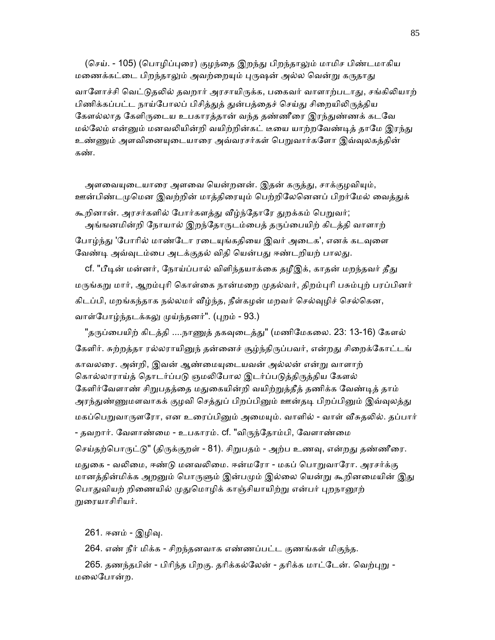(செய். - 105) (பொழிப்புரை) குழந்தை இறந்து பிறந்தாலும் மாமிச பிண்டமாகிய மணைக்கட்டை பிறந்தாலும் அவற்றையும் புருஷன் அல்ல வென்று கருதாது வாளோச்சி வெட்டுதலில் தவறார் அரசாயிருக்க, பகைவர் வாளாற்படாது, சங்கிலியாற் பிணிக்கப்பட்ட நாய்போலப் பிசித்துத் துன்பத்தைச் செய்து சிறையிலிருத்திய கேளல்லாத கேளிருடைய உபகாரத்தான் வந்த தண்ணீரை இரந்துண்ணக் கடவே மல்லேம் என்னும் மனவலியின்றி வயிற்றின்கட் டீயை யாற்றவேண்டித் தாமே இரந்து உண்ணும் அளவினையுடையாரை அவ்வரசர்கள் பெறுவார்களோ இவ்வுலகத்தின் கண்.

அளவையுடையாரை அளவை யென்றனன். இதன் கருத்து, சாக்குழவியும், ஊன்பிண்டமுமென இவற்றின் மாத்திரையும் பெற்றிலேனெனப் பிறர்மேல் வைத்துக் கூறினான். அரசர்களில் போர்களத்து வீழ்ந்தோரே துறக்கம் பெறுவர்; அங்ஙனமின்றி நோயால் இறந்தோருடம்பைத் தருப்பையிற் கிடத்தி வாளாற் போழ்ந்து 'போரில் மாண்டோ ரடையுங்கதியை இவர் அடைக', எனக் கடவுளை

வேண்டி அவ்வுடம்பை அடக்குதல் விதி யென்பது ஈண்டறியற் பாலது.

cf. "பீடின் மன்னர், நோய்ப்பால் விளிந்தயாக்கை தழீஇக், காதன் மறந்தவர் தீது மருங்கறு மார், ஆறம்புரி கொள்கை நான்மறை முதல்வர், திறம்புரி பசும்புற் பரப்பினர் கிடப்பி, மறங்கந்தாக நல்லமர் வீழ்ந்த, நீள்கழன் மறவர் செல்வுழிச் செல்கென, வாள்போழ்ந்தடக்கலு முய்ந்தனர்". (புறம் - 93.)

"தருப்பையிற் கிடத்தி ....நாணுத் தகவுடைத்து" (மணிமேகலை. 23: 13-16) கேளல் கேளிர். சுற்றத்தா ரல்லராயினுந் தன்னைச் சூழ்ந்திருப்பவர், என்றது சிறைக்கோட்டங் காவலரை. அன்றி, இவன் ஆண்மையுடையவன் அல்லன் என்று வாளாற் கொல்லாராய்த் தொடர்ப்படு ஞமலிபோல இடர்ப்படுத்திருத்திய கேளல் கேளிர்வேளாண் சிறுபதத்தை மதுகையின்றி வயிற்றுத்தீத் தணிக்க வேண்டித் தாம் அரந்துண்ணுமளவாகக் குழவி செத்துப் பிறப்பினும் ஊன்தடி பிறப்பினும் இவ்வுலத்து மகப்பெறுவாருளரோ, என உரைப்பினும் அமையும். வாளில் - வாள் வீசுதலில். தப்பார் - தவறார். வேளாண்மை - உபகாரம். cf. "விருந்தோம்பி, வேளாண்மை செய்தற்பொருட்டு" (திருக்குறள் - 81). சிறுபதம் - அற்ப உணவு, என்றது தண்ணீரை. மதுகை - வலிமை, ஈண்டு மனவலிமை. ஈன்மரோ - மகப் பொறுவாரோ. அரசர்க்கு மானத்தின்மிக்க அறனும் பொருளும் இன்பமும் இல்லை யென்று கூறினமையின் இது பொதுவியற் றிணையில் முதுமொழிக் காஞ்சியாயிற்று என்பர் புறநானூற் ᾠைரயாசிாியர்.

261. ஈனம் - இழிᾫ.

264. எண் நீர் மிக்க - சிறந்தனவாக எண்ணப்பட்ட குணங்கள் மிகுந்த.

265. தணந்தபின் - பிரிந்த பிறகு. தரிக்கல்லேன் - தரிக்க மாட்டேன். வெற்புறு -மைலேபான்ற.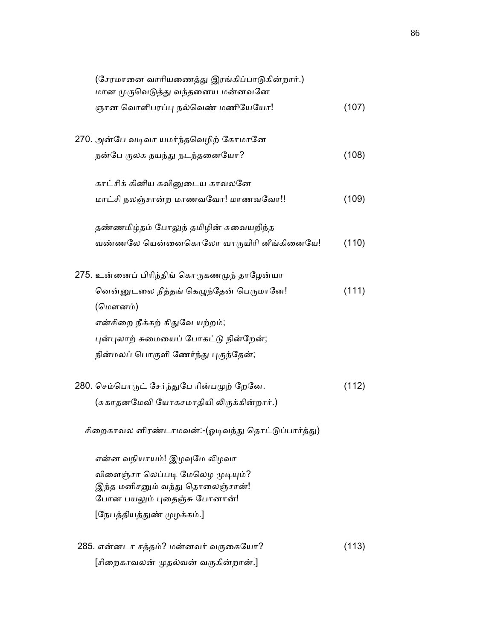| (சேரமானை வாரியணைத்து இரங்கிப்பாடுகின்றார்.)       |       |
|---------------------------------------------------|-------|
| மான முருவெடுத்து வந்தனைய மன்னவனே                  |       |
| ஞான வொளிபரப்பு நல்வெண் மணியேயோ!                   | (107) |
|                                                   |       |
| 270. அன்பே வடிவா யமர்ந்தவெழிற் கோமானே             |       |
| நன்பே ருலக நயந்து நடந்தனையோ?                      | (108) |
| காட்சிக் கினிய கவினுடைய காவலனே                    |       |
| மாட்சி நலஞ்சான்ற மாணவவோ! மாணவவோ!!                 | (109) |
|                                                   |       |
| தண்ணமிழ்தம் போலுந் தமிழின் சுவையறிந்த             |       |
| வண்ணலே யென்னைகொலோ வாருயிரி னீங்கினையே!            | (110) |
| 275. உன்னைப் பிரிந்திங் கொருகணமுந் தாழேன்யா       |       |
|                                                   |       |
| னென்னுடலை நீத்தங் கெழுந்தேன் பெருமானே!<br>(மௌனம்) | (111) |
|                                                   |       |
| என்சிறை நீக்கற் கிதுவே யற்றம்;                    |       |
| புன்புலாற் சுமையைப் போகட்டு நின்றேன்;             |       |
| நின்மலப் பொருளி ணேர்ந்து புகுந்தேன்;              |       |
| 280. செம்பொருட் சேர்ந்துபே ரின்பமுற் றேனே.        | (112) |
| (சுகாதனமேவி யோகசமாதியி லிருக்கின்றார்.)           |       |
|                                                   |       |
| சிறைகாவல னிரண்டாமவன்:-(ஓடிவந்து தொட்டுப்பார்த்து) |       |
| என்ன வநியாயம்! இழவுமே லிழவா                       |       |
| விளைஞ்சா லெப்படி மேலெழ முடியும்?                  |       |
| இந்த மனிசனும் வந்து தொலைஞ்சான்!                   |       |
| போன பயலும் புதைஞ்சு போனான்!                       |       |
| [நேபத்தியத்துண் முழக்கம்.]                        |       |
|                                                   |       |
| 285. என்னடா சத்தம்? மன்னவர் வருகையோ?              | (113) |
| [சிறைகாவலன் முதல்வன் வருகின்றான்.]                |       |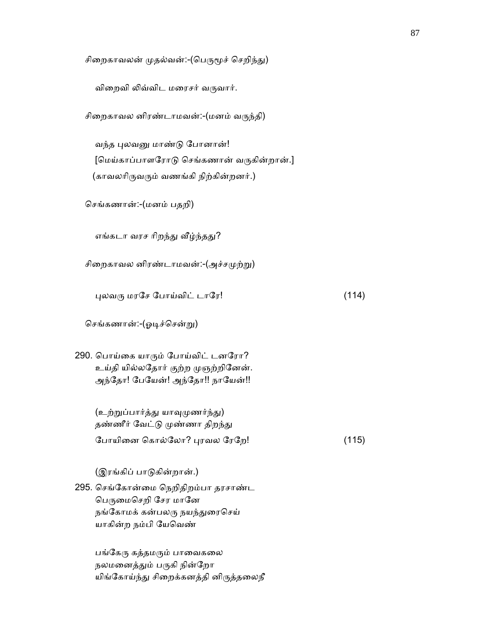சிறைகாவலன் முதல்வன்:-(பெருமூச் செறிந்து)

விறைவி லிவ்விட மரைசர் வருவார்.

| சிறைகாவல னிரண்டாமவன்:-(மனம் வருந்தி) |  |
|--------------------------------------|--|
|--------------------------------------|--|

வந்த புலவனு மாண்டு போனான்! [மெய்காப்பாளரோடு செங்கணான் வருகின்றான்.] (காவலரிருவரும் வணங்கி நிற்கின்றனர்.)

ெசங்கணான்:-(மனம் பதறி)

எங்கடா வரச ரிறந்து வீழ்ந்தது?

சிறைகாவல னிரண்டாமவன்:- $(\mathcal{A}^{\#})$ 

 $\mu$ லவரு மரசே போய்விட் டாரே!  $\mu$ 

ெசங்கணான்:-(ஓᾊச்ெசன்ᾠ)

290. ெபாய்ைக யாᾞம் ேபாய்விட் டனேரா? உய்தி யில்லேதார் குற்ற ᾙஞற்றிேனன். அந்தோ! பேயேன்! அந்தோ!! நாயேன்!!

> (உற்றுப்பார்த்து யாவுமுணர்ந்து) தண்ணீர் வேட்டு முண்ணா திறந்து ேபாயிைன ெகால்ேலா? ᾗரவல ேரேற! (115)

(இரங்கிப் பாடுகின்றான்.)

295. ெசங்ேகான்ைம ெநறிதிறம்பா தரசாண்ட பெருமைசெறி சேர மானே நங்கோமக் கன்பலரு நயந்துரைசெய் யாகின்ற நம்பி ேயெவண்

> பங்கேரு கத்தமரும் பாவைகலை நலமனைத்தும் பருகி நின்றோ யிங்கோய்ந்து சிறைக்கனத்தி னிருத்தலைநீ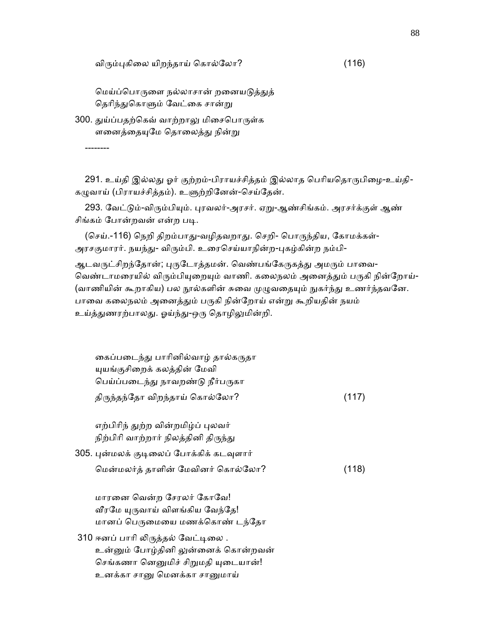விரும்புகிலை யிறந்தாய் கொல்லோ? (116)

மெய்ப்பொருளை நல்லாசான் றனையடுத்துத் தெரிந்துகொளும் வேட்கை சான்று

300. துய்ப்பதற்கெவ் வாற்றாலு மிசைபொருள்க ளனைத்தையுமே தொலைத்து நின்று

--------

291. உய்தி இல்லது ஓர் குற்றம்-பிராயச்சித்தம் இல்லாத பெரியதொருபிழை-உய்தி-கழுவாய் (பிராயச்சித்தம்). உளுற்றினேன்-செய்தேன்.

293. வேட்டும்-விரும்பியும். புரவலர்-அரசர். ஏறு-ஆண்சிங்கம். அரசர்க்குள் ஆண் சிங்கம் போன்றவன் என்ற படி.

(செய்.-116) நெறி திறம்பாது-வழிதவறாது. செறி- பொருந்திய, கோமக்கள்-அரசகுமாரர். நயந்து- விரும்பி. உரைசெய்யாநின்ற-புகழ்கின்ற நம்பி-

ஆடவருட்சிறந்தோன்; புருடோத்தமன். வெண்பங்கேருகத்து அமரும் பாவை-வெண்டாமரையில் விரும்பியுறையும் வாணி. கலைநலம் அனைத்தும் பருகி நின்றோய்-(வாணியின் கூறாகிய) பல நூல்களின் சுவை முழுவதையும் நுகர்ந்து உணர்ந்தவனே. பாவை கலைநலம் அனைத்தும் பருகி நின்றோய் என்று கூறியதின் நயம் உய்த்துணரற்பாலது. ஓய்ந்து-ஒரு தொழிலுமின்றி.

| கைப்படைந்து பாரினில்வாழ் தால்கருதா<br>யுயங்குசிறைக் கலத்தின் மேவி                                              |       |
|----------------------------------------------------------------------------------------------------------------|-------|
| பெய்ப்படைந்து நாவறண்டு நீர்பருகா                                                                               |       |
| திருந்தந்தோ விறந்தாய் கொல்லோ?                                                                                  | (117) |
| எற்பிரிந் துற்ற வின்றமிழ்ப் புலவர்<br>நிற்பிரி வாற்றார் நிலத்தினி திருந்து                                     |       |
| 305. புன்மலக் குடிலைப் போக்கிக் கடவுளார்                                                                       |       |
| மென்மலர்த் தாளின் மேவினர் கொல்லோ?                                                                              | (118) |
| மாரனை வென்ற சேரலர் கோவே!<br>வீரமே யுருவாய் விளங்கிய வேந்தே!<br>மானப் பெருமையை மணக்கொண் டந்தோ                   |       |
| 310 ஈனப் பாரி லிருத்தல் வேட்டிலை .<br>உன்னும் போழ்தினி லுன்னைக் கொன்றவன்<br>செங்கணா னெனுமிச் சிறுமதி யுடையான்! |       |
| உனக்கா சானு மெனக்கா சானுமாய்                                                                                   |       |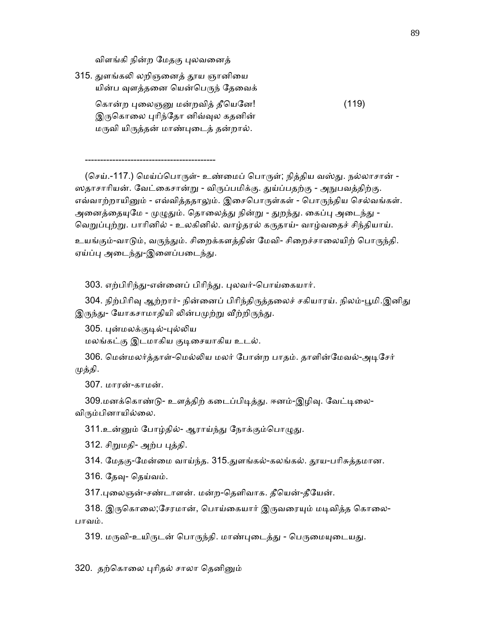விளங்கி நின்ற மேதகு புலவனைத்

-------------------------------------------

315. ᾐளங்கᾢ லறிஞைனத் ᾑய ஞானிைய யின்ப வுளத்தனை யென்பெருந் தேவைக் கொன்ற பலைஞனு மன்றவித் தீயெனே! (119) இருகொலை புரிந்தோ னிவ்வுல கதனின் மருவி யிருத்தன் மாண்புடைத் தன்றால்.

(செய்.-117.) மெய்ப்பொருள்- உண்மைப் பொருள்; நித்திய வஸ்து. நல்லாசான் -ஸதாசாரியன். வேட்கைசான்று - விருப்பமிக்கு. துய்ப்பதற்கு - அநுபவத்திற்கு. எவ்வாற்றாயினும் - எவ்வித்ததாலும். இசைபொருள்கள் - பொருந்திய செல்வங்கள். அனைத்தையுமே - முழுதும். தொலைத்து நின்று - துறந்து. கைப்பு அடைந்து -வெறுப்புற்று. பாரினில் - உலகினில். வாழ்தரல் கருதாய்- வாழ்வதைச் சிந்தியாய்.

உயங்கும்-வாடும், வருந்தும். சிறைக்களத்தின் மேவி- சிறைச்சாலையிற் பொருந்தி. ஏய்ப்பு அடைந்து-இளைப்படைந்து.

303. எற்பிரிந்து-என்னைப் பிரிந்து. புலவர்-பொய்கையார்.

304. நிற்பிரிவு ஆற்றார்- நின்னைப் பிரிந்திருத்தலைச் சகியாரய். நிலம்-பூமி.இனிது இருந்து- யோகசாமாதியி லின்பமுற்று வீற்றிருந்து.

305. புன்மலக்குடில்-புல்லிய

மலங்கட்கு இடமாகிய குடிசையாகிய உடல்.

 306. ெமன்மலர்த்தாள்-ெமல்ᾢய மலர் ேபான்ற பாதம். தாளின்ேமவல்-அᾊேசர் முத்தி.

307. மாரன்-காமன்.

309.மனக்கொண்டு- உளத்திற் கடைப்பிடித்து. ஈனம்-இழிவு. வேட்டிலை-விரும்பினாயில்லை.

311.உன்னும் போழ்தில்- ஆராய்ந்து நோக்கும்பொழுது.

312. சிறுமதி- அற்ப புத்தி.

314. ேமதகு-ேமன்ைம வாய்ந்த. 315.ᾐளங்கல்-கலங்கல். ᾑய-பாிசுத்தமான.

316. தேவு- தெய்வம்.

317.ᾗைலஞன்-சண்டாளன். மன்ற-ெதளிவாக. தீெயன்-தீேயன்.

318. இருகொலை;சேரமான், பொய்கையார் இருவரையும் மடிவித்த கொலை-பாவம்.

319. மருவி-உயிருடன் பொருந்தி. மாண்புடைத்து - பெருமையுடையது.

320. தற்கொலை புரிதல் சாலா தெனினும்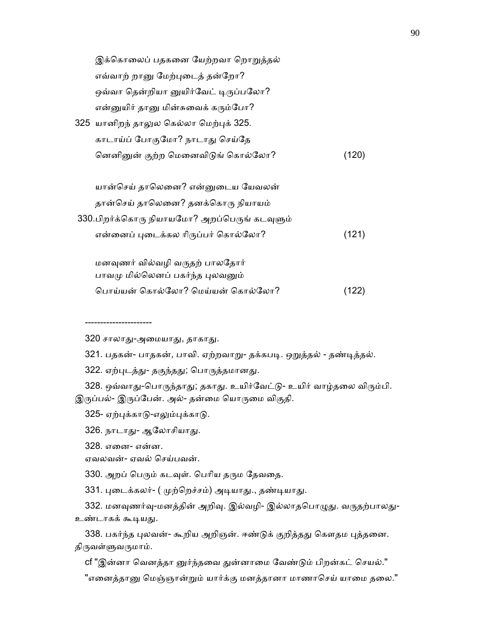| இக்கொலைப் பதகனை யேற்றவா றொறுத்தல்            |       |
|----------------------------------------------|-------|
| எவ்வாற் றானு மேற்புடைத் தன்றோ?               |       |
| ஒவ்வா தென்றியா னுயிர்வேட் டிருப்பலோ?         |       |
| என்னுயிர் தானு மின்சுவைக் கரும்போ?           |       |
| 325 யானிறந் தாலுல கெல்லா மெற்புக் 325.       |       |
| காடாய்ப் போகுமோ? நாடாது செய்தே               |       |
| னெனினுன் குற்ற மெனைவிடுங் கொல்லோ?            | (120) |
|                                              |       |
| யான்செய் தாலெனை? என்னுடைய யேவலன்             |       |
| தான்செய் தாலெனை? தனக்கொரு நியாயம்            |       |
| 330.பிறர்க்கொரு நியாயமோ? அறப்பெருங் கடவுளும் |       |
| என்னைப் புடைக்கல ரிருப்பர் கொல்லோ?           | (121) |
|                                              |       |
| மனவுணர் வில்வழி வருதற் பாலதோர்               |       |
| பாவமு மில்லெனப் பகர்ந்த புலவனும்             |       |
| பொய்யன் கொல்லோ? மெய்யன் கொல்லோ?              | (122) |

----------------------

321. பதகன்- பாதகன், பாவி. ஏற்றவாறு- தக்கபடி. ஒறுத்தல் - தண்டித்தல்.

322. ஏற்புடத்து- தகுந்தது; பொருத்தமானது.

328. ஒவ்வாது-பொருந்தாது; தகாது. உயிர்வேட்டு- உயிர் வாழ்தலை விரும்பி. இருப்பல்- இருப்பேன். அல்- தன்மை யொருமை விகுதி.

325- ஏற்புக்காடு-எலும்புக்காடு.

326. நாடாது- ஆலோசியாது.

328. எைன- என்ன.

ஏவலவன்- ஏவல் ெசய்பவன்.

330. அறப் பெரும் கடவுள். பெரிய தரும தேவதை.

331. புடைக்கலர்- ( முற்றெச்சம்) அடியாது., தண்டியாது.

332. மனவுணர்வு-மனத்தின் அறிவு. இல்வழி- இல்லாதபொழுது. வருதற்பாலது-உண்டாகக் கூடியது.

338. பகர்ந்த புலவன்- கூறிய அறிஞன். ஈண்டுக் குறித்தது கௌதம புத்தனை. திருவள்ளுவருமாம்.

cf "இன்னா வெனத்தா னுர்ந்தவை துன்னாமை வேண்டும் பிறன்கட் செயல்."

"எனைத்தானு மெஞ்ஞான்றும் யார்க்கு மனத்தானா மாணாசெய் யாமை தலை."

 <sup>320</sup> சாலாᾐ-அைமயாᾐ, தாகாᾐ.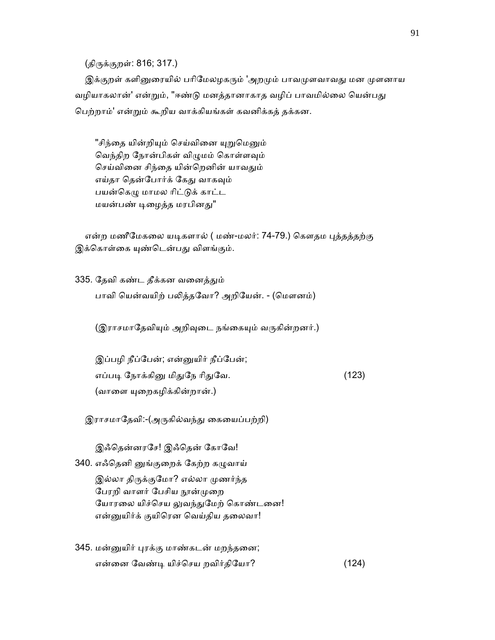(திருக்குறள்: 816; 317.)

இக்குறள் களினுரையில் பரிமேலழகரும் 'அறமும் பாவமுளவாவது மன முளனாய வழியாகலான்' என்றும், "ஈண்டு மனத்தானாகாத வழிப் பாவமில்லை யென்பது ெபற்றாம்' என்ᾠம் கூறிய வாக்கியங்கள் கவனிக்கத் தக்கன.

"சிந்தை யின்றியும் செய்வினை யுறுமெனும் வெந்திற நோன்பிகள் விழுமம் கொள்ளவும் செய்வினை சிந்தை யின்றெனின் யாவதும் எய்தா தென்போர்க் கேது வாகவும் பயன்கெழு மாமல ரிட்டுக் காட்ட மயன்பண் டிழைத்த மரபினது"

என்ற மணீமேகலை யடிகளால் ( மண்-மலர்: 74-79.) கௌதம புத்தத்தற்கு இக்கொள்கை யுண்டென்பது விளங்கும்.

335. தேவி கண்ட தீக்கன வனைத்தும் பாவி யென்வயிற் பலித்தவோ? அறியேன். - (மௌனம்)

(இராசமாதேவியும் அறிவுடை நங்கையும் வருகின்றனர்.)

 இப்பழி நீப்ேபன்; என்ᾔயிர் நீப்ேபன்; எப்படி நோக்கினு மிதுநே ரிதுவே. (123) (வாளை யுறைகழிக்கின்றான்.)

இராசமாதேவி:-(அருகில்வந்து கையைப்பற்றி)

இஃதென்னரசே! இஃதென் கோவே!

340. எஃதெனி னுங்குறைக் கேற்ற கழுவாய் இல்லா திருக்குமோ? எல்லா முணர்ந்த பேரறி வாளர் பேசிய நூன்முறை யோரலை யிச்செய லுவந்துமேற் கொண்டனை! என்னுயிர்க் குயிரென வெய்திய தலைவா!

345. மன்ᾔயிர் ᾗரக்கு மாண்கடன் மறந்தைன; என்ைன ேவண்ᾊ யிச்ெசய றவிர்திேயா? (124)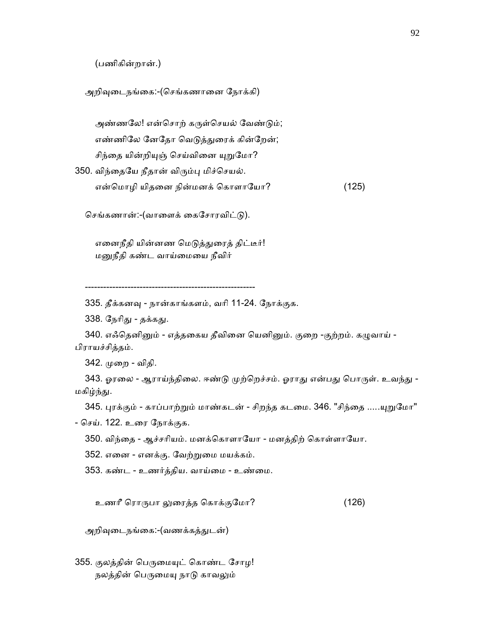(பணிகின்றான்.)

அறிவுடைநங்கை:-(செங்கணானை நோக்கி)

அண்ணலே! என்சொற் கருள்செயல் வேண்டும்; எண்ணிலே னேதோ வெடுத்துரைக் கின்றேன்; சிந்தை யின்றியுஞ் செய்வினை யுறுமோ?

350. விந்தையே நீதான் விரும்பு மிச்செயல்.

என்மொழி யிதனை நின்மனக் கொளாயோ? (125)

செங்கணான்:-(வாளைக் கைசோரவிட்டு).

எனைநீதி யின்னண மெடுத்துரைத் திட்டீர்! மனுநீதி கண்ட வாய்மையை நீவிர்

--------------------------------------------------------

335. தீக்கனᾫ - நான்காங்களம், வாி 11-24. ேநாக்குக.

338. நேரிது - தக்கது.

340. எஃதெனினும் - எத்தகைய தீவினை யெனினும். குறை -குற்றம். கழுவாய் -பிராயச்சித்தம்.

342. ᾙைற - விதி.

343. ஓரலை - ஆராய்ந்திலை. ஈண்டு முற்றெச்சம். ஓராது என்பது பொருள். உவந்து -மகிழ்ந்து.

345. புரக்கும் - காப்பாற்றும் மாண்கடன் - சிறந்த கடமை. 346. "சிந்தை .....யுறுமோ"

- ெசய். 122. உைர ேநாக்குக.

350. விந்தை - ஆச்சரியம். மனக்கொளாயோ - மனத்திற் கொள்ளாயோ.

352. எைன - எனக்கு. ேவற்ᾠைம மயக்கம்.

353. கண்ட - உணர்த்திய. வாய்ைம - உண்ைம.

உணாீ ெராᾞபா ᾤைரத்த ெகாக்குேமா? (126)

அறிவுடைநங்கை:-(வணக்கத்துடன்)

355. குலத்தின் பெருமையுட் கொண்ட சோழ! நலத்தின் பெருமையு நாடு காவலும்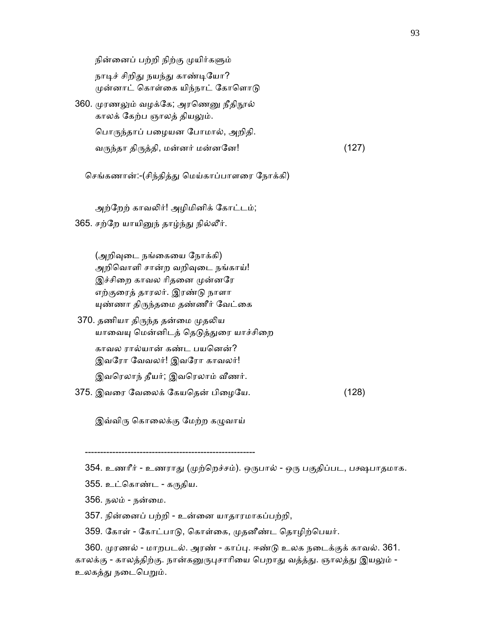நின்னைப் பற்றி நிற்கு முயிர்களும் நாடிச் சிறிது நயந்து காண்டியோ? முன்னாட் கொள்கை யிந்நாட் கோளொடு

360. முரணலும் வழக்கே; அரணெனு நீதிநூல் காலக் கேற்ப ஞாலத் தியலும். பொருந்தாப் பழையன போமால், அறிதி. வᾞந்தா திᾞத்தி, மன்னர் மன்னேன! (127)

செங்கணான்:-(சிந்தித்து மெய்காப்பாளரை நோக்கி)

அற்றேற் காவலிர்! அழிமினிக் கோட்டம்;

365. சற்றே யாயினுந் தாழ்ந்து நில்லீர்.

(அறிவுடை நங்கையை நோக்கி) அறிவொளி சான்ற வறிவுடை நங்காய்! இச்சிறை காவல ரிதனை முன்னரே எற்குைரத் தாரலர். இரண்ᾌ நாளா யுண்ணா திருந்தமை தண்ணீர் வேட்கை

370. தணியா திருந்த தன்மை முதலிய யாவையு மென்னிடத் தெடுத்துரை யாச்சிறை காவல ரால்யான் கண்ட பயெனன்? இவேரா ேவவலர்! இவேரா காவலர்!

இவரெலாந் தீயர்; இவரெலாம் வீணர்.

375. இவைர ேவைலக் ேகயெதன் பிைழேய. (128)

இவ்விரு கொலைக்கு மேற்ற கழுவாய்

--------------------------------------------------------

354. உணரீர் - உணராது (முற்றெச்சம்). ஒருபால் - ஒரு பகுதிப்பட, பக்ஷபாதமாக.

355. உட்கொண்ட - கருதிய.

356. நலம் - நன்ைம.

357. நின்ைனப் பற்றி - உன்ைன யாதாரமாகப்பற்றி,

359. ேகாள் - ேகாட்பாᾌ, ெகாள்ைக, ᾙதனீண்ட ெதாழிற்ெபயர்.

 360. ᾙரணல் - மாறபடல். அரண் - காப்ᾗ. ஈண்ᾌ உலக நைடக்குக் காவல். 361. காலக்கு - காலத்திற்கு. நான்கனுருபுசாரியை பெறாது வத்த்து. ஞாலத்து இயலும் -உலகத்து நடைபெறும்.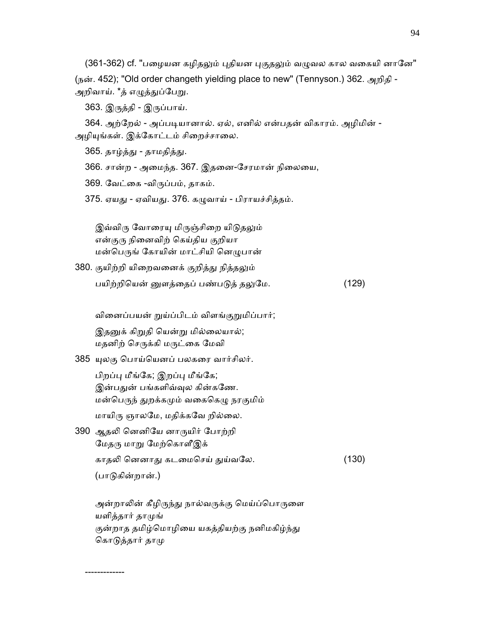(361-362) cf. "பழையன கழிதலும் புதியன புகுதலும் வழுவல கால வகையி னானே" (நன். 452); "Old order changeth yielding place to new" (Tennyson.) 362. அறிதி - அறிவாய். \*த் எழுத்துப்பேறு.

363. இᾞத்தி - இᾞப்பாய்.

364. அற்றேல் - அப்படியானால். ஏல், எனில் என்பதன் விகாரம். அழிமின் -அழியுங்கள். இக்கோட்டம் சிறைச்சாலை.

365. தாழ்த்து - தாமதித்து.

366. சான்ற - அைமந்த. 367. இதைன-ேசரமான் நிைலைய,

369. ேவட்ைக -விᾞப்பம், தாகம்.

375. ஏயது - ஏவியது. 376. கழுவாய் - பிராயச்சித்தம்.

இவ்விரு வோரையு மிருஞ்சிறை யிடுதலும் என்குரு நினைவிற் கெய்திய குறியா மன்பெருங் கோயின் மாட்சியி னெழுபான்

380. குயிற்றி யிறைவனைக் குறித்து நித்தலும் பயிற்றியென் னுளத்தைப் பண்படுத் தலுமே. (129)

வினைப்பயன் றுய்ப்பிடம் விளங்குறுமிப்பார்;

இதனுக் கிறுதி யென்று மில்லையால்; மதனிற் செருக்கி மருட்கை மேவி

385 ᾜலகு ெபாய்ெயனப் பலகைர வார்சிலர்.

-------------

- பிறப்பு மீங்கே; இறப்பு மீங்கே; இன்பதுன் பங்களிவ்வுல கின்கணே. மன்பெருந் துறக்கமும் வகைகெழு நரகுமிம் மாயிரு ஞாலமே, மதிக்கவே றில்லை.
- 390 ஆதᾢ ெனனிேய னாᾞயிர் ேபாற்றி மேதரு மாறு மேற்கொளீஇக் காதலி னெனாது கடமைசெய் துய்வலே. (130) (பாᾌகின்றான்.)

அன்றாலின் கீழிருந்து நால்வருக்கு மெய்ப்பொருளை யளித்தார் தாᾙங் குன்றாத தமிழ்மொழியை யகத்தியற்கு நனிமகிழ்ந்து கொடுத்தார் தாமு

94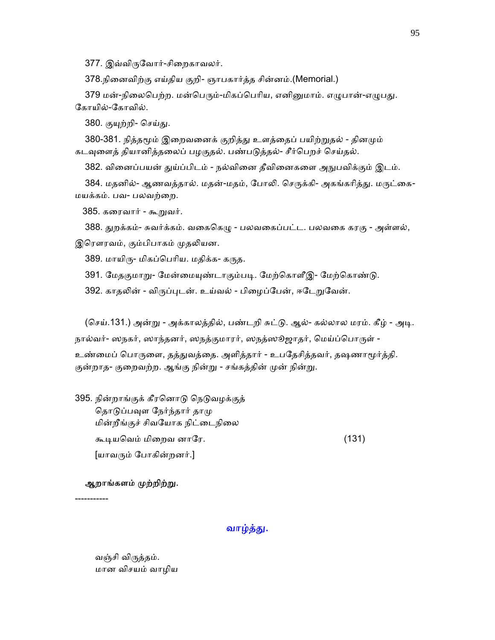377. இவ்விருவோர்-சிறைகாவலர்.

378.நிைனவிற்கு எய்திய குறி- ஞாபகார்த்த சின்னம்.(Memorial.)

379 மன்-நிலைபெற்ற. மன்பெரும்-மிகப்பெரிய, எனினுமாம். எழுபான்-எழுபது. ேகாயில்-ேகாவில்.

380. குயுற்றி- செய்து.

380-381. நித்தமூம் இறைவனைக் குறித்து உளத்தைப் பயிற்றுதல் - தினமும் கடவுளைத் தியானித்தலைப் பழகுதல். பண்படுத்தல்- சீர்பெறச் செய்தல்.

382. வினைப்பயன் துய்ப்பிடம் - நல்வினை தீவினைகளை அநுபவிக்கும் இடம்.

384. மதனில்- ஆணவத்தால். மதன்-மதம், போலி. செருக்கி- அகங்கரித்து. மருட்கை-மயக்கம். பவ- பலவற்ைற.

385. கரைவார் - கூறுவர்.

388. துறக்கம்- சுவர்க்கம். வகைகெழு - பலவகைப்பட்ட. பலவகை கரகு - அள்ளல், இரௌரவம், கும்பிபாகம் முதலியன.

389. மாயிரு- மிகப்பெரிய. மதிக்க- கருத.

391. மேதகுமாறு- மேன்மையுண்டாகும்படி. மேற்கொளீஇ- மேற்கொண்டு.

392. காதலின் - விருப்புடன். உய்வல் - பிழைப்பேன், ஈடேறுவேன்.

(செய்.131.) அன்று - அக்காலத்தில், பண்டறி சுட்டு. ஆல்- கல்லால மரம். கீழ் - அடி. நால்வர்- ஸநகர், ஸாந்தனர், ஸநத்குமாரர், ஸநத்ஸூஜாதர், மெய்ப்பொருள் -உண்மைப் பொருளை, தத்துவத்தை. அளித்தார் - உபதேசித்தவர், தஷணாமூர்த்தி. குன்றாத- குறைவற்ற. ஆங்கு நின்று - சங்கத்தின் முன் நின்று.

395. நின்றாங்குக் கீரனொடு நெடுவழக்குத் தொடுப்பவுள நேர்ந்தார் தாமு மின்றீங்குச் சிவயோக நிட்டைநிலை கூᾊயெவம் மிைறவ னாேர. (131) [யாவᾞம் ேபாகின்றனர்.]

## ஆறாங்களம் முற்றிற்று.

-----------

வாழ்த்து.

 வஞ்சி விᾞத்தம். மான விசயம் வாழிய